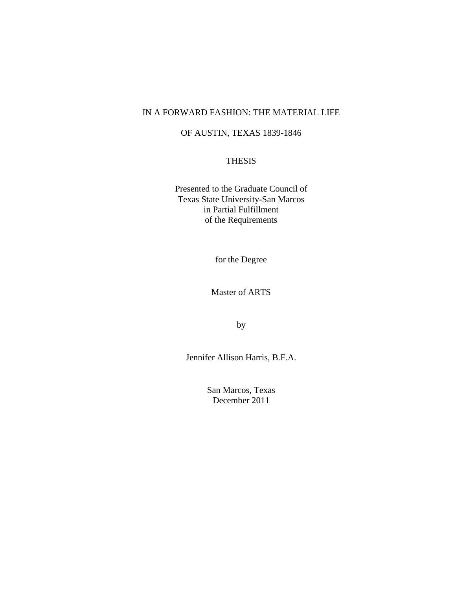# IN A FORWARD FASHION: THE MATERIAL LIFE

# OF AUSTIN, TEXAS 1839-1846

# THESIS

Presented to the Graduate Council of Texas State University-San Marcos in Partial Fulfillment of the Requirements

for the Degree

Master of ARTS

by

Jennifer Allison Harris, B.F.A.

San Marcos, Texas December 2011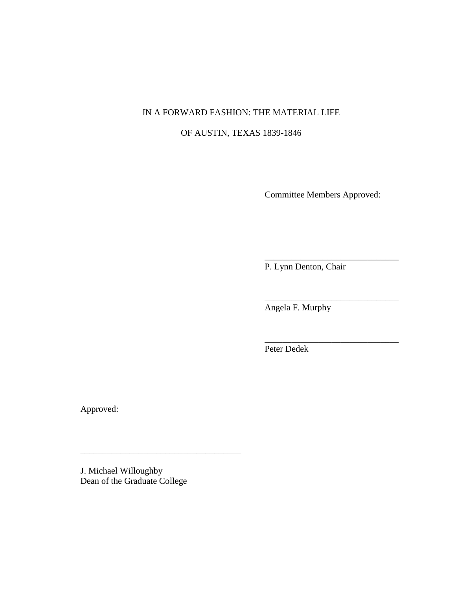# IN A FORWARD FASHION: THE MATERIAL LIFE

# OF AUSTIN, TEXAS 1839-1846

Committee Members Approved:

\_\_\_\_\_\_\_\_\_\_\_\_\_\_\_\_\_\_\_\_\_\_\_\_\_\_\_\_\_\_

\_\_\_\_\_\_\_\_\_\_\_\_\_\_\_\_\_\_\_\_\_\_\_\_\_\_\_\_\_\_

\_\_\_\_\_\_\_\_\_\_\_\_\_\_\_\_\_\_\_\_\_\_\_\_\_\_\_\_\_\_

P. Lynn Denton, Chair

Angela F. Murphy

Peter Dedek

Approved:

J. Michael Willoughby Dean of the Graduate College

\_\_\_\_\_\_\_\_\_\_\_\_\_\_\_\_\_\_\_\_\_\_\_\_\_\_\_\_\_\_\_\_\_\_\_\_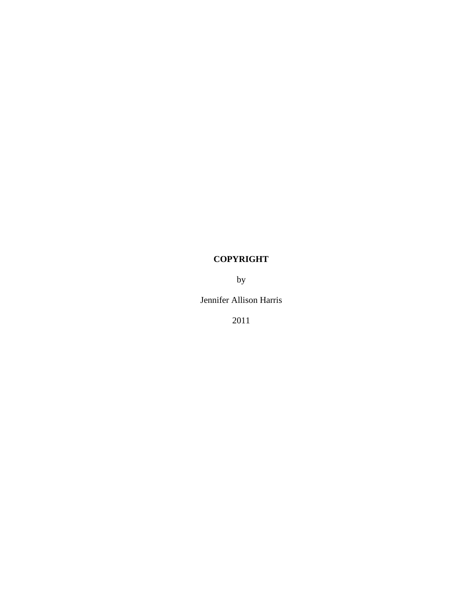# **COPYRIGHT**

by

Jennifer Allison Harris

2011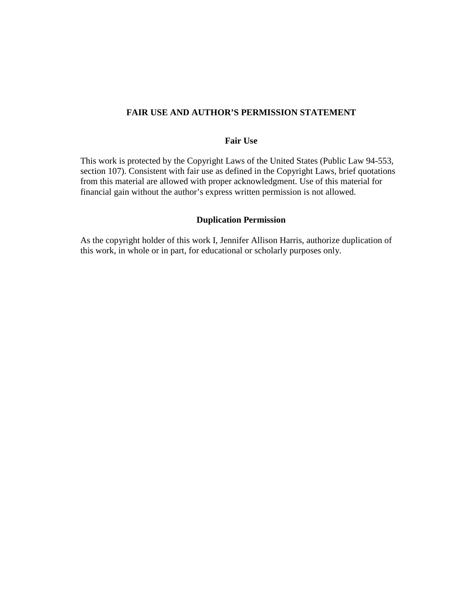# **FAIR USE AND AUTHOR'S PERMISSION STATEMENT**

## **Fair Use**

This work is protected by the Copyright Laws of the United States (Public Law 94-553, section 107). Consistent with fair use as defined in the Copyright Laws, brief quotations from this material are allowed with proper acknowledgment. Use of this material for financial gain without the author's express written permission is not allowed.

#### **Duplication Permission**

As the copyright holder of this work I, Jennifer Allison Harris, authorize duplication of this work, in whole or in part, for educational or scholarly purposes only.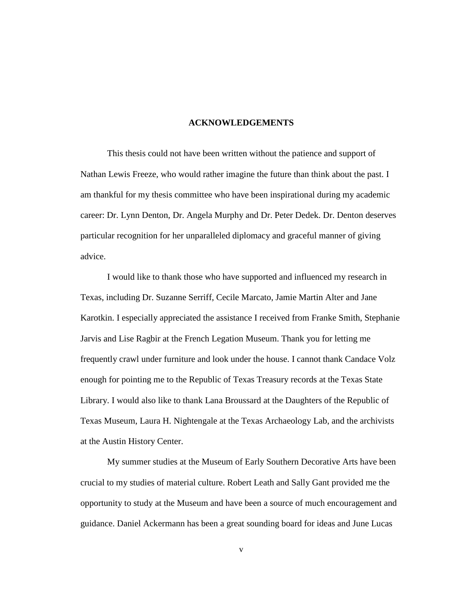#### **ACKNOWLEDGEMENTS**

This thesis could not have been written without the patience and support of Nathan Lewis Freeze, who would rather imagine the future than think about the past. I am thankful for my thesis committee who have been inspirational during my academic career: Dr. Lynn Denton, Dr. Angela Murphy and Dr. Peter Dedek. Dr. Denton deserves particular recognition for her unparalleled diplomacy and graceful manner of giving advice.

I would like to thank those who have supported and influenced my research in Texas, including Dr. Suzanne Serriff, Cecile Marcato, Jamie Martin Alter and Jane Karotkin. I especially appreciated the assistance I received from Franke Smith, Stephanie Jarvis and Lise Ragbir at the French Legation Museum. Thank you for letting me frequently crawl under furniture and look under the house. I cannot thank Candace Volz enough for pointing me to the Republic of Texas Treasury records at the Texas State Library. I would also like to thank Lana Broussard at the Daughters of the Republic of Texas Museum, Laura H. Nightengale at the Texas Archaeology Lab, and the archivists at the Austin History Center.

My summer studies at the Museum of Early Southern Decorative Arts have been crucial to my studies of material culture. Robert Leath and Sally Gant provided me the opportunity to study at the Museum and have been a source of much encouragement and guidance. Daniel Ackermann has been a great sounding board for ideas and June Lucas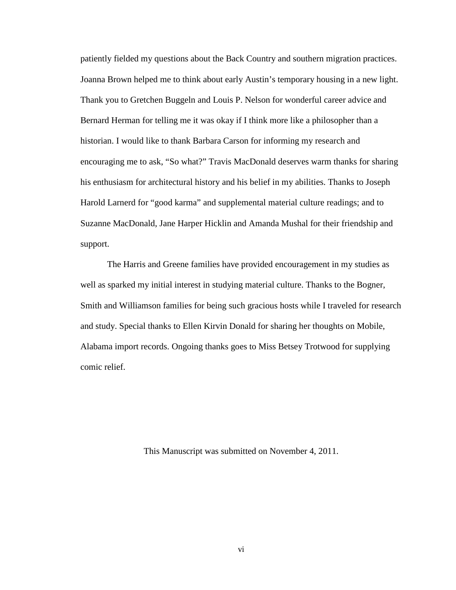patiently fielded my questions about the Back Country and southern migration practices. Joanna Brown helped me to think about early Austin's temporary housing in a new light. Thank you to Gretchen Buggeln and Louis P. Nelson for wonderful career advice and Bernard Herman for telling me it was okay if I think more like a philosopher than a historian. I would like to thank Barbara Carson for informing my research and encouraging me to ask, "So what?" Travis MacDonald deserves warm thanks for sharing his enthusiasm for architectural history and his belief in my abilities. Thanks to Joseph Harold Larnerd for "good karma" and supplemental material culture readings; and to Suzanne MacDonald, Jane Harper Hicklin and Amanda Mushal for their friendship and support.

The Harris and Greene families have provided encouragement in my studies as well as sparked my initial interest in studying material culture. Thanks to the Bogner, Smith and Williamson families for being such gracious hosts while I traveled for research and study. Special thanks to Ellen Kirvin Donald for sharing her thoughts on Mobile, Alabama import records. Ongoing thanks goes to Miss Betsey Trotwood for supplying comic relief.

This Manuscript was submitted on November 4, 2011.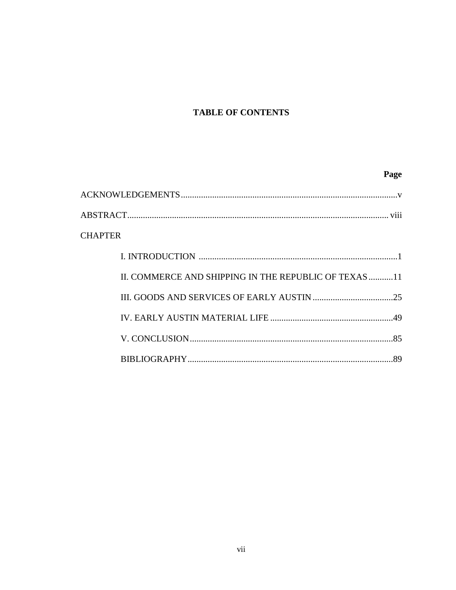# **TABLE OF CONTENTS**

# Page

| <b>CHAPTER</b>                                        |
|-------------------------------------------------------|
|                                                       |
| II. COMMERCE AND SHIPPING IN THE REPUBLIC OF TEXAS 11 |
|                                                       |
|                                                       |
|                                                       |
|                                                       |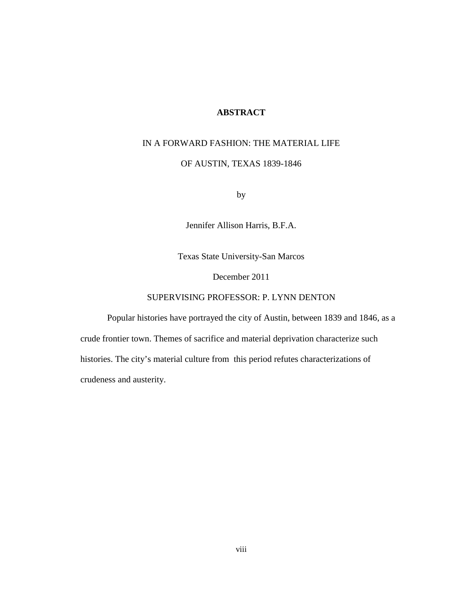# **ABSTRACT**

# IN A FORWARD FASHION: THE MATERIAL LIFE

### OF AUSTIN, TEXAS 1839-1846

by

Jennifer Allison Harris, B.F.A.

Texas State University-San Marcos

December 2011

## SUPERVISING PROFESSOR: P. LYNN DENTON

Popular histories have portrayed the city of Austin, between 1839 and 1846, as a crude frontier town. Themes of sacrifice and material deprivation characterize such histories. The city's material culture from this period refutes characterizations of crudeness and austerity.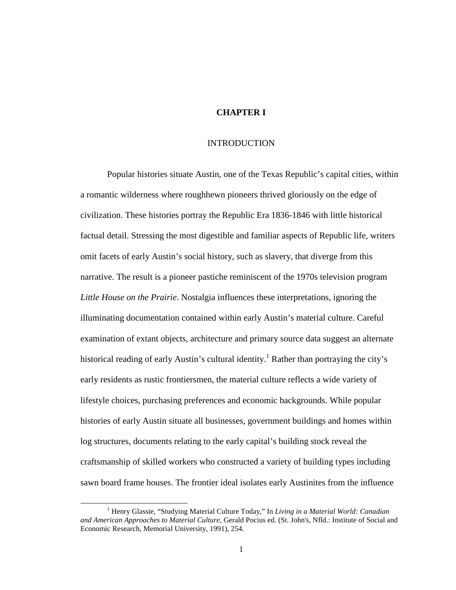## **CHAPTER I**

#### INTRODUCTION

Popular histories situate Austin, one of the Texas Republic's capital cities, within a romantic wilderness where roughhewn pioneers thrived gloriously on the edge of civilization. These histories portray the Republic Era 1836-1846 with little historical factual detail. Stressing the most digestible and familiar aspects of Republic life, writers omit facets of early Austin's social history, such as slavery, that diverge from this narrative. The result is a pioneer pastiche reminiscent of the 1970s television program *Little House on the Prairie*. Nostalgia influences these interpretations, ignoring the illuminating documentation contained within early Austin's material culture. Careful examination of extant objects, architecture and primary source data suggest an alternate historical reading of early Austin's cultural identity.<sup>1</sup> Rather than portraying the city's early residents as rustic frontiersmen, the material culture reflects a wide variety of lifestyle choices, purchasing preferences and economic backgrounds. While popular histories of early Austin situate all businesses, government buildings and homes within log structures, documents relating to the early capital's building stock reveal the craftsmanship of skilled workers who constructed a variety of building types including sawn board frame houses. The frontier ideal isolates early Austinites from the influence

<sup>&</sup>lt;sup>1</sup> Henry Glassie, "Studying Material Culture Today," In *Living in a Material World: Canadian and American Approaches to Material Culture*, Gerald Pocius ed. (St. John's, Nfld.: Institute of Social and Economic Research, Memorial University, 1991), 254.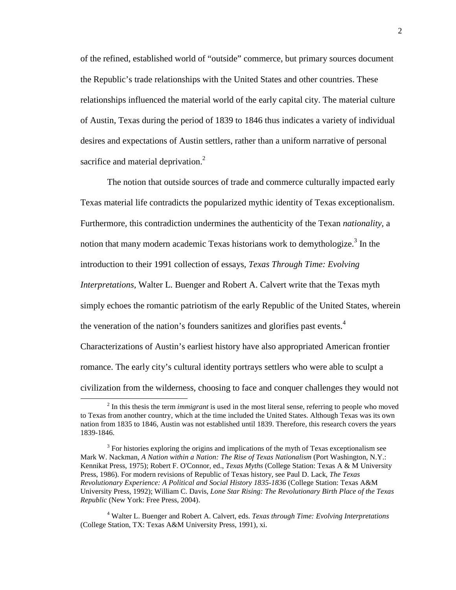of the refined, established world of "outside" commerce, but primary sources document the Republic's trade relationships with the United States and other countries. These relationships influenced the material world of the early capital city. The material culture of Austin, Texas during the period of 1839 to 1846 thus indicates a variety of individual desires and expectations of Austin settlers, rather than a uniform narrative of personal sacrifice and material deprivation. $2$ 

The notion that outside sources of trade and commerce culturally impacted early Texas material life contradicts the popularized mythic identity of Texas exceptionalism. Furthermore, this contradiction undermines the authenticity of the Texan *nationality*, a notion that many modern academic Texas historians work to demythologize.<sup>3</sup> In the introduction to their 1991 collection of essays, *Texas Through Time: Evolving Interpretations,* Walter L. Buenger and Robert A. Calvert write that the Texas myth simply echoes the romantic patriotism of the early Republic of the United States, wherein the veneration of the nation's founders sanitizes and glorifies past events.<sup>4</sup> Characterizations of Austin's earliest history have also appropriated American frontier romance. The early city's cultural identity portrays settlers who were able to sculpt a civilization from the wilderness, choosing to face and conquer challenges they would not

<sup>&</sup>lt;sup>2</sup> In this thesis the term *immigrant* is used in the most literal sense, referring to people who moved to Texas from another country, which at the time included the United States. Although Texas was its own nation from 1835 to 1846, Austin was not established until 1839. Therefore, this research covers the years 1839-1846.

 $3$  For histories exploring the origins and implications of the myth of Texas exceptionalism see Mark W. Nackman, *A Nation within a Nation: The Rise of Texas Nationalism* (Port Washington, N.Y.: Kennikat Press, 1975); Robert F. O'Connor, ed., *Texas Myths* (College Station: Texas A & M University Press, 1986). For modern revisions of Republic of Texas history, see Paul D. Lack, *The Texas Revolutionary Experience: A Political and Social History 1835-1836* (College Station: Texas A&M University Press, 1992); William C. Davis, *Lone Star Rising: The Revolutionary Birth Place of the Texas Republic* (New York: Free Press, 2004).

<sup>4</sup> Walter L. Buenger and Robert A. Calvert, eds. *Texas through Time: Evolving Interpretations*  (College Station, TX: Texas A&M University Press, 1991), xi.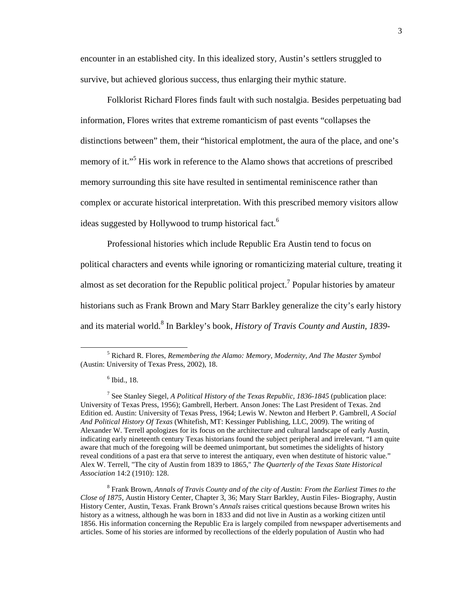encounter in an established city. In this idealized story, Austin's settlers struggled to survive, but achieved glorious success, thus enlarging their mythic stature.

Folklorist Richard Flores finds fault with such nostalgia. Besides perpetuating bad information, Flores writes that extreme romanticism of past events "collapses the distinctions between" them, their "historical emplotment, the aura of the place, and one's memory of it."<sup>5</sup> His work in reference to the Alamo shows that accretions of prescribed memory surrounding this site have resulted in sentimental reminiscence rather than complex or accurate historical interpretation. With this prescribed memory visitors allow ideas suggested by Hollywood to trump historical fact.<sup>6</sup>

Professional histories which include Republic Era Austin tend to focus on political characters and events while ignoring or romanticizing material culture, treating it almost as set decoration for the Republic political project.<sup>7</sup> Popular histories by amateur historians such as Frank Brown and Mary Starr Barkley generalize the city's early history and its material world.<sup>8</sup> In Barkley's book, *History of Travis County and Austin*, 1839-

<sup>5</sup> Richard R. Flores, *Remembering the Alamo: Memory, Modernity, And The Master Symbol* (Austin: University of Texas Press, 2002), 18.

<sup>6</sup> Ibid., 18.

<sup>7</sup> See Stanley Siegel, *A Political History of the Texas Republic, 1836-1845* (publication place: University of Texas Press, 1956); Gambrell, Herbert. Anson Jones: The Last President of Texas. 2nd Edition ed. Austin: University of Texas Press, 1964; Lewis W. Newton and Herbert P. Gambrell, *A Social And Political History Of Texas* (Whitefish, MT: Kessinger Publishing, LLC, 2009). The writing of Alexander W. Terrell apologizes for its focus on the architecture and cultural landscape of early Austin, indicating early nineteenth century Texas historians found the subject peripheral and irrelevant. "I am quite aware that much of the foregoing will be deemed unimportant, but sometimes the sidelights of history reveal conditions of a past era that serve to interest the antiquary, even when destitute of historic value." Alex W. Terrell, "The city of Austin from 1839 to 1865," *The Quarterly of the Texas State Historical Association* 14:2 (1910): 128.

<sup>&</sup>lt;sup>8</sup> Frank Brown, *Annals of Travis County and of the city of Austin: From the Earliest Times to the Close of 1875*, Austin History Center, Chapter 3, 36; Mary Starr Barkley, Austin Files- Biography, Austin History Center, Austin, Texas. Frank Brown's *Annals* raises critical questions because Brown writes his history as a witness, although he was born in 1833 and did not live in Austin as a working citizen until 1856. His information concerning the Republic Era is largely compiled from newspaper advertisements and articles. Some of his stories are informed by recollections of the elderly population of Austin who had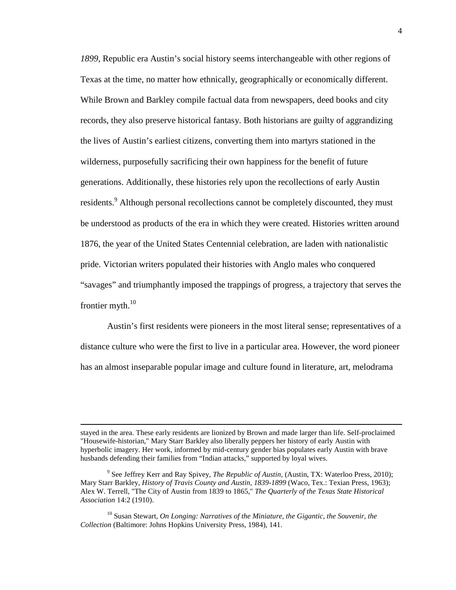*1899,* Republic era Austin's social history seems interchangeable with other regions of Texas at the time, no matter how ethnically, geographically or economically different. While Brown and Barkley compile factual data from newspapers, deed books and city records, they also preserve historical fantasy. Both historians are guilty of aggrandizing the lives of Austin's earliest citizens, converting them into martyrs stationed in the wilderness, purposefully sacrificing their own happiness for the benefit of future generations. Additionally, these histories rely upon the recollections of early Austin residents.<sup>9</sup> Although personal recollections cannot be completely discounted, they must be understood as products of the era in which they were created. Histories written around 1876, the year of the United States Centennial celebration, are laden with nationalistic pride. Victorian writers populated their histories with Anglo males who conquered "savages" and triumphantly imposed the trappings of progress, a trajectory that serves the frontier myth. $^{10}$ 

Austin's first residents were pioneers in the most literal sense; representatives of a distance culture who were the first to live in a particular area. However, the word pioneer has an almost inseparable popular image and culture found in literature, art, melodrama

stayed in the area. These early residents are lionized by Brown and made larger than life. Self-proclaimed "Housewife-historian," Mary Starr Barkley also liberally peppers her history of early Austin with hyperbolic imagery. Her work, informed by mid-century gender bias populates early Austin with brave husbands defending their families from "Indian attacks," supported by loyal wives.

<sup>9</sup> See Jeffrey Kerr and Ray Spivey, *The Republic of Austin*, (Austin, TX: Waterloo Press, 2010); Mary Starr Barkley, *History of Travis County and Austin, 1839-1899* (Waco, Tex.: Texian Press, 1963); Alex W. Terrell, "The City of Austin from 1839 to 1865," *The Quarterly of the Texas State Historical Association* 14:2 (1910).

<sup>10</sup> Susan Stewart, *On Longing: Narratives of the Miniature, the Gigantic, the Souvenir, the Collection* (Baltimore: Johns Hopkins University Press, 1984), 141.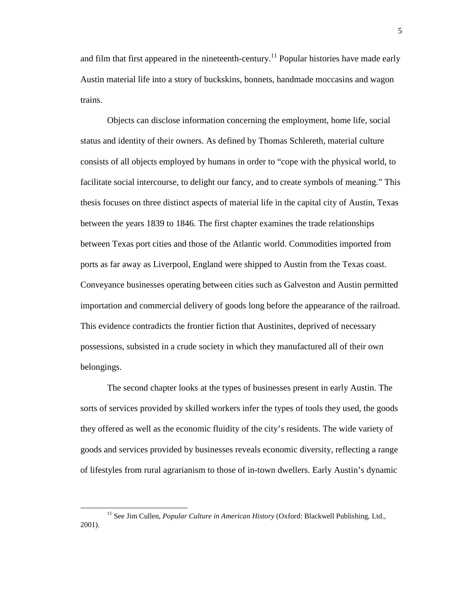and film that first appeared in the nineteenth-century.<sup>11</sup> Popular histories have made early Austin material life into a story of buckskins, bonnets, handmade moccasins and wagon trains.

Objects can disclose information concerning the employment, home life, social status and identity of their owners. As defined by Thomas Schlereth, material culture consists of all objects employed by humans in order to "cope with the physical world, to facilitate social intercourse, to delight our fancy, and to create symbols of meaning." This thesis focuses on three distinct aspects of material life in the capital city of Austin, Texas between the years 1839 to 1846. The first chapter examines the trade relationships between Texas port cities and those of the Atlantic world. Commodities imported from ports as far away as Liverpool, England were shipped to Austin from the Texas coast. Conveyance businesses operating between cities such as Galveston and Austin permitted importation and commercial delivery of goods long before the appearance of the railroad. This evidence contradicts the frontier fiction that Austinites, deprived of necessary possessions, subsisted in a crude society in which they manufactured all of their own belongings.

The second chapter looks at the types of businesses present in early Austin. The sorts of services provided by skilled workers infer the types of tools they used, the goods they offered as well as the economic fluidity of the city's residents. The wide variety of goods and services provided by businesses reveals economic diversity, reflecting a range of lifestyles from rural agrarianism to those of in-town dwellers. Early Austin's dynamic

<sup>&</sup>lt;u>.</u> <sup>11</sup> See Jim Cullen, *Popular Culture in American History* (Oxford: Blackwell Publishing, Ltd., 2001).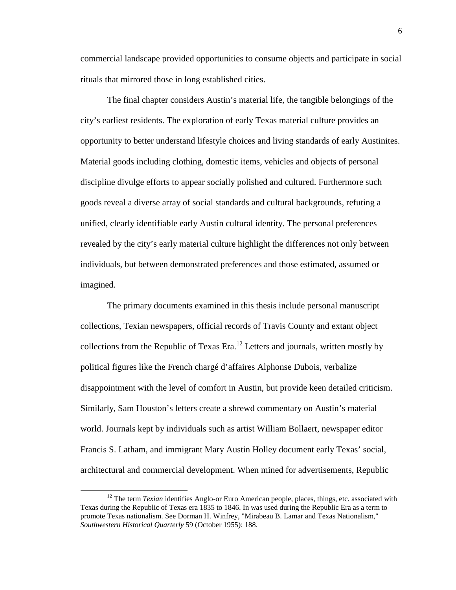commercial landscape provided opportunities to consume objects and participate in social rituals that mirrored those in long established cities.

The final chapter considers Austin's material life, the tangible belongings of the city's earliest residents. The exploration of early Texas material culture provides an opportunity to better understand lifestyle choices and living standards of early Austinites. Material goods including clothing, domestic items, vehicles and objects of personal discipline divulge efforts to appear socially polished and cultured. Furthermore such goods reveal a diverse array of social standards and cultural backgrounds, refuting a unified, clearly identifiable early Austin cultural identity. The personal preferences revealed by the city's early material culture highlight the differences not only between individuals, but between demonstrated preferences and those estimated, assumed or imagined.

The primary documents examined in this thesis include personal manuscript collections, Texian newspapers, official records of Travis County and extant object collections from the Republic of Texas Era.<sup>12</sup> Letters and journals, written mostly by political figures like the French chargé d'affaires Alphonse Dubois, verbalize disappointment with the level of comfort in Austin, but provide keen detailed criticism. Similarly, Sam Houston's letters create a shrewd commentary on Austin's material world. Journals kept by individuals such as artist William Bollaert, newspaper editor Francis S. Latham, and immigrant Mary Austin Holley document early Texas' social, architectural and commercial development. When mined for advertisements, Republic

<sup>&</sup>lt;sup>12</sup> The term *Texian* identifies Anglo-or Euro American people, places, things, etc. associated with Texas during the Republic of Texas era 1835 to 1846. In was used during the Republic Era as a term to promote Texas nationalism. See Dorman H. Winfrey, "Mirabeau B. Lamar and Texas Nationalism," *Southwestern Historical Quarterly* 59 (October 1955): 188.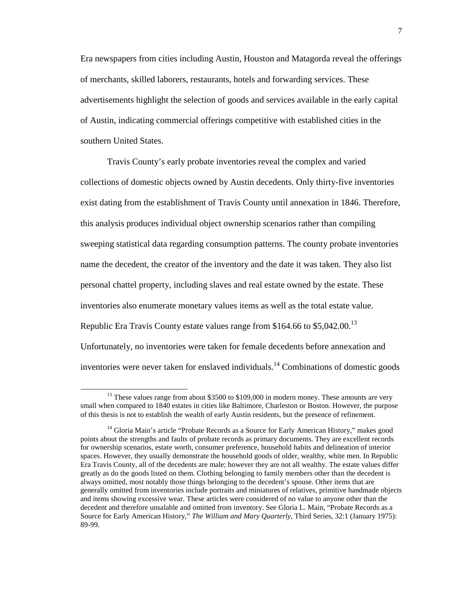Era newspapers from cities including Austin, Houston and Matagorda reveal the offerings of merchants, skilled laborers, restaurants, hotels and forwarding services. These advertisements highlight the selection of goods and services available in the early capital of Austin, indicating commercial offerings competitive with established cities in the southern United States.

Travis County's early probate inventories reveal the complex and varied collections of domestic objects owned by Austin decedents. Only thirty-five inventories exist dating from the establishment of Travis County until annexation in 1846. Therefore, this analysis produces individual object ownership scenarios rather than compiling sweeping statistical data regarding consumption patterns. The county probate inventories name the decedent, the creator of the inventory and the date it was taken. They also list personal chattel property, including slaves and real estate owned by the estate. These inventories also enumerate monetary values items as well as the total estate value. Republic Era Travis County estate values range from \$164.66 to \$5,042.00.<sup>13</sup> Unfortunately, no inventories were taken for female decedents before annexation and inventories were never taken for enslaved individuals.<sup>14</sup> Combinations of domestic goods

<sup>&</sup>lt;sup>13</sup> These values range from about \$3500 to \$109,000 in modern money. These amounts are very small when compared to 1840 estates in cities like Baltimore, Charleston or Boston. However, the purpose of this thesis is not to establish the wealth of early Austin residents, but the presence of refinement.

<sup>&</sup>lt;sup>14</sup> Gloria Main's article "Probate Records as a Source for Early American History," makes good points about the strengths and faults of probate records as primary documents. They are excellent records for ownership scenarios, estate worth, consumer preference, household habits and delineation of interior spaces. However, they usually demonstrate the household goods of older, wealthy, white men. In Republic Era Travis County, all of the decedents are male; however they are not all wealthy. The estate values differ greatly as do the goods listed on them. Clothing belonging to family members other than the decedent is always omitted, most notably those things belonging to the decedent's spouse. Other items that are generally omitted from inventories include portraits and miniatures of relatives, primitive handmade objects and items showing excessive wear. These articles were considered of no value to anyone other than the decedent and therefore unsalable and omitted from inventory. See Gloria L. Main, "Probate Records as a Source for Early American History," *The William and Mary Quarterly*, Third Series, 32:1 (January 1975): 89-99.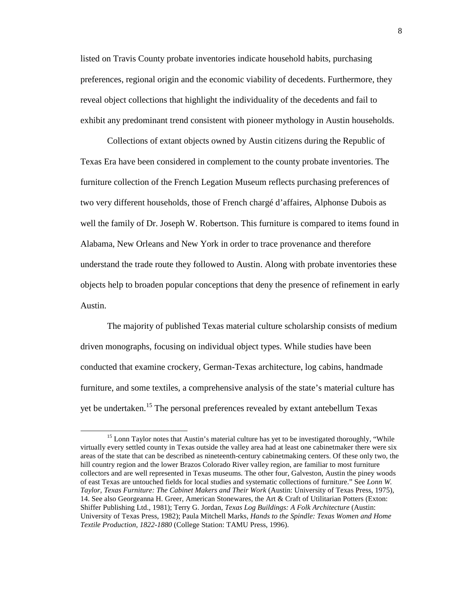listed on Travis County probate inventories indicate household habits, purchasing preferences, regional origin and the economic viability of decedents. Furthermore, they reveal object collections that highlight the individuality of the decedents and fail to exhibit any predominant trend consistent with pioneer mythology in Austin households.

Collections of extant objects owned by Austin citizens during the Republic of Texas Era have been considered in complement to the county probate inventories. The furniture collection of the French Legation Museum reflects purchasing preferences of two very different households, those of French chargé d'affaires, Alphonse Dubois as well the family of Dr. Joseph W. Robertson. This furniture is compared to items found in Alabama, New Orleans and New York in order to trace provenance and therefore understand the trade route they followed to Austin. Along with probate inventories these objects help to broaden popular conceptions that deny the presence of refinement in early Austin.

The majority of published Texas material culture scholarship consists of medium driven monographs, focusing on individual object types. While studies have been conducted that examine crockery, German-Texas architecture, log cabins, handmade furniture, and some textiles, a comprehensive analysis of the state's material culture has yet be undertaken.<sup>15</sup> The personal preferences revealed by extant antebellum Texas

<sup>&</sup>lt;sup>15</sup> Lonn Taylor notes that Austin's material culture has yet to be investigated thoroughly, "While virtually every settled county in Texas outside the valley area had at least one cabinetmaker there were six areas of the state that can be described as nineteenth-century cabinetmaking centers. Of these only two, the hill country region and the lower Brazos Colorado River valley region, are familiar to most furniture collectors and are well represented in Texas museums. The other four, Galveston, Austin the piney woods of east Texas are untouched fields for local studies and systematic collections of furniture." See *Lonn W. Taylor, Texas Furniture: The Cabinet Makers and Their Work* (Austin: University of Texas Press, 1975), 14. See also Georgeanna H. Greer, American Stonewares, the Art & Craft of Utilitarian Potters (Exton: Shiffer Publishing Ltd., 1981); Terry G. Jordan, *Texas Log Buildings: A Folk Architecture* (Austin: University of Texas Press, 1982); Paula Mitchell Marks, *Hands to the Spindle: Texas Women and Home Textile Production, 1822-1880* (College Station: TAMU Press, 1996).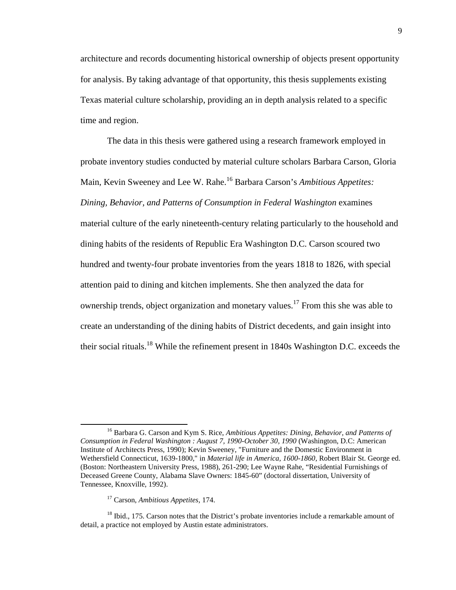architecture and records documenting historical ownership of objects present opportunity for analysis. By taking advantage of that opportunity, this thesis supplements existing Texas material culture scholarship, providing an in depth analysis related to a specific time and region.

The data in this thesis were gathered using a research framework employed in probate inventory studies conducted by material culture scholars Barbara Carson, Gloria Main, Kevin Sweeney and Lee W. Rahe.<sup>16</sup> Barbara Carson's *Ambitious Appetites: Dining, Behavior, and Patterns of Consumption in Federal Washington* examines material culture of the early nineteenth-century relating particularly to the household and dining habits of the residents of Republic Era Washington D.C. Carson scoured two hundred and twenty-four probate inventories from the years 1818 to 1826, with special attention paid to dining and kitchen implements. She then analyzed the data for ownership trends, object organization and monetary values.<sup>17</sup> From this she was able to create an understanding of the dining habits of District decedents, and gain insight into their social rituals.<sup>18</sup> While the refinement present in 1840s Washington D.C. exceeds the

<sup>16</sup> Barbara G. Carson and Kym S. Rice, *Ambitious Appetites: Dining, Behavior, and Patterns of Consumption in Federal Washington : August 7, 1990-October 30, 1990* (Washington, D.C: American Institute of Architects Press, 1990); Kevin Sweeney, "Furniture and the Domestic Environment in Wethersfield Connecticut, 1639-1800," in *Material life in America, 1600-1860,* Robert Blair St. George ed. (Boston: Northeastern University Press, 1988), 261-290; Lee Wayne Rahe, "Residential Furnishings of Deceased Greene County, Alabama Slave Owners: 1845-60" (doctoral dissertation, University of Tennessee, Knoxville, 1992).

<sup>17</sup> Carson, *Ambitious Appetites,* 174.

<sup>&</sup>lt;sup>18</sup> Ibid., 175. Carson notes that the District's probate inventories include a remarkable amount of detail, a practice not employed by Austin estate administrators.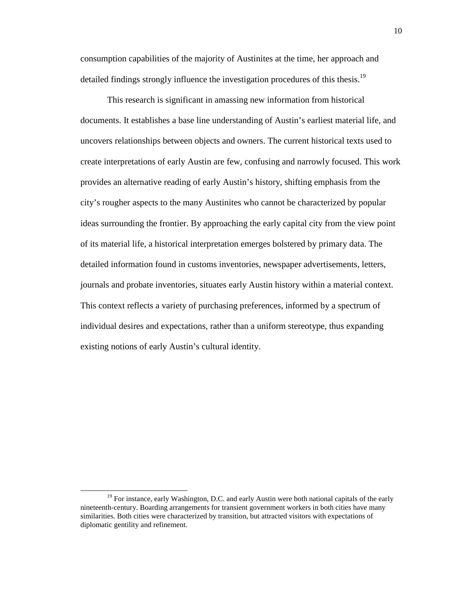consumption capabilities of the majority of Austinites at the time, her approach and detailed findings strongly influence the investigation procedures of this thesis.<sup>19</sup>

This research is significant in amassing new information from historical documents. It establishes a base line understanding of Austin's earliest material life, and uncovers relationships between objects and owners. The current historical texts used to create interpretations of early Austin are few, confusing and narrowly focused. This work provides an alternative reading of early Austin's history, shifting emphasis from the city's rougher aspects to the many Austinites who cannot be characterized by popular ideas surrounding the frontier. By approaching the early capital city from the view point of its material life, a historical interpretation emerges bolstered by primary data. The detailed information found in customs inventories, newspaper advertisements, letters, journals and probate inventories, situates early Austin history within a material context. This context reflects a variety of purchasing preferences, informed by a spectrum of individual desires and expectations, rather than a uniform stereotype, thus expanding existing notions of early Austin's cultural identity.

 $19$  For instance, early Washington, D.C. and early Austin were both national capitals of the early nineteenth-century. Boarding arrangements for transient government workers in both cities have many similarities. Both cities were characterized by transition, but attracted visitors with expectations of diplomatic gentility and refinement.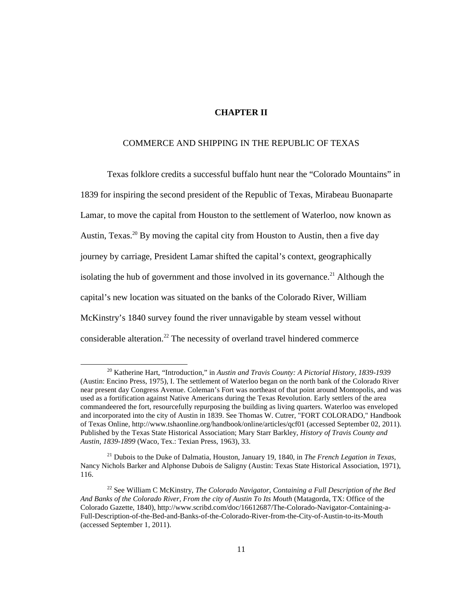## **CHAPTER II**

### COMMERCE AND SHIPPING IN THE REPUBLIC OF TEXAS

Texas folklore credits a successful buffalo hunt near the "Colorado Mountains" in 1839 for inspiring the second president of the Republic of Texas, Mirabeau Buonaparte Lamar, to move the capital from Houston to the settlement of Waterloo, now known as Austin, Texas.<sup>20</sup> By moving the capital city from Houston to Austin, then a five day journey by carriage, President Lamar shifted the capital's context, geographically isolating the hub of government and those involved in its governance.<sup>21</sup> Although the capital's new location was situated on the banks of the Colorado River, William McKinstry's 1840 survey found the river unnavigable by steam vessel without considerable alteration.<sup>22</sup> The necessity of overland travel hindered commerce

<sup>20</sup> Katherine Hart, "Introduction," in *Austin and Travis County: A Pictorial History, 1839-1939* (Austin: Encino Press, 1975), I. The settlement of Waterloo began on the north bank of the Colorado River near present day Congress Avenue. Coleman's Fort was northeast of that point around Montopolis, and was used as a fortification against Native Americans during the Texas Revolution. Early settlers of the area commandeered the fort, resourcefully repurposing the building as living quarters. Waterloo was enveloped and incorporated into the city of Austin in 1839. See Thomas W. Cutrer, "FORT COLORADO," Handbook of Texas Online, http://www.tshaonline.org/handbook/online/articles/qcf01 (accessed September 02, 2011). Published by the Texas State Historical Association; Mary Starr Barkley, *History of Travis County and Austin, 1839-1899* (Waco, Tex.: Texian Press, 1963), 33.

<sup>21</sup> Dubois to the Duke of Dalmatia, Houston, January 19, 1840, in *The French Legation in Texas,* Nancy Nichols Barker and Alphonse Dubois de Saligny (Austin: Texas State Historical Association, 1971), 116.

<sup>22</sup> See William C McKinstry, *The Colorado Navigator, Containing a Full Description of the Bed And Banks of the Colorado River, From the city of Austin To Its Mouth* (Matagorda, TX: Office of the Colorado Gazette, 1840), http://www.scribd.com/doc/16612687/The-Colorado-Navigator-Containing-a-Full-Description-of-the-Bed-and-Banks-of-the-Colorado-River-from-the-City-of-Austin-to-its-Mouth (accessed September 1, 2011).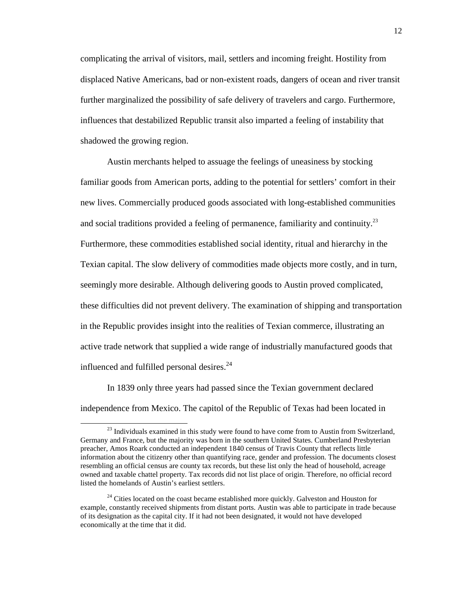complicating the arrival of visitors, mail, settlers and incoming freight. Hostility from displaced Native Americans, bad or non-existent roads, dangers of ocean and river transit further marginalized the possibility of safe delivery of travelers and cargo. Furthermore, influences that destabilized Republic transit also imparted a feeling of instability that shadowed the growing region.

Austin merchants helped to assuage the feelings of uneasiness by stocking familiar goods from American ports, adding to the potential for settlers' comfort in their new lives. Commercially produced goods associated with long-established communities and social traditions provided a feeling of permanence, familiarity and continuity.<sup>23</sup> Furthermore, these commodities established social identity, ritual and hierarchy in the Texian capital. The slow delivery of commodities made objects more costly, and in turn, seemingly more desirable. Although delivering goods to Austin proved complicated, these difficulties did not prevent delivery. The examination of shipping and transportation in the Republic provides insight into the realities of Texian commerce, illustrating an active trade network that supplied a wide range of industrially manufactured goods that influenced and fulfilled personal desires.<sup>24</sup>

In 1839 only three years had passed since the Texian government declared independence from Mexico. The capitol of the Republic of Texas had been located in

 $23$  Individuals examined in this study were found to have come from to Austin from Switzerland, Germany and France, but the majority was born in the southern United States. Cumberland Presbyterian preacher, Amos Roark conducted an independent 1840 census of Travis County that reflects little information about the citizenry other than quantifying race, gender and profession. The documents closest resembling an official census are county tax records, but these list only the head of household, acreage owned and taxable chattel property. Tax records did not list place of origin. Therefore, no official record listed the homelands of Austin's earliest settlers.

 $24$  Cities located on the coast became established more quickly. Galveston and Houston for example, constantly received shipments from distant ports. Austin was able to participate in trade because of its designation as the capital city. If it had not been designated, it would not have developed economically at the time that it did.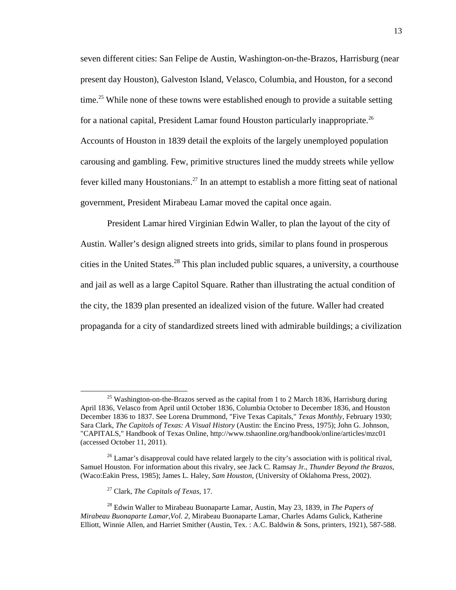seven different cities: San Felipe de Austin, Washington-on-the-Brazos, Harrisburg (near present day Houston), Galveston Island, Velasco, Columbia, and Houston, for a second time.<sup>25</sup> While none of these towns were established enough to provide a suitable setting for a national capital, President Lamar found Houston particularly inappropriate.<sup>26</sup> Accounts of Houston in 1839 detail the exploits of the largely unemployed population carousing and gambling. Few, primitive structures lined the muddy streets while yellow fever killed many Houstonians.<sup>27</sup> In an attempt to establish a more fitting seat of national government, President Mirabeau Lamar moved the capital once again.

President Lamar hired Virginian Edwin Waller, to plan the layout of the city of Austin. Waller's design aligned streets into grids, similar to plans found in prosperous cities in the United States.<sup>28</sup> This plan included public squares, a university, a courthouse and jail as well as a large Capitol Square. Rather than illustrating the actual condition of the city, the 1839 plan presented an idealized vision of the future. Waller had created propaganda for a city of standardized streets lined with admirable buildings; a civilization

<sup>&</sup>lt;sup>25</sup> Washington-on-the-Brazos served as the capital from 1 to 2 March 1836. Harrisburg during April 1836, Velasco from April until October 1836, Columbia October to December 1836, and Houston December 1836 to 1837. See Lorena Drummond, "Five Texas Capitals," *Texas Monthly*, February 1930; Sara Clark, *The Capitols of Texas: A Visual History* (Austin: the Encino Press, 1975); John G. Johnson, "CAPITALS," Handbook of Texas Online, http://www.tshaonline.org/handbook/online/articles/mzc01 (accessed October 11, 2011).

 $26$  Lamar's disapproval could have related largely to the city's association with is political rival, Samuel Houston. For information about this rivalry, see Jack C. Ramsay Jr., *Thunder Beyond the Brazos*, (Waco:Eakin Press, 1985); James L. Haley, *Sam Houston*, (University of Oklahoma Press, 2002).

<sup>27</sup> Clark, *The Capitals of Texas*, 17.

<sup>28</sup> Edwin Waller to Mirabeau Buonaparte Lamar, Austin, May 23, 1839, in *The Papers of Mirabeau Buonaparte Lamar,Vol. 2,* Mirabeau Buonaparte Lamar, Charles Adams Gulick, Katherine Elliott, Winnie Allen, and Harriet Smither (Austin, Tex. : A.C. Baldwin & Sons, printers, 1921), 587-588.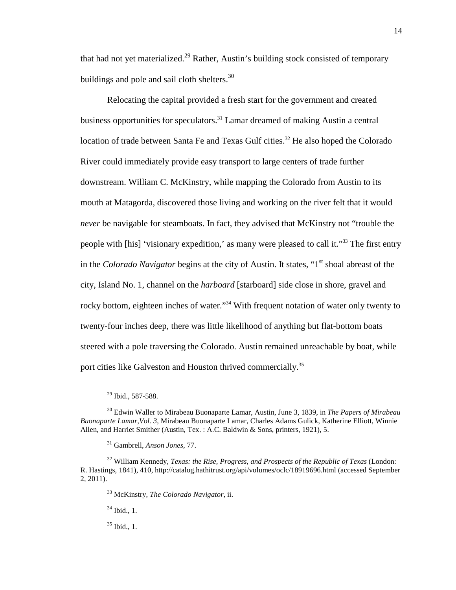that had not yet materialized.<sup>29</sup> Rather, Austin's building stock consisted of temporary buildings and pole and sail cloth shelters.<sup>30</sup>

Relocating the capital provided a fresh start for the government and created business opportunities for speculators.<sup>31</sup> Lamar dreamed of making Austin a central location of trade between Santa Fe and Texas Gulf cities.<sup>32</sup> He also hoped the Colorado River could immediately provide easy transport to large centers of trade further downstream. William C. McKinstry, while mapping the Colorado from Austin to its mouth at Matagorda, discovered those living and working on the river felt that it would *never* be navigable for steamboats. In fact, they advised that McKinstry not "trouble the people with [his] 'visionary expedition,' as many were pleased to call it."<sup>33</sup> The first entry in the *Colorado Navigator* begins at the city of Austin. It states, "1<sup>st</sup> shoal abreast of the city, Island No. 1, channel on the *harboard* [starboard] side close in shore, gravel and rocky bottom, eighteen inches of water."<sup>34</sup> With frequent notation of water only twenty to twenty-four inches deep, there was little likelihood of anything but flat-bottom boats steered with a pole traversing the Colorado. Austin remained unreachable by boat, while port cities like Galveston and Houston thrived commercially.<sup>35</sup>

<u>.</u>

<sup>33</sup> McKinstry, *The Colorado Navigator,* ii.

 $34$  Ibid., 1.

<sup>35</sup> Ibid., 1.

 $29$  Ibid., 587-588.

<sup>30</sup> Edwin Waller to Mirabeau Buonaparte Lamar, Austin, June 3, 1839, in *The Papers of Mirabeau Buonaparte Lamar,Vol. 3,* Mirabeau Buonaparte Lamar, Charles Adams Gulick, Katherine Elliott, Winnie Allen, and Harriet Smither (Austin, Tex. : A.C. Baldwin & Sons, printers, 1921), 5.

<sup>31</sup> Gambrell, *Anson Jones,* 77.

<sup>32</sup> William Kennedy, *Texas: the Rise, Progress, and Prospects of the Republic of Texas* (London: R. Hastings, 1841), 410, http://catalog.hathitrust.org/api/volumes/oclc/18919696.html (accessed September 2, 2011).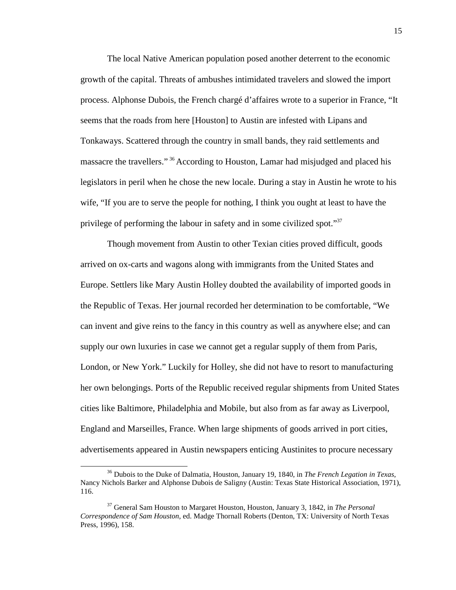The local Native American population posed another deterrent to the economic growth of the capital. Threats of ambushes intimidated travelers and slowed the import process. Alphonse Dubois, the French chargé d'affaires wrote to a superior in France, "It seems that the roads from here [Houston] to Austin are infested with Lipans and Tonkaways. Scattered through the country in small bands, they raid settlements and massacre the travellers." <sup>36</sup> According to Houston, Lamar had misjudged and placed his legislators in peril when he chose the new locale. During a stay in Austin he wrote to his wife, "If you are to serve the people for nothing, I think you ought at least to have the privilege of performing the labour in safety and in some civilized spot."<sup>37</sup>

Though movement from Austin to other Texian cities proved difficult, goods arrived on ox-carts and wagons along with immigrants from the United States and Europe. Settlers like Mary Austin Holley doubted the availability of imported goods in the Republic of Texas. Her journal recorded her determination to be comfortable, "We can invent and give reins to the fancy in this country as well as anywhere else; and can supply our own luxuries in case we cannot get a regular supply of them from Paris, London, or New York." Luckily for Holley, she did not have to resort to manufacturing her own belongings. Ports of the Republic received regular shipments from United States cities like Baltimore, Philadelphia and Mobile, but also from as far away as Liverpool, England and Marseilles, France. When large shipments of goods arrived in port cities, advertisements appeared in Austin newspapers enticing Austinites to procure necessary

<sup>36</sup> Dubois to the Duke of Dalmatia, Houston, January 19, 1840, in *The French Legation in Texas*, Nancy Nichols Barker and Alphonse Dubois de Saligny (Austin: Texas State Historical Association, 1971), 116.

<sup>37</sup> General Sam Houston to Margaret Houston, Houston, January 3, 1842, in *The Personal Correspondence of Sam Houston*, ed. Madge Thornall Roberts (Denton, TX: University of North Texas Press, 1996), 158.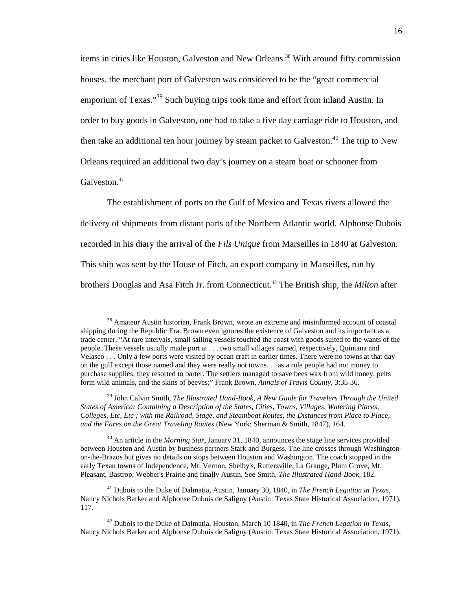items in cities like Houston, Galveston and New Orleans.<sup>38</sup> With around fifty commission houses, the merchant port of Galveston was considered to be the "great commercial emporium of Texas."<sup>39</sup> Such buying trips took time and effort from inland Austin. In order to buy goods in Galveston, one had to take a five day carriage ride to Houston, and then take an additional ten hour journey by steam packet to Galveston.<sup>40</sup> The trip to New Orleans required an additional two day's journey on a steam boat or schooner from Galveston.<sup>41</sup>

The establishment of ports on the Gulf of Mexico and Texas rivers allowed the delivery of shipments from distant parts of the Northern Atlantic world. Alphonse Dubois recorded in his diary the arrival of the *Fils Unique* from Marseilles in 1840 at Galveston. This ship was sent by the House of Fitch, an export company in Marseilles, run by brothers Douglas and Asa Fitch Jr. from Connecticut. <sup>42</sup> The British ship, the *Milton* after

-

<sup>40</sup> An article in the *Morning Star*, January 31, 1840, announces the stage line services provided between Houston and Austin by business partners Stark and Burgess. The line crosses through Washingtonon-the-Brazos but gives no details on stops between Houston and Washington. The coach stopped in the early Texan towns of Independence, Mt. Vernon, Shelby's, Ruttersville, La Grange, Plum Grove, Mt. Pleasant, Bastrop, Webber's Prairie and finally Austin. See Smith, *The Illustrated Hand-Book,* 182.

<sup>41</sup> Dubois to the Duke of Dalmatia, Austin, January 30, 1840, in *The French Legation in Texas*, Nancy Nichols Barker and Alphonse Dubois de Saligny (Austin: Texas State Historical Association, 1971), 117.

<sup>&</sup>lt;sup>38</sup> Amateur Austin historian, Frank Brown, wrote an extreme and misinformed account of coastal shipping during the Republic Era. Brown even ignores the existence of Galveston and its important as a trade center. "At rare intervals, small sailing vessels touched the coast with goods suited to the wants of the people. These vessels usually made port at . . . two small villages named, respectively, Quintana and Velasco . . . Only a few ports were visited by ocean craft in earlier times. There were no towns at that day on the gulf except those named and they were really not towns. . . as a rule people had not money to purchase supplies; they resorted to barter. The settlers managed to save bees wax from wild honey, pelts form wild animals, and the skins of beeves;" Frank Brown, *Annals of Travis County*, 3:35-36.

<sup>39</sup> John Calvin Smith, *The Illustrated Hand-Book, A New Guide for Travelers Through the United States of America: Containing a Description of the States, Cities, Towns, Villages, Watering Places, Colleges, Etc, Etc ; with the Railroad, Stage, and Steamboat Routes, the Distances from Place to Place, and the Fares on the Great Traveling Routes* (New York: Sherman & Smith, 1847), 164.

<sup>42</sup> Dubois to the Duke of Dalmatia, Houston, March 10 1840, in *The French Legation in Texas*, Nancy Nichols Barker and Alphonse Dubois de Saligny (Austin: Texas State Historical Association, 1971),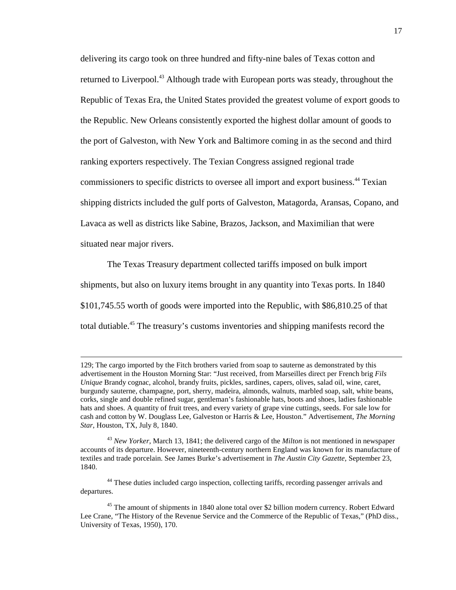delivering its cargo took on three hundred and fifty-nine bales of Texas cotton and returned to Liverpool.<sup>43</sup> Although trade with European ports was steady, throughout the Republic of Texas Era, the United States provided the greatest volume of export goods to the Republic. New Orleans consistently exported the highest dollar amount of goods to the port of Galveston, with New York and Baltimore coming in as the second and third ranking exporters respectively. The Texian Congress assigned regional trade commissioners to specific districts to oversee all import and export business.<sup>44</sup> Texian shipping districts included the gulf ports of Galveston, Matagorda, Aransas, Copano, and Lavaca as well as districts like Sabine, Brazos, Jackson, and Maximilian that were situated near major rivers.

The Texas Treasury department collected tariffs imposed on bulk import shipments, but also on luxury items brought in any quantity into Texas ports. In 1840 \$101,745.55 worth of goods were imported into the Republic, with \$86,810.25 of that total dutiable.<sup>45</sup> The treasury's customs inventories and shipping manifests record the

-

<sup>44</sup> These duties included cargo inspection, collecting tariffs, recording passenger arrivals and departures.

<sup>129;</sup> The cargo imported by the Fitch brothers varied from soap to sauterne as demonstrated by this advertisement in the Houston Morning Star: "Just received, from Marseilles direct per French brig *Fils Unique* Brandy cognac, alcohol, brandy fruits, pickles, sardines, capers, olives, salad oil, wine, caret, burgundy sauterne, champagne, port, sherry, madeira, almonds, walnuts, marbled soap, salt, white beans, corks, single and double refined sugar, gentleman's fashionable hats, boots and shoes, ladies fashionable hats and shoes. A quantity of fruit trees, and every variety of grape vine cuttings, seeds. For sale low for cash and cotton by W. Douglass Lee, Galveston or Harris & Lee, Houston." Advertisement, *The Morning Star*, Houston, TX, July 8, 1840.

<sup>43</sup> *New Yorker*, March 13, 1841; the delivered cargo of the *Milton* is not mentioned in newspaper accounts of its departure. However, nineteenth-century northern England was known for its manufacture of textiles and trade porcelain. See James Burke's advertisement in *The Austin City Gazette,* September 23, 1840.

<sup>&</sup>lt;sup>45</sup> The amount of shipments in 1840 alone total over \$2 billion modern currency. Robert Edward Lee Crane, "The History of the Revenue Service and the Commerce of the Republic of Texas," (PhD diss., University of Texas, 1950), 170.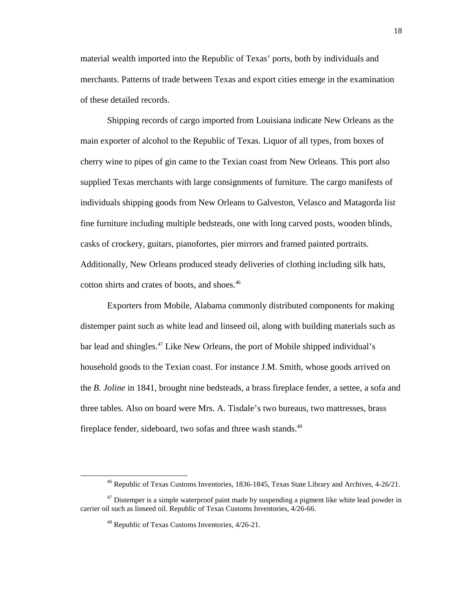material wealth imported into the Republic of Texas' ports, both by individuals and merchants. Patterns of trade between Texas and export cities emerge in the examination of these detailed records.

Shipping records of cargo imported from Louisiana indicate New Orleans as the main exporter of alcohol to the Republic of Texas. Liquor of all types, from boxes of cherry wine to pipes of gin came to the Texian coast from New Orleans. This port also supplied Texas merchants with large consignments of furniture. The cargo manifests of individuals shipping goods from New Orleans to Galveston, Velasco and Matagorda list fine furniture including multiple bedsteads, one with long carved posts, wooden blinds, casks of crockery, guitars, pianofortes, pier mirrors and framed painted portraits. Additionally, New Orleans produced steady deliveries of clothing including silk hats, cotton shirts and crates of boots, and shoes.<sup>46</sup>

Exporters from Mobile, Alabama commonly distributed components for making distemper paint such as white lead and linseed oil, along with building materials such as bar lead and shingles.<sup>47</sup> Like New Orleans, the port of Mobile shipped individual's household goods to the Texian coast. For instance J.M. Smith, whose goods arrived on the *B. Joline* in 1841, brought nine bedsteads, a brass fireplace fender, a settee, a sofa and three tables. Also on board were Mrs. A. Tisdale's two bureaus, two mattresses, brass fireplace fender, sideboard, two sofas and three wash stands.<sup>48</sup>

<sup>46</sup> Republic of Texas Customs Inventories, 1836-1845, Texas State Library and Archives, 4-26/21.

 $47$  Distemper is a simple waterproof paint made by suspending a pigment like white lead powder in carrier oil such as linseed oil. Republic of Texas Customs Inventories, 4/26-66.

<sup>48</sup> Republic of Texas Customs Inventories, 4/26-21.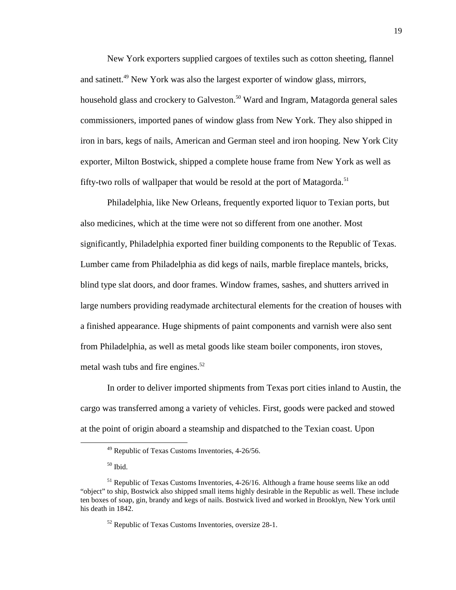New York exporters supplied cargoes of textiles such as cotton sheeting, flannel and satinett.<sup>49</sup> New York was also the largest exporter of window glass, mirrors, household glass and crockery to Galveston.<sup>50</sup> Ward and Ingram, Matagorda general sales commissioners, imported panes of window glass from New York. They also shipped in iron in bars, kegs of nails, American and German steel and iron hooping. New York City exporter, Milton Bostwick, shipped a complete house frame from New York as well as fifty-two rolls of wallpaper that would be resold at the port of Matagorda.<sup>51</sup>

Philadelphia, like New Orleans, frequently exported liquor to Texian ports, but also medicines, which at the time were not so different from one another. Most significantly, Philadelphia exported finer building components to the Republic of Texas. Lumber came from Philadelphia as did kegs of nails, marble fireplace mantels, bricks, blind type slat doors, and door frames. Window frames, sashes, and shutters arrived in large numbers providing readymade architectural elements for the creation of houses with a finished appearance. Huge shipments of paint components and varnish were also sent from Philadelphia, as well as metal goods like steam boiler components, iron stoves, metal wash tubs and fire engines. $52$ 

In order to deliver imported shipments from Texas port cities inland to Austin, the cargo was transferred among a variety of vehicles. First, goods were packed and stowed at the point of origin aboard a steamship and dispatched to the Texian coast. Upon

<sup>49</sup> Republic of Texas Customs Inventories, 4-26/56.

 $50$  Ibid.

<sup>&</sup>lt;sup>51</sup> Republic of Texas Customs Inventories, 4-26/16. Although a frame house seems like an odd "object" to ship, Bostwick also shipped small items highly desirable in the Republic as well. These include ten boxes of soap, gin, brandy and kegs of nails. Bostwick lived and worked in Brooklyn, New York until his death in 1842.

<sup>52</sup> Republic of Texas Customs Inventories, oversize 28-1.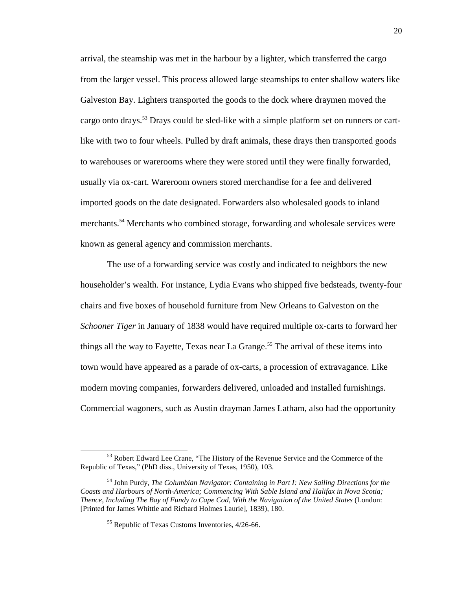arrival, the steamship was met in the harbour by a lighter, which transferred the cargo from the larger vessel. This process allowed large steamships to enter shallow waters like Galveston Bay. Lighters transported the goods to the dock where draymen moved the cargo onto drays.<sup>53</sup> Drays could be sled-like with a simple platform set on runners or cartlike with two to four wheels. Pulled by draft animals, these drays then transported goods to warehouses or warerooms where they were stored until they were finally forwarded, usually via ox-cart. Wareroom owners stored merchandise for a fee and delivered imported goods on the date designated. Forwarders also wholesaled goods to inland merchants.<sup>54</sup> Merchants who combined storage, forwarding and wholesale services were known as general agency and commission merchants.

The use of a forwarding service was costly and indicated to neighbors the new householder's wealth. For instance, Lydia Evans who shipped five bedsteads, twenty-four chairs and five boxes of household furniture from New Orleans to Galveston on the *Schooner Tiger* in January of 1838 would have required multiple ox-carts to forward her things all the way to Fayette, Texas near La Grange.<sup>55</sup> The arrival of these items into town would have appeared as a parade of ox-carts, a procession of extravagance. Like modern moving companies, forwarders delivered, unloaded and installed furnishings. Commercial wagoners, such as Austin drayman James Latham, also had the opportunity

<sup>&</sup>lt;sup>53</sup> Robert Edward Lee Crane, "The History of the Revenue Service and the Commerce of the Republic of Texas," (PhD diss., University of Texas, 1950), 103.

<sup>54</sup> John Purdy, *The Columbian Navigator: Containing in Part I: New Sailing Directions for the Coasts and Harbours of North-America; Commencing With Sable Island and Halifax in Nova Scotia; Thence, Including The Bay of Fundy to Cape Cod, With the Navigation of the United States* (London: [Printed for James Whittle and Richard Holmes Laurie], 1839), 180.

<sup>55</sup> Republic of Texas Customs Inventories, 4/26-66.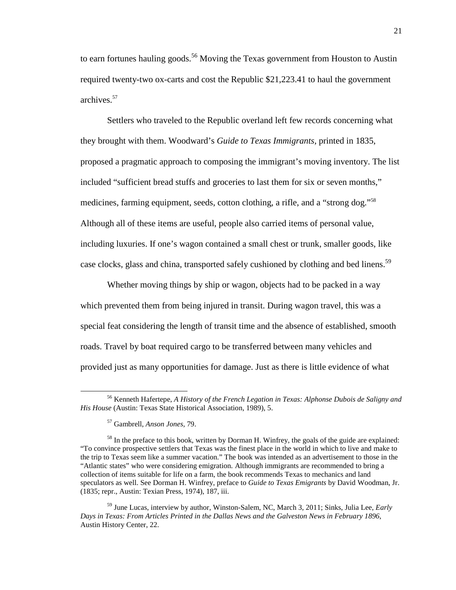to earn fortunes hauling goods.<sup>56</sup> Moving the Texas government from Houston to Austin required twenty-two ox-carts and cost the Republic \$21,223.41 to haul the government archives.<sup>57</sup>

Settlers who traveled to the Republic overland left few records concerning what they brought with them. Woodward's *Guide to Texas Immigrants,* printed in 1835, proposed a pragmatic approach to composing the immigrant's moving inventory. The list included "sufficient bread stuffs and groceries to last them for six or seven months," medicines, farming equipment, seeds, cotton clothing, a rifle, and a "strong dog."<sup>58</sup> Although all of these items are useful, people also carried items of personal value, including luxuries. If one's wagon contained a small chest or trunk, smaller goods, like case clocks, glass and china, transported safely cushioned by clothing and bed linens.<sup>59</sup>

Whether moving things by ship or wagon, objects had to be packed in a way which prevented them from being injured in transit. During wagon travel, this was a special feat considering the length of transit time and the absence of established, smooth roads. Travel by boat required cargo to be transferred between many vehicles and provided just as many opportunities for damage. Just as there is little evidence of what

<sup>56</sup> Kenneth Hafertepe, *A History of the French Legation in Texas: Alphonse Dubois de Saligny and His House* (Austin: Texas State Historical Association, 1989), 5.

<sup>57</sup> Gambrell, *Anson Jones,* 79.

<sup>&</sup>lt;sup>58</sup> In the preface to this book, written by Dorman H. Winfrey, the goals of the guide are explained: "To convince prospective settlers that Texas was the finest place in the world in which to live and make to the trip to Texas seem like a summer vacation." The book was intended as an advertisement to those in the "Atlantic states" who were considering emigration. Although immigrants are recommended to bring a collection of items suitable for life on a farm, the book recommends Texas to mechanics and land speculators as well. See Dorman H. Winfrey, preface to *Guide to Texas Emigrants* by David Woodman, Jr. (1835; repr., Austin: Texian Press, 1974), 187, iii.

<sup>59</sup> June Lucas, interview by author, Winston-Salem, NC, March 3, 2011; Sinks, Julia Lee, *Early Days in Texas: From Articles Printed in the Dallas News and the Galveston News in February 1896*, Austin History Center, 22.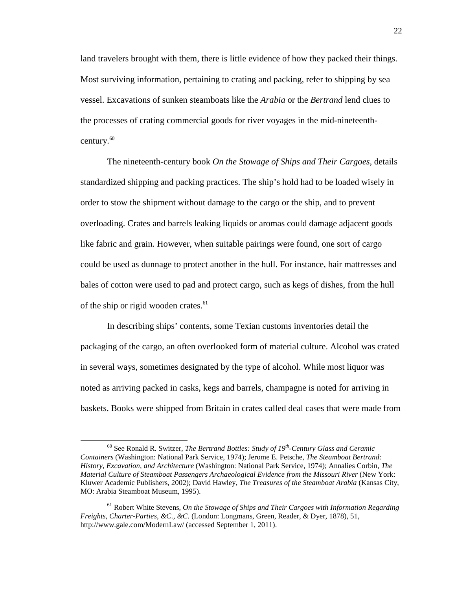land travelers brought with them, there is little evidence of how they packed their things. Most surviving information, pertaining to crating and packing, refer to shipping by sea vessel. Excavations of sunken steamboats like the *Arabia* or the *Bertrand* lend clues to the processes of crating commercial goods for river voyages in the mid-nineteenthcentury. $60$ 

The nineteenth-century book *On the Stowage of Ships and Their Cargoes,* details standardized shipping and packing practices. The ship's hold had to be loaded wisely in order to stow the shipment without damage to the cargo or the ship, and to prevent overloading. Crates and barrels leaking liquids or aromas could damage adjacent goods like fabric and grain. However, when suitable pairings were found, one sort of cargo could be used as dunnage to protect another in the hull. For instance, hair mattresses and bales of cotton were used to pad and protect cargo, such as kegs of dishes, from the hull of the ship or rigid wooden crates.<sup>61</sup>

In describing ships' contents, some Texian customs inventories detail the packaging of the cargo, an often overlooked form of material culture. Alcohol was crated in several ways, sometimes designated by the type of alcohol. While most liquor was noted as arriving packed in casks, kegs and barrels, champagne is noted for arriving in baskets. Books were shipped from Britain in crates called deal cases that were made from

<sup>60</sup> See Ronald R. Switzer, *The Bertrand Bottles: Study of 19th-Century Glass and Ceramic Containers* (Washington: National Park Service, 1974); Jerome E. Petsche, *The Steamboat Bertrand: History, Excavation, and Architecture* (Washington: National Park Service, 1974); Annalies Corbin, *The Material Culture of Steamboat Passengers Archaeological Evidence from the Missouri River* (New York: Kluwer Academic Publishers, 2002); David Hawley, *The Treasures of the Steamboat Arabia* (Kansas City, MO: Arabia Steamboat Museum, 1995).

<sup>61</sup> Robert White Stevens, *On the Stowage of Ships and Their Cargoes with Information Regarding Freights, Charter-Parties, &C., &C*. (London: Longmans, Green, Reader, & Dyer, 1878), 51, http://www.gale.com/ModernLaw/ (accessed September 1, 2011).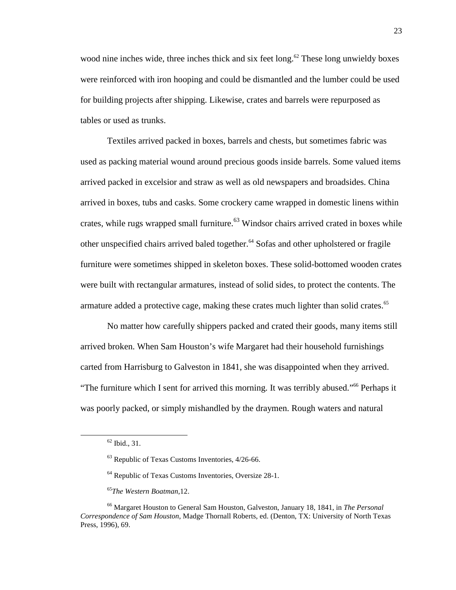wood nine inches wide, three inches thick and six feet long.<sup>62</sup> These long unwieldy boxes were reinforced with iron hooping and could be dismantled and the lumber could be used for building projects after shipping. Likewise, crates and barrels were repurposed as tables or used as trunks.

Textiles arrived packed in boxes, barrels and chests, but sometimes fabric was used as packing material wound around precious goods inside barrels. Some valued items arrived packed in excelsior and straw as well as old newspapers and broadsides. China arrived in boxes, tubs and casks. Some crockery came wrapped in domestic linens within crates, while rugs wrapped small furniture.<sup>63</sup> Windsor chairs arrived crated in boxes while other unspecified chairs arrived baled together.<sup>64</sup> Sofas and other upholstered or fragile furniture were sometimes shipped in skeleton boxes. These solid-bottomed wooden crates were built with rectangular armatures, instead of solid sides, to protect the contents. The armature added a protective cage, making these crates much lighter than solid crates.<sup>65</sup>

No matter how carefully shippers packed and crated their goods, many items still arrived broken. When Sam Houston's wife Margaret had their household furnishings carted from Harrisburg to Galveston in 1841, she was disappointed when they arrived. "The furniture which I sent for arrived this morning. It was terribly abused."<sup>66</sup> Perhaps it was poorly packed, or simply mishandled by the draymen. Rough waters and natural

 $62$  Ibid., 31.

<sup>63</sup> Republic of Texas Customs Inventories, 4/26-66.

<sup>64</sup> Republic of Texas Customs Inventories, Oversize 28-1.

<sup>65</sup>*The Western Boatman*,12.

<sup>66</sup> Margaret Houston to General Sam Houston, Galveston, January 18, 1841, in *The Personal Correspondence of Sam Houston*, Madge Thornall Roberts, ed. (Denton, TX: University of North Texas Press, 1996), 69.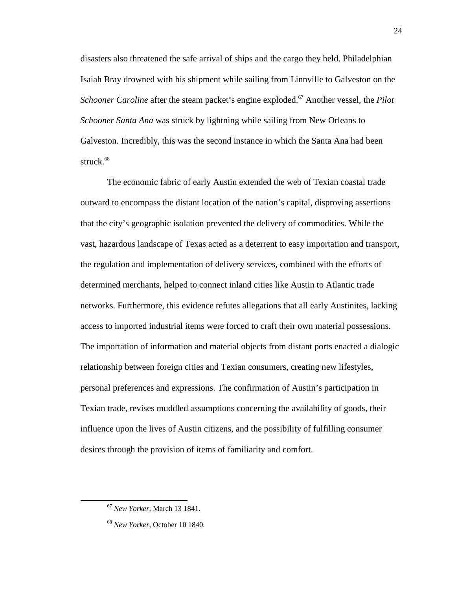disasters also threatened the safe arrival of ships and the cargo they held. Philadelphian Isaiah Bray drowned with his shipment while sailing from Linnville to Galveston on the *Schooner Caroline* after the steam packet's engine exploded.<sup>67</sup> Another vessel, the *Pilot Schooner Santa Ana* was struck by lightning while sailing from New Orleans to Galveston. Incredibly, this was the second instance in which the Santa Ana had been struck.<sup>68</sup>

The economic fabric of early Austin extended the web of Texian coastal trade outward to encompass the distant location of the nation's capital, disproving assertions that the city's geographic isolation prevented the delivery of commodities. While the vast, hazardous landscape of Texas acted as a deterrent to easy importation and transport, the regulation and implementation of delivery services, combined with the efforts of determined merchants, helped to connect inland cities like Austin to Atlantic trade networks. Furthermore, this evidence refutes allegations that all early Austinites, lacking access to imported industrial items were forced to craft their own material possessions. The importation of information and material objects from distant ports enacted a dialogic relationship between foreign cities and Texian consumers, creating new lifestyles, personal preferences and expressions. The confirmation of Austin's participation in Texian trade, revises muddled assumptions concerning the availability of goods, their influence upon the lives of Austin citizens, and the possibility of fulfilling consumer desires through the provision of items of familiarity and comfort.

<sup>67</sup> *New Yorker*, March 13 1841.

<sup>68</sup> *New Yorker*, October 10 1840.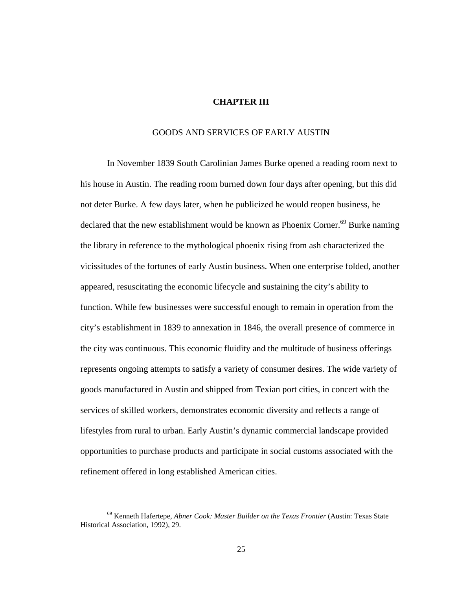### **CHAPTER III**

### GOODS AND SERVICES OF EARLY AUSTIN

In November 1839 South Carolinian James Burke opened a reading room next to his house in Austin. The reading room burned down four days after opening, but this did not deter Burke. A few days later, when he publicized he would reopen business, he declared that the new establishment would be known as Phoenix Corner.<sup>69</sup> Burke naming the library in reference to the mythological phoenix rising from ash characterized the vicissitudes of the fortunes of early Austin business. When one enterprise folded, another appeared, resuscitating the economic lifecycle and sustaining the city's ability to function. While few businesses were successful enough to remain in operation from the city's establishment in 1839 to annexation in 1846, the overall presence of commerce in the city was continuous. This economic fluidity and the multitude of business offerings represents ongoing attempts to satisfy a variety of consumer desires. The wide variety of goods manufactured in Austin and shipped from Texian port cities, in concert with the services of skilled workers, demonstrates economic diversity and reflects a range of lifestyles from rural to urban. Early Austin's dynamic commercial landscape provided opportunities to purchase products and participate in social customs associated with the refinement offered in long established American cities.

<sup>69</sup> Kenneth Hafertepe, *Abner Cook: Master Builder on the Texas Frontier* (Austin: Texas State Historical Association, 1992), 29.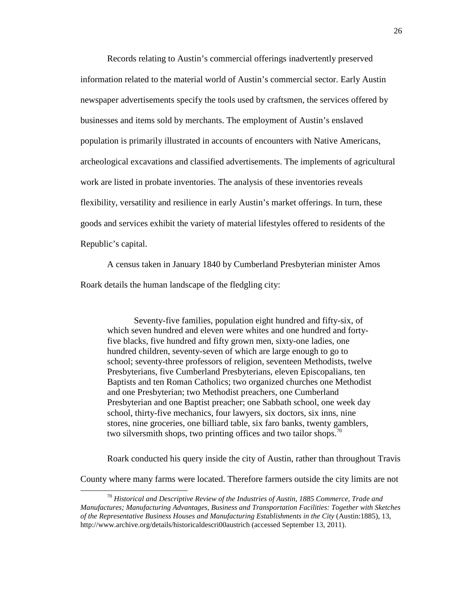Records relating to Austin's commercial offerings inadvertently preserved information related to the material world of Austin's commercial sector. Early Austin newspaper advertisements specify the tools used by craftsmen, the services offered by businesses and items sold by merchants. The employment of Austin's enslaved population is primarily illustrated in accounts of encounters with Native Americans, archeological excavations and classified advertisements. The implements of agricultural work are listed in probate inventories. The analysis of these inventories reveals flexibility, versatility and resilience in early Austin's market offerings. In turn, these goods and services exhibit the variety of material lifestyles offered to residents of the Republic's capital.

A census taken in January 1840 by Cumberland Presbyterian minister Amos Roark details the human landscape of the fledgling city:

Seventy-five families, population eight hundred and fifty-six, of which seven hundred and eleven were whites and one hundred and fortyfive blacks, five hundred and fifty grown men, sixty-one ladies, one hundred children, seventy-seven of which are large enough to go to school; seventy-three professors of religion, seventeen Methodists, twelve Presbyterians, five Cumberland Presbyterians, eleven Episcopalians, ten Baptists and ten Roman Catholics; two organized churches one Methodist and one Presbyterian; two Methodist preachers, one Cumberland Presbyterian and one Baptist preacher; one Sabbath school, one week day school, thirty-five mechanics, four lawyers, six doctors, six inns, nine stores, nine groceries, one billiard table, six faro banks, twenty gamblers, two silversmith shops, two printing offices and two tailor shops.<sup>70</sup>

Roark conducted his query inside the city of Austin, rather than throughout Travis

County where many farms were located. Therefore farmers outside the city limits are not

<sup>70</sup> *Historical and Descriptive Review of the Industries of Austin, 1885 Commerce, Trade and Manufactures; Manufacturing Advantages, Business and Transportation Facilities: Together with Sketches of the Representative Business Houses and Manufacturing Establishments in the City* (Austin:1885), 13, http://www.archive.org/details/historicaldescri00austrich (accessed September 13, 2011).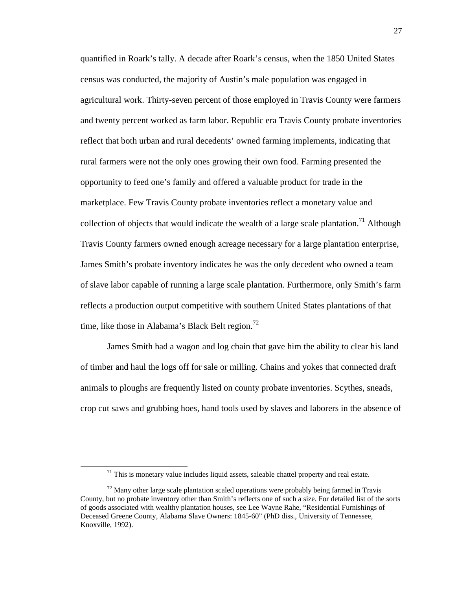quantified in Roark's tally. A decade after Roark's census, when the 1850 United States census was conducted, the majority of Austin's male population was engaged in agricultural work. Thirty-seven percent of those employed in Travis County were farmers and twenty percent worked as farm labor. Republic era Travis County probate inventories reflect that both urban and rural decedents' owned farming implements, indicating that rural farmers were not the only ones growing their own food. Farming presented the opportunity to feed one's family and offered a valuable product for trade in the marketplace. Few Travis County probate inventories reflect a monetary value and collection of objects that would indicate the wealth of a large scale plantation.<sup>71</sup> Although Travis County farmers owned enough acreage necessary for a large plantation enterprise, James Smith's probate inventory indicates he was the only decedent who owned a team of slave labor capable of running a large scale plantation. Furthermore, only Smith's farm reflects a production output competitive with southern United States plantations of that time, like those in Alabama's Black Belt region.<sup>72</sup>

James Smith had a wagon and log chain that gave him the ability to clear his land of timber and haul the logs off for sale or milling. Chains and yokes that connected draft animals to ploughs are frequently listed on county probate inventories. Scythes, sneads, crop cut saws and grubbing hoes, hand tools used by slaves and laborers in the absence of

 $71$  This is monetary value includes liquid assets, saleable chattel property and real estate.

 $<sup>72</sup>$  Many other large scale plantation scaled operations were probably being farmed in Travis</sup> County, but no probate inventory other than Smith's reflects one of such a size. For detailed list of the sorts of goods associated with wealthy plantation houses, see Lee Wayne Rahe, "Residential Furnishings of Deceased Greene County, Alabama Slave Owners: 1845-60" (PhD diss., University of Tennessee, Knoxville, 1992).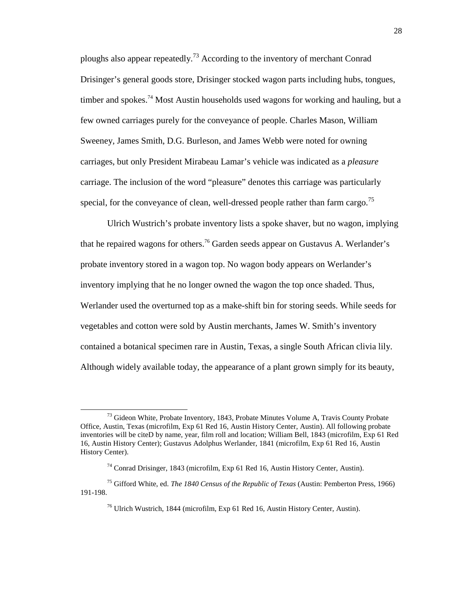ploughs also appear repeatedly.<sup>73</sup> According to the inventory of merchant Conrad Drisinger's general goods store, Drisinger stocked wagon parts including hubs, tongues, timber and spokes.<sup>74</sup> Most Austin households used wagons for working and hauling, but a few owned carriages purely for the conveyance of people. Charles Mason, William Sweeney, James Smith, D.G. Burleson, and James Webb were noted for owning carriages, but only President Mirabeau Lamar's vehicle was indicated as a *pleasure*  carriage. The inclusion of the word "pleasure" denotes this carriage was particularly special, for the conveyance of clean, well-dressed people rather than farm cargo.<sup>75</sup>

Ulrich Wustrich's probate inventory lists a spoke shaver, but no wagon, implying that he repaired wagons for others.<sup>76</sup> Garden seeds appear on Gustavus A. Werlander's probate inventory stored in a wagon top. No wagon body appears on Werlander's inventory implying that he no longer owned the wagon the top once shaded. Thus, Werlander used the overturned top as a make-shift bin for storing seeds. While seeds for vegetables and cotton were sold by Austin merchants, James W. Smith's inventory contained a botanical specimen rare in Austin, Texas, a single South African clivia lily. Although widely available today, the appearance of a plant grown simply for its beauty,

<sup>&</sup>lt;sup>73</sup> Gideon White, Probate Inventory, 1843, Probate Minutes Volume A, Travis County Probate Office, Austin, Texas (microfilm, Exp 61 Red 16, Austin History Center, Austin). All following probate inventories will be citeD by name, year, film roll and location; William Bell, 1843 (microfilm, Exp 61 Red 16, Austin History Center); Gustavus Adolphus Werlander, 1841 (microfilm, Exp 61 Red 16, Austin History Center).

<sup>74</sup> Conrad Drisinger, 1843 (microfilm, Exp 61 Red 16, Austin History Center, Austin).

<sup>75</sup> Gifford White, ed. *The 1840 Census of the Republic of Texas* (Austin: Pemberton Press, 1966) 191-198.

<sup>76</sup> Ulrich Wustrich, 1844 (microfilm, Exp 61 Red 16, Austin History Center, Austin).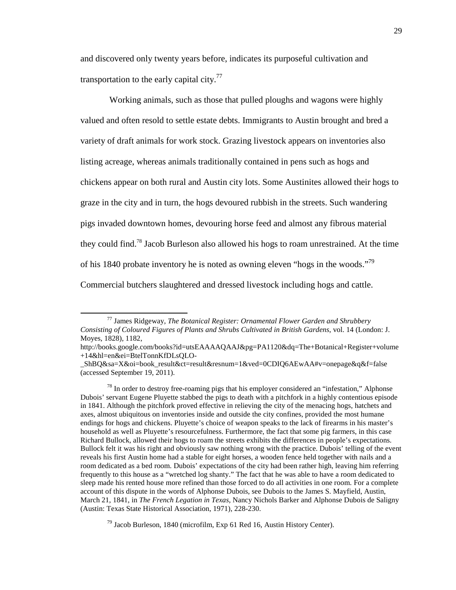and discovered only twenty years before, indicates its purposeful cultivation and transportation to the early capital city.<sup>77</sup>

 Working animals, such as those that pulled ploughs and wagons were highly valued and often resold to settle estate debts. Immigrants to Austin brought and bred a variety of draft animals for work stock. Grazing livestock appears on inventories also listing acreage, whereas animals traditionally contained in pens such as hogs and chickens appear on both rural and Austin city lots. Some Austinites allowed their hogs to graze in the city and in turn, the hogs devoured rubbish in the streets. Such wandering pigs invaded downtown homes, devouring horse feed and almost any fibrous material they could find.<sup>78</sup> Jacob Burleson also allowed his hogs to roam unrestrained. At the time of his 1840 probate inventory he is noted as owning eleven "hogs in the woods."<sup>79</sup> Commercial butchers slaughtered and dressed livestock including hogs and cattle.

-

<sup>79</sup> Jacob Burleson, 1840 (microfilm, Exp 61 Red 16, Austin History Center).

<sup>77</sup> James Ridgeway, *The Botanical Register: Ornamental Flower Garden and Shrubbery Consisting of Coloured Figures of Plants and Shrubs Cultivated in British Gardens*, vol. 14 (London: J. Moyes, 1828), 1182,

http://books.google.com/books?id=utsEAAAAQAAJ&pg=PA1120&dq=The+Botanical+Register+volume +14&hl=en&ei=BtelTonnKfDLsQLO-

\_ShBQ&sa=X&oi=book\_result&ct=result&resnum=1&ved=0CDIQ6AEwAA#v=onepage&q&f=false (accessed September 19, 2011).

 $78$  In order to destroy free-roaming pigs that his employer considered an "infestation," Alphonse Dubois' servant Eugene Pluyette stabbed the pigs to death with a pitchfork in a highly contentious episode in 1841. Although the pitchfork proved effective in relieving the city of the menacing hogs, hatchets and axes, almost ubiquitous on inventories inside and outside the city confines, provided the most humane endings for hogs and chickens. Pluyette's choice of weapon speaks to the lack of firearms in his master's household as well as Pluyette's resourcefulness. Furthermore, the fact that some pig farmers, in this case Richard Bullock, allowed their hogs to roam the streets exhibits the differences in people's expectations. Bullock felt it was his right and obviously saw nothing wrong with the practice. Dubois' telling of the event reveals his first Austin home had a stable for eight horses, a wooden fence held together with nails and a room dedicated as a bed room. Dubois' expectations of the city had been rather high, leaving him referring frequently to this house as a "wretched log shanty." The fact that he was able to have a room dedicated to sleep made his rented house more refined than those forced to do all activities in one room. For a complete account of this dispute in the words of Alphonse Dubois, see Dubois to the James S. Mayfield, Austin, March 21, 1841, in *The French Legation in Texas*, Nancy Nichols Barker and Alphonse Dubois de Saligny (Austin: Texas State Historical Association, 1971), 228-230.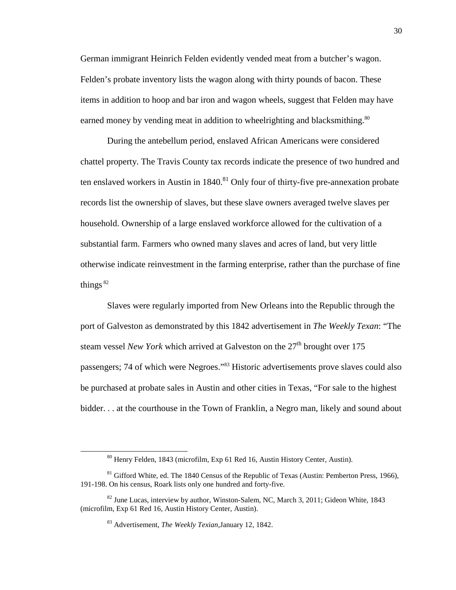German immigrant Heinrich Felden evidently vended meat from a butcher's wagon. Felden's probate inventory lists the wagon along with thirty pounds of bacon. These items in addition to hoop and bar iron and wagon wheels, suggest that Felden may have earned money by vending meat in addition to wheelrighting and blacksmithing.<sup>80</sup>

During the antebellum period, enslaved African Americans were considered chattel property. The Travis County tax records indicate the presence of two hundred and ten enslaved workers in Austin in  $1840$ <sup>81</sup> Only four of thirty-five pre-annexation probate records list the ownership of slaves, but these slave owners averaged twelve slaves per household. Ownership of a large enslaved workforce allowed for the cultivation of a substantial farm. Farmers who owned many slaves and acres of land, but very little otherwise indicate reinvestment in the farming enterprise, rather than the purchase of fine things  $82$ 

Slaves were regularly imported from New Orleans into the Republic through the port of Galveston as demonstrated by this 1842 advertisement in *The Weekly Texan*: "The steam vessel *New York* which arrived at Galveston on the 27<sup>th</sup> brought over 175 passengers; 74 of which were Negroes."<sup>83</sup> Historic advertisements prove slaves could also be purchased at probate sales in Austin and other cities in Texas, "For sale to the highest bidder. . . at the courthouse in the Town of Franklin, a Negro man, likely and sound about

<sup>80</sup> Henry Felden, 1843 (microfilm, Exp 61 Red 16, Austin History Center, Austin).

 $81$  Gifford White, ed. The 1840 Census of the Republic of Texas (Austin: Pemberton Press, 1966), 191-198. On his census, Roark lists only one hundred and forty-five.

 $82$  June Lucas, interview by author, Winston-Salem, NC, March 3, 2011; Gideon White, 1843 (microfilm, Exp 61 Red 16, Austin History Center, Austin).

<sup>83</sup> Advertisement, *The Weekly Texian,*January 12, 1842.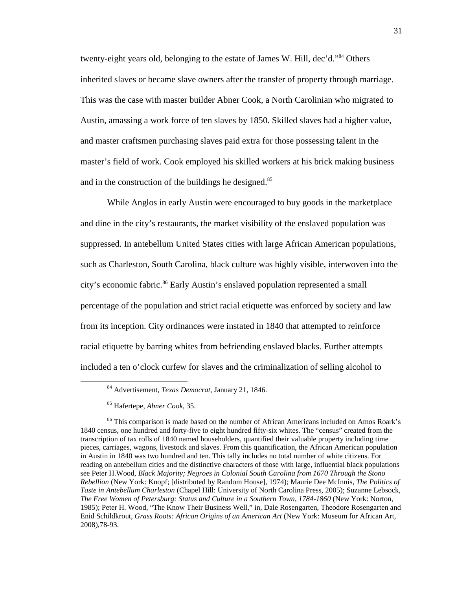twenty-eight years old, belonging to the estate of James W. Hill, dec'd."<sup>84</sup> Others inherited slaves or became slave owners after the transfer of property through marriage. This was the case with master builder Abner Cook, a North Carolinian who migrated to Austin, amassing a work force of ten slaves by 1850. Skilled slaves had a higher value, and master craftsmen purchasing slaves paid extra for those possessing talent in the master's field of work. Cook employed his skilled workers at his brick making business and in the construction of the buildings he designed.<sup>85</sup>

While Anglos in early Austin were encouraged to buy goods in the marketplace and dine in the city's restaurants, the market visibility of the enslaved population was suppressed. In antebellum United States cities with large African American populations, such as Charleston, South Carolina, black culture was highly visible, interwoven into the city's economic fabric.<sup>86</sup> Early Austin's enslaved population represented a small percentage of the population and strict racial etiquette was enforced by society and law from its inception. City ordinances were instated in 1840 that attempted to reinforce racial etiquette by barring whites from befriending enslaved blacks. Further attempts included a ten o'clock curfew for slaves and the criminalization of selling alcohol to

<sup>84</sup> Advertisement, *Texas Democrat*, January 21, 1846.

<sup>85</sup> Hafertepe, *Abner Cook,* 35.

<sup>&</sup>lt;sup>86</sup> This comparison is made based on the number of African Americans included on Amos Roark's 1840 census, one hundred and forty-five to eight hundred fifty-six whites. The "census" created from the transcription of tax rolls of 1840 named householders, quantified their valuable property including time pieces, carriages, wagons, livestock and slaves. From this quantification, the African American population in Austin in 1840 was two hundred and ten. This tally includes no total number of white citizens. For reading on antebellum cities and the distinctive characters of those with large, influential black populations see Peter H.Wood, *Black Majority; Negroes in Colonial South Carolina from 1670 Through the Stono Rebellion* (New York: Knopf; [distributed by Random House], 1974); Maurie Dee McInnis, *The Politics of Taste in Antebellum Charleston* (Chapel Hill: University of North Carolina Press, 2005); Suzanne Lebsock, *The Free Women of Petersburg: Status and Culture in a Southern Town, 1784-1860* (New York: Norton, 1985); Peter H. Wood, "The Know Their Business Well," in*,* Dale Rosengarten, Theodore Rosengarten and Enid Schildkrout, *Grass Roots: African Origins of an American Art* (New York: Museum for African Art, 2008),78-93.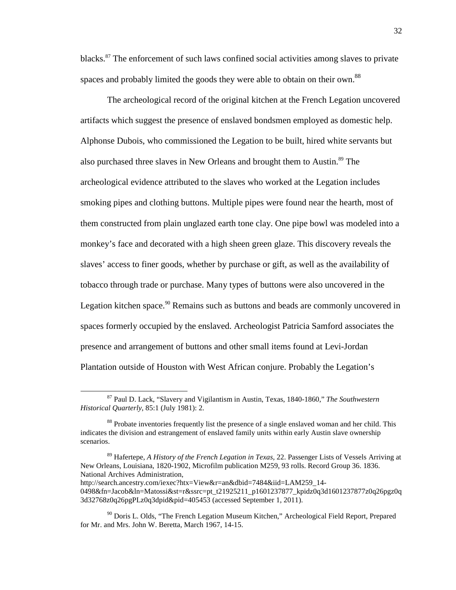blacks.<sup>87</sup> The enforcement of such laws confined social activities among slaves to private spaces and probably limited the goods they were able to obtain on their own.<sup>88</sup>

The archeological record of the original kitchen at the French Legation uncovered artifacts which suggest the presence of enslaved bondsmen employed as domestic help. Alphonse Dubois, who commissioned the Legation to be built, hired white servants but also purchased three slaves in New Orleans and brought them to Austin.<sup>89</sup> The archeological evidence attributed to the slaves who worked at the Legation includes smoking pipes and clothing buttons. Multiple pipes were found near the hearth, most of them constructed from plain unglazed earth tone clay. One pipe bowl was modeled into a monkey's face and decorated with a high sheen green glaze. This discovery reveals the slaves' access to finer goods, whether by purchase or gift, as well as the availability of tobacco through trade or purchase. Many types of buttons were also uncovered in the Legation kitchen space.<sup>90</sup> Remains such as buttons and beads are commonly uncovered in spaces formerly occupied by the enslaved. Archeologist Patricia Samford associates the presence and arrangement of buttons and other small items found at Levi-Jordan Plantation outside of Houston with West African conjure. Probably the Legation's

<sup>87</sup> Paul D. Lack, "Slavery and Vigilantism in Austin, Texas, 1840-1860," *The Southwestern Historical Quarterly*, 85:1 (July 1981): 2.

<sup>&</sup>lt;sup>88</sup> Probate inventories frequently list the presence of a single enslaved woman and her child. This indicates the division and estrangement of enslaved family units within early Austin slave ownership scenarios.

<sup>89</sup> Hafertepe, *A History of the French Legation in Texas,* 22. Passenger Lists of Vessels Arriving at New Orleans, Louisiana, 1820-1902, Microfilm publication M259, 93 rolls. Record Group 36. 1836. National Archives Administration,

http://search.ancestry.com/iexec?htx=View&r=an&dbid=7484&iid=LAM259\_14- 0498&fn=Jacob&ln=Matossi&st=r&ssrc=pt\_t21925211\_p1601237877\_kpidz0q3d1601237877z0q26pgz0q 3d32768z0q26pgPLz0q3dpid&pid=405453 (accessed September 1, 2011).

<sup>&</sup>lt;sup>90</sup> Doris L. Olds, "The French Legation Museum Kitchen," Archeological Field Report, Prepared for Mr. and Mrs. John W. Beretta, March 1967, 14-15.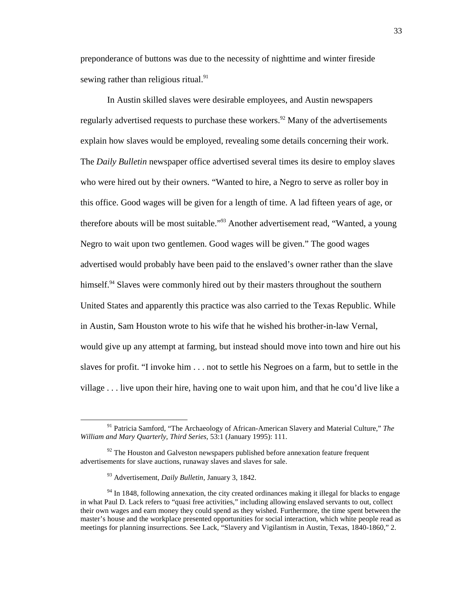preponderance of buttons was due to the necessity of nighttime and winter fireside sewing rather than religious ritual.<sup>91</sup>

In Austin skilled slaves were desirable employees, and Austin newspapers regularly advertised requests to purchase these workers.<sup>92</sup> Many of the advertisements explain how slaves would be employed, revealing some details concerning their work. The *Daily Bulletin* newspaper office advertised several times its desire to employ slaves who were hired out by their owners. "Wanted to hire, a Negro to serve as roller boy in this office. Good wages will be given for a length of time. A lad fifteen years of age, or therefore abouts will be most suitable."<sup>93</sup> Another advertisement read, "Wanted, a young Negro to wait upon two gentlemen. Good wages will be given." The good wages advertised would probably have been paid to the enslaved's owner rather than the slave himself.<sup>94</sup> Slaves were commonly hired out by their masters throughout the southern United States and apparently this practice was also carried to the Texas Republic. While in Austin, Sam Houston wrote to his wife that he wished his brother-in-law Vernal, would give up any attempt at farming, but instead should move into town and hire out his slaves for profit. "I invoke him . . . not to settle his Negroes on a farm, but to settle in the village . . . live upon their hire, having one to wait upon him, and that he cou'd live like a

1

<sup>91</sup> Patricia Samford, "The Archaeology of African-American Slavery and Material Culture," *The William and Mary Quarterly, Third Series,* 53:1 (January 1995): 111.

 $92$  The Houston and Galveston newspapers published before annexation feature frequent advertisements for slave auctions, runaway slaves and slaves for sale.

<sup>93</sup> Advertisement, *Daily Bulletin*, January 3, 1842.

<sup>&</sup>lt;sup>94</sup> In 1848, following annexation, the city created ordinances making it illegal for blacks to engage in what Paul D. Lack refers to "quasi free activities," including allowing enslaved servants to out, collect their own wages and earn money they could spend as they wished. Furthermore, the time spent between the master's house and the workplace presented opportunities for social interaction, which white people read as meetings for planning insurrections. See Lack, "Slavery and Vigilantism in Austin, Texas, 1840-1860," 2.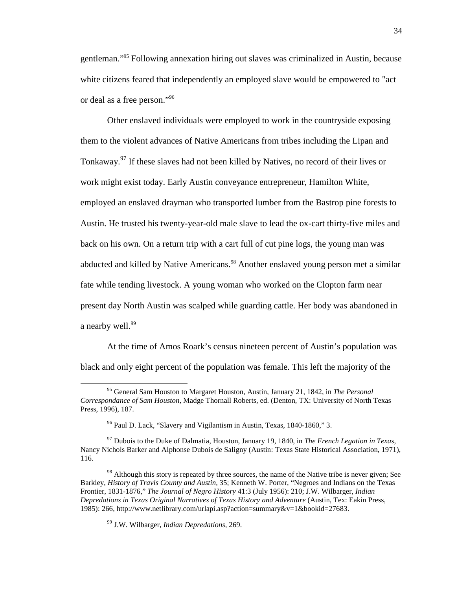gentleman."<sup>95</sup> Following annexation hiring out slaves was criminalized in Austin, because white citizens feared that independently an employed slave would be empowered to "act or deal as a free person."<sup>96</sup>

Other enslaved individuals were employed to work in the countryside exposing them to the violent advances of Native Americans from tribes including the Lipan and Tonkaway.<sup>97</sup> If these slaves had not been killed by Natives, no record of their lives or work might exist today. Early Austin conveyance entrepreneur, Hamilton White, employed an enslaved drayman who transported lumber from the Bastrop pine forests to Austin. He trusted his twenty-year-old male slave to lead the ox-cart thirty-five miles and back on his own. On a return trip with a cart full of cut pine logs, the young man was abducted and killed by Native Americans.<sup>98</sup> Another enslaved young person met a similar fate while tending livestock. A young woman who worked on the Clopton farm near present day North Austin was scalped while guarding cattle. Her body was abandoned in a nearby well.<sup>99</sup>

At the time of Amos Roark's census nineteen percent of Austin's population was black and only eight percent of the population was female. This left the majority of the

<sup>95</sup> General Sam Houston to Margaret Houston, Austin, January 21, 1842, in *The Personal Correspondance of Sam Houston*, Madge Thornall Roberts, ed. (Denton, TX: University of North Texas Press, 1996), 187.

<sup>96</sup> Paul D. Lack, "Slavery and Vigilantism in Austin, Texas, 1840-1860," 3.

<sup>97</sup> Dubois to the Duke of Dalmatia, Houston, January 19, 1840, in *The French Legation in Texas*, Nancy Nichols Barker and Alphonse Dubois de Saligny (Austin: Texas State Historical Association, 1971), 116.

 $98$  Although this story is repeated by three sources, the name of the Native tribe is never given; See Barkley, *History of Travis County and Austin,* 35; Kenneth W. Porter, "Negroes and Indians on the Texas Frontier, 1831-1876," *The Journal of Negro History* 41:3 (July 1956): 210; J.W. Wilbarger, *Indian Depredations in Texas Original Narratives of Texas History and Adventure* (Austin, Tex: Eakin Press, 1985): 266, http://www.netlibrary.com/urlapi.asp?action=summary&v=1&bookid=27683.

<sup>99</sup> J.W. Wilbarger, *Indian Depredations,* 269.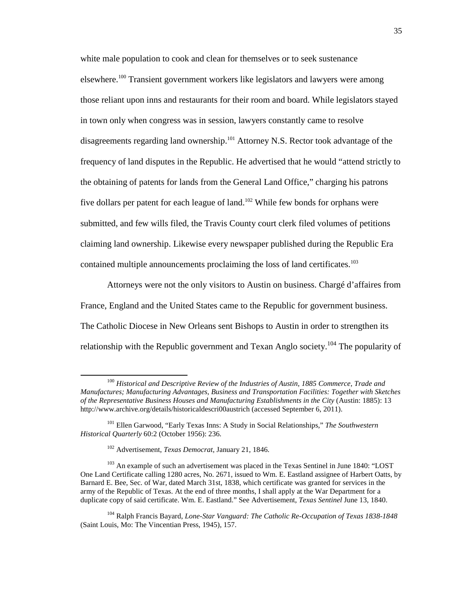white male population to cook and clean for themselves or to seek sustenance elsewhere.<sup>100</sup> Transient government workers like legislators and lawyers were among those reliant upon inns and restaurants for their room and board. While legislators stayed in town only when congress was in session, lawyers constantly came to resolve disagreements regarding land ownership.<sup>101</sup> Attorney N.S. Rector took advantage of the frequency of land disputes in the Republic. He advertised that he would "attend strictly to the obtaining of patents for lands from the General Land Office," charging his patrons five dollars per patent for each league of land.<sup>102</sup> While few bonds for orphans were submitted, and few wills filed, the Travis County court clerk filed volumes of petitions claiming land ownership. Likewise every newspaper published during the Republic Era contained multiple announcements proclaiming the loss of land certificates.<sup>103</sup>

Attorneys were not the only visitors to Austin on business. Chargé d'affaires from France, England and the United States came to the Republic for government business. The Catholic Diocese in New Orleans sent Bishops to Austin in order to strengthen its relationship with the Republic government and Texan Anglo society.<sup>104</sup> The popularity of

<u>.</u>

<sup>104</sup> Ralph Francis Bayard, *Lone-Star Vanguard: The Catholic Re-Occupation of Texas 1838-1848* (Saint Louis, Mo: The Vincentian Press, 1945), 157.

<sup>100</sup> *Historical and Descriptive Review of the Industries of Austin, 1885 Commerce, Trade and Manufactures; Manufacturing Advantages, Business and Transportation Facilities: Together with Sketches of the Representative Business Houses and Manufacturing Establishments in the City* (Austin: 1885): 13 http://www.archive.org/details/historicaldescri00austrich (accessed September 6, 2011).

<sup>101</sup> Ellen Garwood, "Early Texas Inns: A Study in Social Relationships," *The Southwestern Historical Quarterly* 60:2 (October 1956): 236.

<sup>102</sup> Advertisement, *Texas Democrat*, January 21, 1846.

<sup>&</sup>lt;sup>103</sup> An example of such an advertisement was placed in the Texas Sentinel in June 1840: "LOST One Land Certificate calling 1280 acres, No. 2671, issued to Wm. E. Eastland assignee of Harbert Oatts, by Barnard E. Bee, Sec. of War, dated March 31st, 1838, which certificate was granted for services in the army of the Republic of Texas. At the end of three months, I shall apply at the War Department for a duplicate copy of said certificate. Wm. E. Eastland." See Advertisement, *Texas Sentinel* June 13, 1840.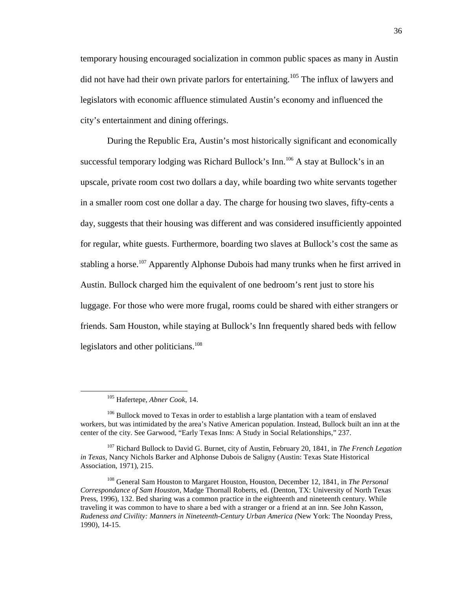temporary housing encouraged socialization in common public spaces as many in Austin did not have had their own private parlors for entertaining.<sup>105</sup> The influx of lawyers and legislators with economic affluence stimulated Austin's economy and influenced the city's entertainment and dining offerings.

During the Republic Era, Austin's most historically significant and economically successful temporary lodging was Richard Bullock's Inn.<sup>106</sup> A stay at Bullock's in an upscale, private room cost two dollars a day, while boarding two white servants together in a smaller room cost one dollar a day. The charge for housing two slaves, fifty-cents a day, suggests that their housing was different and was considered insufficiently appointed for regular, white guests. Furthermore, boarding two slaves at Bullock's cost the same as stabling a horse.<sup>107</sup> Apparently Alphonse Dubois had many trunks when he first arrived in Austin. Bullock charged him the equivalent of one bedroom's rent just to store his luggage. For those who were more frugal, rooms could be shared with either strangers or friends. Sam Houston, while staying at Bullock's Inn frequently shared beds with fellow legislators and other politicians.<sup>108</sup>

<sup>105</sup> Hafertepe, *Abner Cook*, 14.

<sup>&</sup>lt;sup>106</sup> Bullock moved to Texas in order to establish a large plantation with a team of enslaved workers, but was intimidated by the area's Native American population. Instead, Bullock built an inn at the center of the city. See Garwood, "Early Texas Inns: A Study in Social Relationships," 237.

<sup>107</sup> Richard Bullock to David G. Burnet, city of Austin, February 20, 1841, in *The French Legation in Texas,* Nancy Nichols Barker and Alphonse Dubois de Saligny (Austin: Texas State Historical Association, 1971), 215.

<sup>108</sup> General Sam Houston to Margaret Houston, Houston, December 12, 1841, in *The Personal Correspondance of Sam Houston*, Madge Thornall Roberts, ed. (Denton, TX: University of North Texas Press, 1996), 132. Bed sharing was a common practice in the eighteenth and nineteenth century. While traveling it was common to have to share a bed with a stranger or a friend at an inn. See John Kasson, *Rudeness and Civility: Manners in Nineteenth-Century Urban America (*New York: The Noonday Press, 1990), 14-15.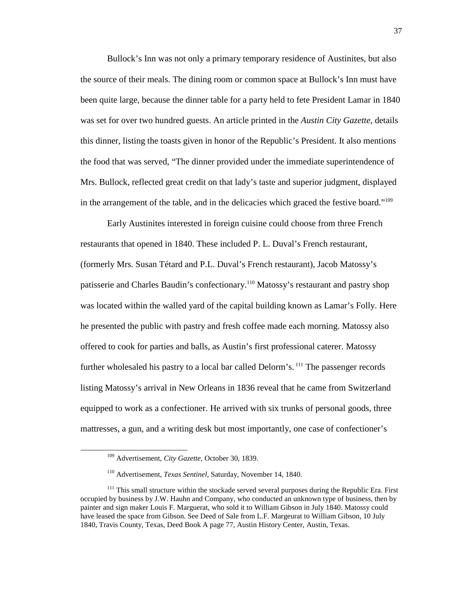Bullock's Inn was not only a primary temporary residence of Austinites, but also the source of their meals. The dining room or common space at Bullock's Inn must have been quite large, because the dinner table for a party held to fete President Lamar in 1840 was set for over two hundred guests. An article printed in the *Austin City Gazette,* details this dinner*,* listing the toasts given in honor of the Republic's President. It also mentions the food that was served, "The dinner provided under the immediate superintendence of Mrs. Bullock, reflected great credit on that lady's taste and superior judgment, displayed in the arrangement of the table, and in the delicacies which graced the festive board."<sup>109</sup>

Early Austinites interested in foreign cuisine could choose from three French restaurants that opened in 1840. These included P. L. Duval's French restaurant, (formerly Mrs. Susan Tétard and P.L. Duval's French restaurant), Jacob Matossy's patisserie and Charles Baudin's confectionary.<sup>110</sup> Matossy's restaurant and pastry shop was located within the walled yard of the capital building known as Lamar's Folly. Here he presented the public with pastry and fresh coffee made each morning. Matossy also offered to cook for parties and balls, as Austin's first professional caterer. Matossy further wholesaled his pastry to a local bar called Delorm's.<sup>111</sup> The passenger records listing Matossy's arrival in New Orleans in 1836 reveal that he came from Switzerland equipped to work as a confectioner. He arrived with six trunks of personal goods, three mattresses, a gun, and a writing desk but most importantly, one case of confectioner's

<sup>109</sup> Advertisement, *City Gazette*, October 30, 1839.

<sup>110</sup> Advertisement, *Texas Sentinel*, Saturday, November 14, 1840.

<sup>&</sup>lt;sup>111</sup> This small structure within the stockade served several purposes during the Republic Era. First occupied by business by J.W. Hauhn and Company, who conducted an unknown type of business, then by painter and sign maker Louis F. Marguerat, who sold it to William Gibson in July 1840. Matossy could have leased the space from Gibson. See Deed of Sale from L.F. Margeurat to William Gibson, 10 July 1840, Travis County, Texas, Deed Book A page 77, Austin History Center, Austin, Texas.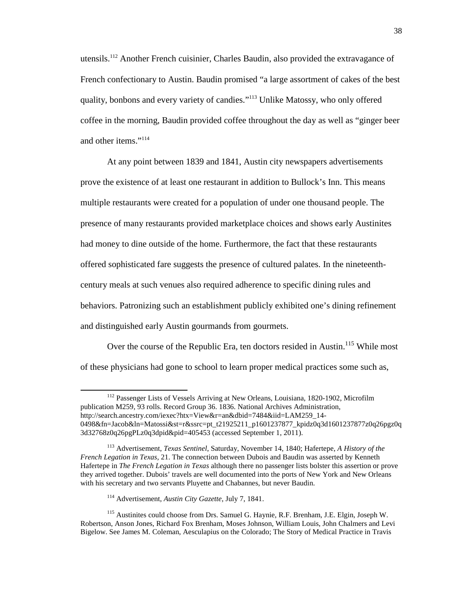utensils.<sup>112</sup> Another French cuisinier, Charles Baudin, also provided the extravagance of French confectionary to Austin. Baudin promised "a large assortment of cakes of the best quality, bonbons and every variety of candies."<sup>113</sup> Unlike Matossy, who only offered coffee in the morning, Baudin provided coffee throughout the day as well as "ginger beer and other items."<sup>114</sup>

At any point between 1839 and 1841, Austin city newspapers advertisements prove the existence of at least one restaurant in addition to Bullock's Inn. This means multiple restaurants were created for a population of under one thousand people. The presence of many restaurants provided marketplace choices and shows early Austinites had money to dine outside of the home. Furthermore, the fact that these restaurants offered sophisticated fare suggests the presence of cultured palates. In the nineteenthcentury meals at such venues also required adherence to specific dining rules and behaviors. Patronizing such an establishment publicly exhibited one's dining refinement and distinguished early Austin gourmands from gourmets.

Over the course of the Republic Era, ten doctors resided in Austin.<sup>115</sup> While most of these physicians had gone to school to learn proper medical practices some such as,

<sup>&</sup>lt;sup>112</sup> Passenger Lists of Vessels Arriving at New Orleans, Louisiana, 1820-1902, Microfilm publication M259, 93 rolls. Record Group 36. 1836. National Archives Administration, http://search.ancestry.com/iexec?htx=View&r=an&dbid=7484&iid=LAM259\_14- 0498&fn=Jacob&ln=Matossi&st=r&ssrc=pt\_t21925211\_p1601237877\_kpidz0q3d1601237877z0q26pgz0q 3d32768z0q26pgPLz0q3dpid&pid=405453 (accessed September 1, 2011).

<sup>113</sup> Advertisement, *Texas Sentinel*, Saturday, November 14, 1840; Hafertepe, *A History of the French Legation in Texas,* 21. The connection between Dubois and Baudin was asserted by Kenneth Hafertepe in *The French Legation in Texas* although there no passenger lists bolster this assertion or prove they arrived together. Dubois' travels are well documented into the ports of New York and New Orleans with his secretary and two servants Pluyette and Chabannes, but never Baudin.

<sup>114</sup> Advertisement, *Austin City Gazette*, July 7, 1841.

<sup>115</sup> Austinites could choose from Drs. Samuel G. Haynie, R.F. Brenham, J.E. Elgin, Joseph W. Robertson, Anson Jones, Richard Fox Brenham, Moses Johnson, William Louis, John Chalmers and Levi Bigelow. See James M. Coleman, Aesculapius on the Colorado; The Story of Medical Practice in Travis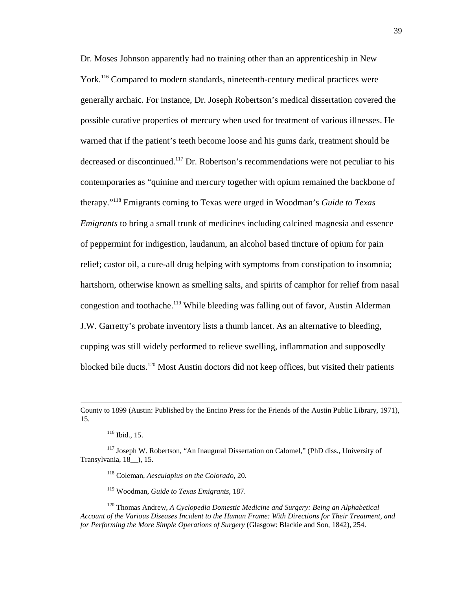Dr. Moses Johnson apparently had no training other than an apprenticeship in New York.<sup>116</sup> Compared to modern standards, nineteenth-century medical practices were generally archaic. For instance, Dr. Joseph Robertson's medical dissertation covered the possible curative properties of mercury when used for treatment of various illnesses. He warned that if the patient's teeth become loose and his gums dark, treatment should be decreased or discontinued.<sup>117</sup> Dr. Robertson's recommendations were not peculiar to his contemporaries as "quinine and mercury together with opium remained the backbone of therapy."<sup>118</sup> Emigrants coming to Texas were urged in Woodman's *Guide to Texas Emigrants* to bring a small trunk of medicines including calcined magnesia and essence of peppermint for indigestion, laudanum, an alcohol based tincture of opium for pain relief; castor oil, a cure-all drug helping with symptoms from constipation to insomnia; hartshorn, otherwise known as smelling salts, and spirits of camphor for relief from nasal congestion and toothache.<sup>119</sup> While bleeding was falling out of favor, Austin Alderman J.W. Garretty's probate inventory lists a thumb lancet. As an alternative to bleeding, cupping was still widely performed to relieve swelling, inflammation and supposedly blocked bile ducts.<sup>120</sup> Most Austin doctors did not keep offices, but visited their patients

<u>.</u>

<sup>118</sup> Coleman, *Aesculapius on the Colorado,* 20.

<sup>119</sup> Woodman, *Guide to Texas Emigrants,* 187.

<sup>120</sup> Thomas Andrew, *A Cyclopedia Domestic Medicine and Surgery: Being an Alphabetical Account of the Various Diseases Incident to the Human Frame: With Directions for Their Treatment, and for Performing the More Simple Operations of Surgery* (Glasgow: Blackie and Son, 1842), 254.

County to 1899 (Austin: Published by the Encino Press for the Friends of the Austin Public Library, 1971), 15.

<sup>116</sup> Ibid., 15.

<sup>&</sup>lt;sup>117</sup> Joseph W. Robertson, "An Inaugural Dissertation on Calomel," (PhD diss., University of Transylvania, 18\_\_), 15.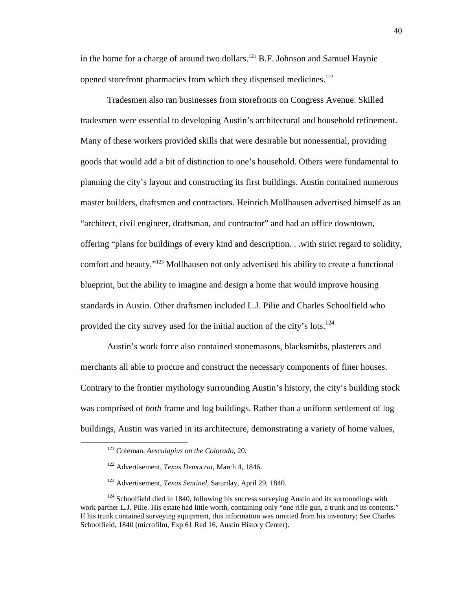in the home for a charge of around two dollars.<sup>121</sup> B.F. Johnson and Samuel Haynie opened storefront pharmacies from which they dispensed medicines.<sup>122</sup>

Tradesmen also ran businesses from storefronts on Congress Avenue. Skilled tradesmen were essential to developing Austin's architectural and household refinement. Many of these workers provided skills that were desirable but nonessential, providing goods that would add a bit of distinction to one's household. Others were fundamental to planning the city's layout and constructing its first buildings. Austin contained numerous master builders, draftsmen and contractors. Heinrich Mollhausen advertised himself as an "architect, civil engineer, draftsman, and contractor" and had an office downtown, offering "plans for buildings of every kind and description. . .with strict regard to solidity, comfort and beauty."<sup>123</sup> Mollhausen not only advertised his ability to create a functional blueprint, but the ability to imagine and design a home that would improve housing standards in Austin. Other draftsmen included L.J. Pilie and Charles Schoolfield who provided the city survey used for the initial auction of the city's lots.<sup>124</sup>

Austin's work force also contained stonemasons, blacksmiths, plasterers and merchants all able to procure and construct the necessary components of finer houses. Contrary to the frontier mythology surrounding Austin's history, the city's building stock was comprised of *both* frame and log buildings. Rather than a uniform settlement of log buildings, Austin was varied in its architecture, demonstrating a variety of home values,

<sup>121</sup> Coleman, *Aesculapius on the Colorado*, 20.

<sup>122</sup> Advertisement, *Texas Democrat*, March 4, 1846.

<sup>123</sup> Advertisement, *Texas Sentinel*, Saturday, April 29, 1840.

 $124$  Schoolfield died in 1840, following his success surveying Austin and its surroundings with work partner L.J. Pilie. His estate had little worth, containing only "one rifle gun, a trunk and its contents." If his trunk contained surveying equipment, this information was omitted from his inventory; See Charles Schoolfield, 1840 (microfilm, Exp 61 Red 16, Austin History Center).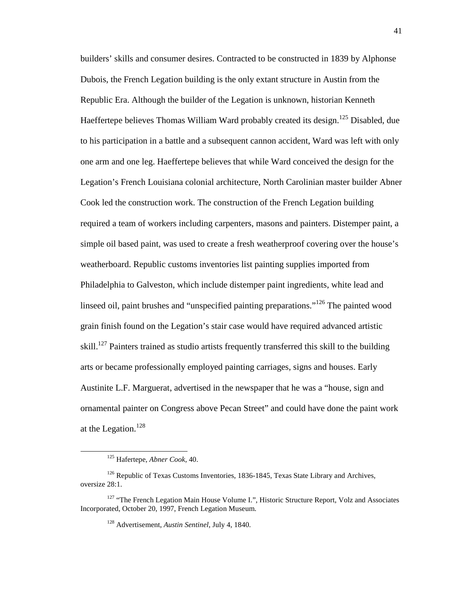builders' skills and consumer desires. Contracted to be constructed in 1839 by Alphonse Dubois, the French Legation building is the only extant structure in Austin from the Republic Era. Although the builder of the Legation is unknown, historian Kenneth Haeffertepe believes Thomas William Ward probably created its design.<sup>125</sup> Disabled, due to his participation in a battle and a subsequent cannon accident, Ward was left with only one arm and one leg. Haeffertepe believes that while Ward conceived the design for the Legation's French Louisiana colonial architecture, North Carolinian master builder Abner Cook led the construction work. The construction of the French Legation building required a team of workers including carpenters, masons and painters. Distemper paint, a simple oil based paint, was used to create a fresh weatherproof covering over the house's weatherboard. Republic customs inventories list painting supplies imported from Philadelphia to Galveston, which include distemper paint ingredients, white lead and linseed oil, paint brushes and "unspecified painting preparations."<sup>126</sup> The painted wood grain finish found on the Legation's stair case would have required advanced artistic skill.<sup>127</sup> Painters trained as studio artists frequently transferred this skill to the building arts or became professionally employed painting carriages, signs and houses. Early Austinite L.F. Marguerat, advertised in the newspaper that he was a "house, sign and ornamental painter on Congress above Pecan Street" and could have done the paint work at the Legation.<sup>128</sup>

<sup>125</sup> Hafertepe, *Abner Cook,* 40.

<sup>&</sup>lt;sup>126</sup> Republic of Texas Customs Inventories, 1836-1845, Texas State Library and Archives, oversize 28:1.

<sup>&</sup>lt;sup>127</sup> "The French Legation Main House Volume I.", Historic Structure Report, Volz and Associates Incorporated, October 20, 1997, French Legation Museum.

<sup>128</sup> Advertisement, *Austin Sentinel,* July 4, 1840.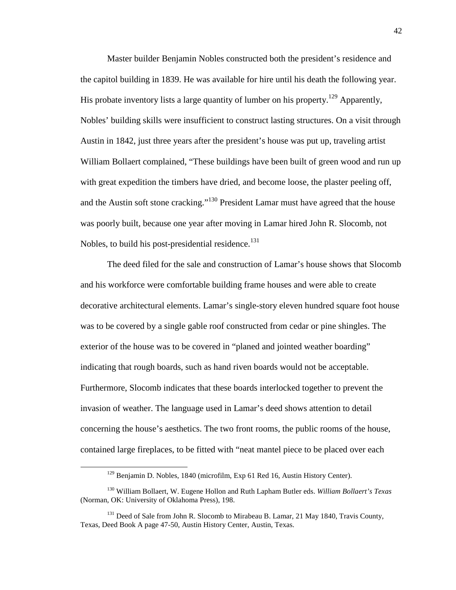Master builder Benjamin Nobles constructed both the president's residence and the capitol building in 1839. He was available for hire until his death the following year. His probate inventory lists a large quantity of lumber on his property.<sup>129</sup> Apparently, Nobles' building skills were insufficient to construct lasting structures. On a visit through Austin in 1842, just three years after the president's house was put up, traveling artist William Bollaert complained, "These buildings have been built of green wood and run up with great expedition the timbers have dried, and become loose, the plaster peeling off, and the Austin soft stone cracking."<sup>130</sup> President Lamar must have agreed that the house was poorly built, because one year after moving in Lamar hired John R. Slocomb, not Nobles, to build his post-presidential residence.<sup>131</sup>

The deed filed for the sale and construction of Lamar's house shows that Slocomb and his workforce were comfortable building frame houses and were able to create decorative architectural elements. Lamar's single-story eleven hundred square foot house was to be covered by a single gable roof constructed from cedar or pine shingles. The exterior of the house was to be covered in "planed and jointed weather boarding" indicating that rough boards, such as hand riven boards would not be acceptable. Furthermore, Slocomb indicates that these boards interlocked together to prevent the invasion of weather. The language used in Lamar's deed shows attention to detail concerning the house's aesthetics. The two front rooms, the public rooms of the house, contained large fireplaces, to be fitted with "neat mantel piece to be placed over each

<sup>&</sup>lt;sup>129</sup> Benjamin D. Nobles, 1840 (microfilm, Exp 61 Red 16, Austin History Center).

<sup>130</sup> William Bollaert, W. Eugene Hollon and Ruth Lapham Butler eds. *William Bollaert's Texas* (Norman, OK: University of Oklahoma Press), 198.

<sup>&</sup>lt;sup>131</sup> Deed of Sale from John R. Slocomb to Mirabeau B. Lamar, 21 May 1840, Travis County, Texas, Deed Book A page 47-50, Austin History Center, Austin, Texas.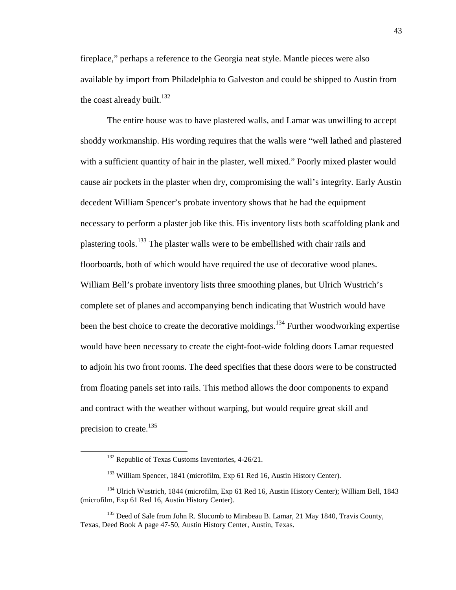fireplace," perhaps a reference to the Georgia neat style. Mantle pieces were also available by import from Philadelphia to Galveston and could be shipped to Austin from the coast already built.<sup>132</sup>

The entire house was to have plastered walls, and Lamar was unwilling to accept shoddy workmanship. His wording requires that the walls were "well lathed and plastered with a sufficient quantity of hair in the plaster, well mixed." Poorly mixed plaster would cause air pockets in the plaster when dry, compromising the wall's integrity. Early Austin decedent William Spencer's probate inventory shows that he had the equipment necessary to perform a plaster job like this. His inventory lists both scaffolding plank and plastering tools.<sup>133</sup> The plaster walls were to be embellished with chair rails and floorboards, both of which would have required the use of decorative wood planes. William Bell's probate inventory lists three smoothing planes, but Ulrich Wustrich's complete set of planes and accompanying bench indicating that Wustrich would have been the best choice to create the decorative moldings.<sup>134</sup> Further woodworking expertise would have been necessary to create the eight-foot-wide folding doors Lamar requested to adjoin his two front rooms. The deed specifies that these doors were to be constructed from floating panels set into rails. This method allows the door components to expand and contract with the weather without warping, but would require great skill and precision to create.<sup>135</sup>

<sup>&</sup>lt;sup>132</sup> Republic of Texas Customs Inventories, 4-26/21.

<sup>&</sup>lt;sup>133</sup> William Spencer, 1841 (microfilm, Exp 61 Red 16, Austin History Center).

<sup>134</sup> Ulrich Wustrich, 1844 (microfilm, Exp 61 Red 16, Austin History Center); William Bell, 1843 (microfilm, Exp 61 Red 16, Austin History Center).

<sup>&</sup>lt;sup>135</sup> Deed of Sale from John R. Slocomb to Mirabeau B. Lamar, 21 May 1840, Travis County, Texas, Deed Book A page 47-50, Austin History Center, Austin, Texas.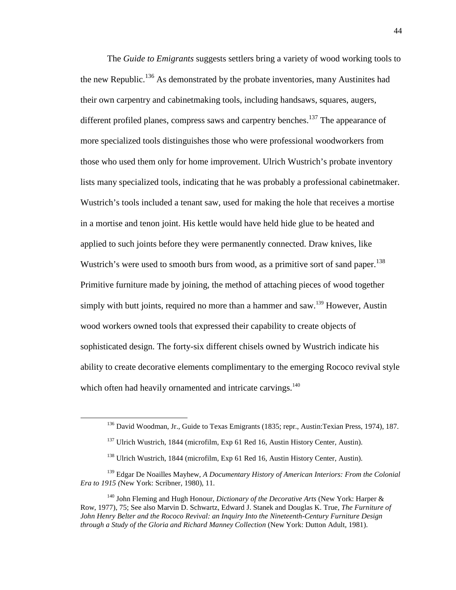The *Guide to Emigrants* suggests settlers bring a variety of wood working tools to the new Republic.<sup>136</sup> As demonstrated by the probate inventories, many Austinites had their own carpentry and cabinetmaking tools, including handsaws, squares, augers, different profiled planes, compress saws and carpentry benches.<sup>137</sup> The appearance of more specialized tools distinguishes those who were professional woodworkers from those who used them only for home improvement. Ulrich Wustrich's probate inventory lists many specialized tools, indicating that he was probably a professional cabinetmaker. Wustrich's tools included a tenant saw, used for making the hole that receives a mortise in a mortise and tenon joint. His kettle would have held hide glue to be heated and applied to such joints before they were permanently connected. Draw knives, like Wustrich's were used to smooth burs from wood, as a primitive sort of sand paper.<sup>138</sup> Primitive furniture made by joining, the method of attaching pieces of wood together simply with butt joints, required no more than a hammer and saw.<sup>139</sup> However, Austin wood workers owned tools that expressed their capability to create objects of sophisticated design. The forty-six different chisels owned by Wustrich indicate his ability to create decorative elements complimentary to the emerging Rococo revival style which often had heavily ornamented and intricate carvings.<sup>140</sup>

<sup>&</sup>lt;sup>136</sup> David Woodman, Jr., Guide to Texas Emigrants (1835; repr., Austin:Texian Press, 1974), 187.

<sup>&</sup>lt;sup>137</sup> Ulrich Wustrich, 1844 (microfilm, Exp 61 Red 16, Austin History Center, Austin).

<sup>&</sup>lt;sup>138</sup> Ulrich Wustrich, 1844 (microfilm, Exp 61 Red 16, Austin History Center, Austin).

<sup>139</sup> Edgar De Noailles Mayhew*, A Documentary History of American Interiors: From the Colonial Era to 1915 (*New York: Scribner, 1980), 11.

<sup>140</sup> John Fleming and Hugh Honour, *Dictionary of the Decorative Arts* (New York: Harper & Row, 1977), 75; See also Marvin D. Schwartz, Edward J. Stanek and Douglas K. True, *The Furniture of John Henry Belter and the Rococo Revival: an Inquiry Into the Nineteenth-Century Furniture Design through a Study of the Gloria and Richard Manney Collection* (New York: Dutton Adult, 1981).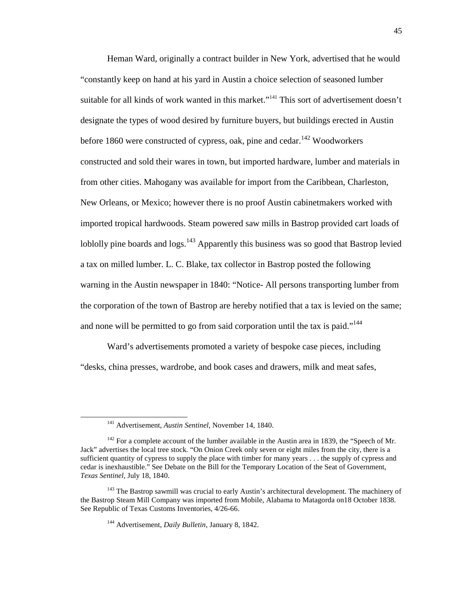Heman Ward, originally a contract builder in New York, advertised that he would "constantly keep on hand at his yard in Austin a choice selection of seasoned lumber suitable for all kinds of work wanted in this market."<sup>141</sup> This sort of advertisement doesn't designate the types of wood desired by furniture buyers, but buildings erected in Austin before 1860 were constructed of cypress, oak, pine and cedar.<sup>142</sup> Woodworkers constructed and sold their wares in town, but imported hardware, lumber and materials in from other cities. Mahogany was available for import from the Caribbean, Charleston, New Orleans, or Mexico; however there is no proof Austin cabinetmakers worked with imported tropical hardwoods. Steam powered saw mills in Bastrop provided cart loads of loblolly pine boards and  $\log s$ .<sup>143</sup> Apparently this business was so good that Bastrop levied a tax on milled lumber. L. C. Blake, tax collector in Bastrop posted the following warning in the Austin newspaper in 1840: "Notice- All persons transporting lumber from the corporation of the town of Bastrop are hereby notified that a tax is levied on the same; and none will be permitted to go from said corporation until the tax is paid."<sup>144</sup>

Ward's advertisements promoted a variety of bespoke case pieces, including "desks, china presses, wardrobe, and book cases and drawers, milk and meat safes,

<sup>141</sup> Advertisement, *Austin Sentinel,* November 14, 1840.

<sup>&</sup>lt;sup>142</sup> For a complete account of the lumber available in the Austin area in 1839, the "Speech of Mr. Jack" advertises the local tree stock*.* "On Onion Creek only seven or eight miles from the city, there is a sufficient quantity of cypress to supply the place with timber for many years . . . the supply of cypress and cedar is inexhaustible." See Debate on the Bill for the Temporary Location of the Seat of Government, *Texas Sentinel,* July 18, 1840.

<sup>&</sup>lt;sup>143</sup> The Bastrop sawmill was crucial to early Austin's architectural development. The machinery of the Bastrop Steam Mill Company was imported from Mobile, Alabama to Matagorda on18 October 1838. See Republic of Texas Customs Inventories, 4/26-66.

<sup>144</sup> Advertisement, *Daily Bulletin*, January 8, 1842.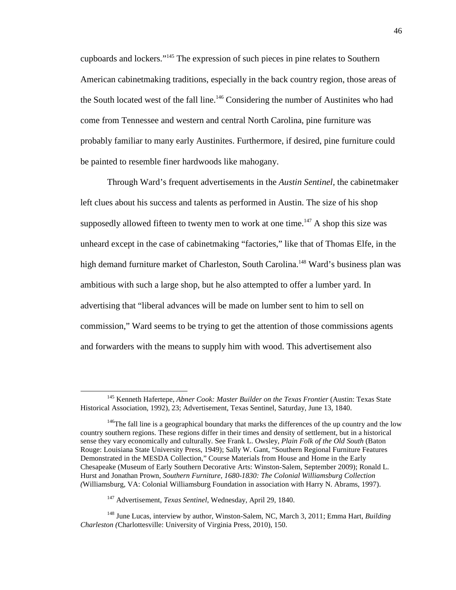cupboards and lockers."<sup>145</sup> The expression of such pieces in pine relates to Southern American cabinetmaking traditions, especially in the back country region, those areas of the South located west of the fall line.<sup>146</sup> Considering the number of Austinites who had come from Tennessee and western and central North Carolina, pine furniture was probably familiar to many early Austinites. Furthermore, if desired, pine furniture could be painted to resemble finer hardwoods like mahogany.

Through Ward's frequent advertisements in the *Austin Sentinel,* the cabinetmaker left clues about his success and talents as performed in Austin. The size of his shop supposedly allowed fifteen to twenty men to work at one time.<sup>147</sup> A shop this size was unheard except in the case of cabinetmaking "factories," like that of Thomas Elfe, in the high demand furniture market of Charleston, South Carolina.<sup>148</sup> Ward's business plan was ambitious with such a large shop, but he also attempted to offer a lumber yard. In advertising that "liberal advances will be made on lumber sent to him to sell on commission," Ward seems to be trying to get the attention of those commissions agents and forwarders with the means to supply him with wood. This advertisement also

<sup>145</sup> Kenneth Hafertepe, *Abner Cook: Master Builder on the Texas Frontier* (Austin: Texas State Historical Association, 1992), 23; Advertisement, Texas Sentinel, Saturday, June 13, 1840.

<sup>&</sup>lt;sup>146</sup>The fall line is a geographical boundary that marks the differences of the up country and the low country southern regions. These regions differ in their times and density of settlement, but in a historical sense they vary economically and culturally. See Frank L. Owsley, *Plain Folk of the Old South* (Baton Rouge: Louisiana State University Press, 1949); Sally W. Gant, "Southern Regional Furniture Features Demonstrated in the MESDA Collection," Course Materials from House and Home in the Early Chesapeake (Museum of Early Southern Decorative Arts: Winston-Salem, September 2009); Ronald L. Hurst and Jonathan Prown, *Southern Furniture, 1680-1830: The Colonial Williamsburg Collection (*Williamsburg, VA: Colonial Williamsburg Foundation in association with Harry N. Abrams, 1997).

<sup>147</sup> Advertisement, *Texas Sentinel*, Wednesday, April 29, 1840.

<sup>148</sup> June Lucas, interview by author, Winston-Salem, NC, March 3, 2011; Emma Hart, *Building Charleston (*Charlottesville: University of Virginia Press, 2010), 150.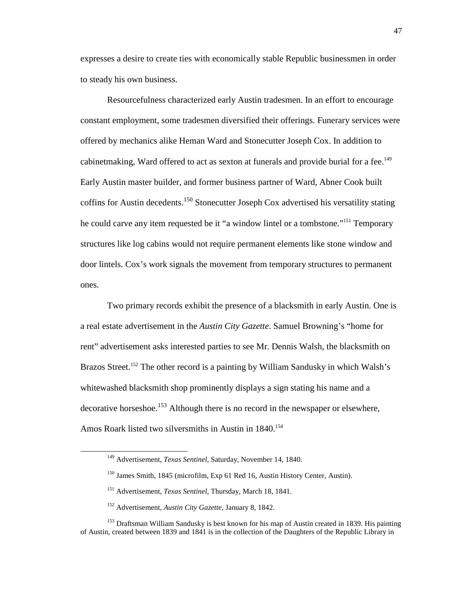expresses a desire to create ties with economically stable Republic businessmen in order to steady his own business.

Resourcefulness characterized early Austin tradesmen. In an effort to encourage constant employment, some tradesmen diversified their offerings. Funerary services were offered by mechanics alike Heman Ward and Stonecutter Joseph Cox. In addition to cabinetmaking, Ward offered to act as sexton at funerals and provide burial for a fee.<sup>149</sup> Early Austin master builder, and former business partner of Ward, Abner Cook built coffins for Austin decedents.<sup>150</sup> Stonecutter Joseph Cox advertised his versatility stating he could carve any item requested be it "a window lintel or a tombstone."<sup>151</sup> Temporary structures like log cabins would not require permanent elements like stone window and door lintels. Cox's work signals the movement from temporary structures to permanent ones.

Two primary records exhibit the presence of a blacksmith in early Austin. One is a real estate advertisement in the *Austin City Gazette*. Samuel Browning's "home for rent" advertisement asks interested parties to see Mr. Dennis Walsh, the blacksmith on Brazos Street.<sup>152</sup> The other record is a painting by William Sandusky in which Walsh's whitewashed blacksmith shop prominently displays a sign stating his name and a decorative horseshoe.<sup>153</sup> Although there is no record in the newspaper or elsewhere, Amos Roark listed two silversmiths in Austin in 1840.<sup>154</sup>

<sup>149</sup> Advertisement, *Texas Sentinel*, Saturday, November 14, 1840.

<sup>&</sup>lt;sup>150</sup> James Smith, 1845 (microfilm, Exp 61 Red 16, Austin History Center, Austin).

<sup>151</sup> Advertisement, *Texas Sentinel*, Thursday, March 18, 1841.

<sup>152</sup> Advertisement, *Austin City Gazette,* January 8, 1842.

<sup>&</sup>lt;sup>153</sup> Draftsman William Sandusky is best known for his map of Austin created in 1839. His painting of Austin, created between 1839 and 1841 is in the collection of the Daughters of the Republic Library in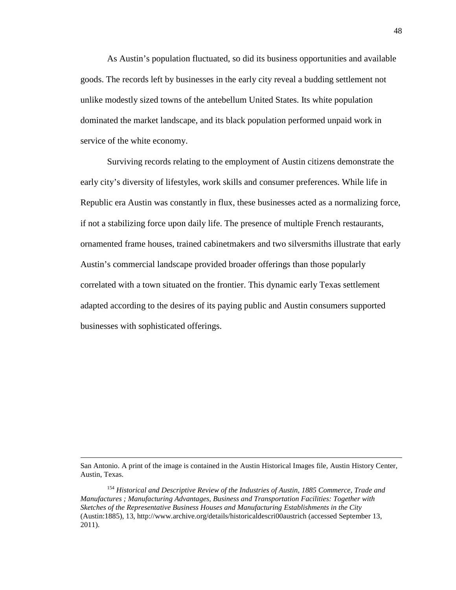As Austin's population fluctuated, so did its business opportunities and available goods. The records left by businesses in the early city reveal a budding settlement not unlike modestly sized towns of the antebellum United States. Its white population dominated the market landscape, and its black population performed unpaid work in service of the white economy.

Surviving records relating to the employment of Austin citizens demonstrate the early city's diversity of lifestyles, work skills and consumer preferences. While life in Republic era Austin was constantly in flux, these businesses acted as a normalizing force, if not a stabilizing force upon daily life. The presence of multiple French restaurants, ornamented frame houses, trained cabinetmakers and two silversmiths illustrate that early Austin's commercial landscape provided broader offerings than those popularly correlated with a town situated on the frontier. This dynamic early Texas settlement adapted according to the desires of its paying public and Austin consumers supported businesses with sophisticated offerings.

San Antonio. A print of the image is contained in the Austin Historical Images file, Austin History Center, Austin, Texas.

<sup>154</sup> *Historical and Descriptive Review of the Industries of Austin, 1885 Commerce, Trade and Manufactures ; Manufacturing Advantages, Business and Transportation Facilities: Together with Sketches of the Representative Business Houses and Manufacturing Establishments in the City* (Austin:1885), 13, http://www.archive.org/details/historicaldescri00austrich (accessed September 13, 2011).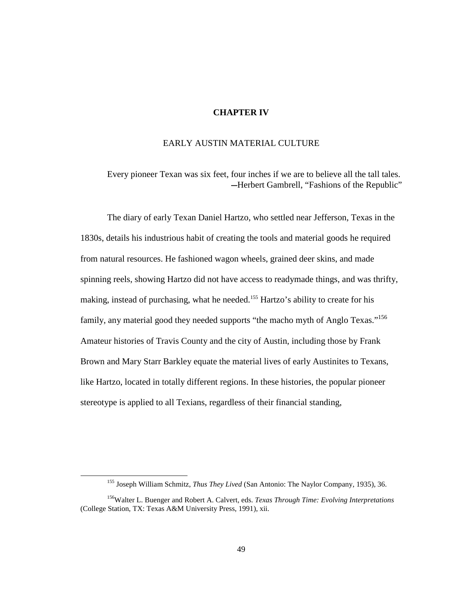## **CHAPTER IV**

## EARLY AUSTIN MATERIAL CULTURE

Every pioneer Texan was six feet, four inches if we are to believe all the tall tales. —Herbert Gambrell, "Fashions of the Republic"

The diary of early Texan Daniel Hartzo, who settled near Jefferson, Texas in the 1830s, details his industrious habit of creating the tools and material goods he required from natural resources. He fashioned wagon wheels, grained deer skins, and made spinning reels, showing Hartzo did not have access to readymade things, and was thrifty, making, instead of purchasing, what he needed.<sup>155</sup> Hartzo's ability to create for his family, any material good they needed supports "the macho myth of Anglo Texas."<sup>156</sup> Amateur histories of Travis County and the city of Austin, including those by Frank Brown and Mary Starr Barkley equate the material lives of early Austinites to Texans, like Hartzo, located in totally different regions. In these histories, the popular pioneer stereotype is applied to all Texians, regardless of their financial standing,

<sup>155</sup> Joseph William Schmitz, *Thus They Lived* (San Antonio: The Naylor Company, 1935), 36.

<sup>156</sup>Walter L. Buenger and Robert A. Calvert, eds. *Texas Through Time: Evolving Interpretations*  (College Station, TX: Texas A&M University Press, 1991), xii.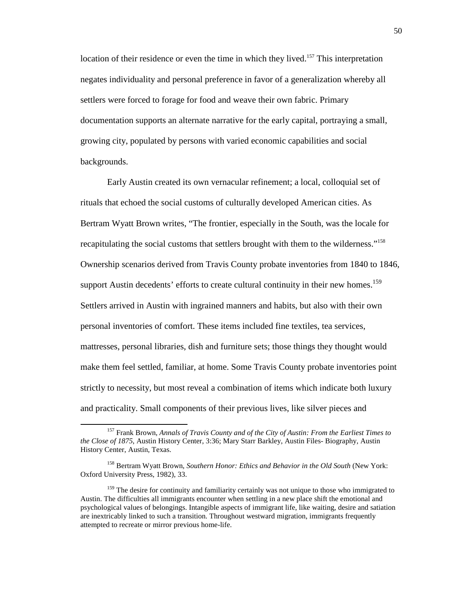location of their residence or even the time in which they lived.<sup>157</sup> This interpretation negates individuality and personal preference in favor of a generalization whereby all settlers were forced to forage for food and weave their own fabric. Primary documentation supports an alternate narrative for the early capital, portraying a small, growing city, populated by persons with varied economic capabilities and social backgrounds.

Early Austin created its own vernacular refinement; a local, colloquial set of rituals that echoed the social customs of culturally developed American cities. As Bertram Wyatt Brown writes, "The frontier, especially in the South, was the locale for recapitulating the social customs that settlers brought with them to the wilderness."<sup>158</sup> Ownership scenarios derived from Travis County probate inventories from 1840 to 1846, support Austin decedents' efforts to create cultural continuity in their new homes.<sup>159</sup> Settlers arrived in Austin with ingrained manners and habits, but also with their own personal inventories of comfort. These items included fine textiles, tea services, mattresses, personal libraries, dish and furniture sets; those things they thought would make them feel settled, familiar, at home. Some Travis County probate inventories point strictly to necessity, but most reveal a combination of items which indicate both luxury and practicality. Small components of their previous lives, like silver pieces and

<sup>157</sup> Frank Brown, *Annals of Travis County and of the City of Austin: From the Earliest Times to the Close of 1875*, Austin History Center, 3:36; Mary Starr Barkley, Austin Files- Biography, Austin History Center, Austin, Texas.

<sup>158</sup> Bertram Wyatt Brown, *Southern Honor: Ethics and Behavior in the Old South* (New York: Oxford University Press, 1982), 33.

<sup>&</sup>lt;sup>159</sup> The desire for continuity and familiarity certainly was not unique to those who immigrated to Austin. The difficulties all immigrants encounter when settling in a new place shift the emotional and psychological values of belongings. Intangible aspects of immigrant life, like waiting, desire and satiation are inextricably linked to such a transition. Throughout westward migration, immigrants frequently attempted to recreate or mirror previous home-life.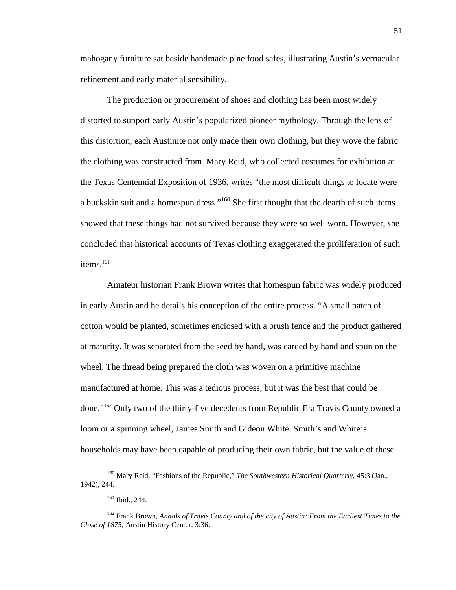mahogany furniture sat beside handmade pine food safes, illustrating Austin's vernacular refinement and early material sensibility.

The production or procurement of shoes and clothing has been most widely distorted to support early Austin's popularized pioneer mythology. Through the lens of this distortion, each Austinite not only made their own clothing, but they wove the fabric the clothing was constructed from. Mary Reid, who collected costumes for exhibition at the Texas Centennial Exposition of 1936, writes "the most difficult things to locate were a buckskin suit and a homespun dress."<sup>160</sup> She first thought that the dearth of such items showed that these things had not survived because they were so well worn. However, she concluded that historical accounts of Texas clothing exaggerated the proliferation of such items $^{161}$ 

Amateur historian Frank Brown writes that homespun fabric was widely produced in early Austin and he details his conception of the entire process. "A small patch of cotton would be planted, sometimes enclosed with a brush fence and the product gathered at maturity. It was separated from the seed by hand, was carded by hand and spun on the wheel. The thread being prepared the cloth was woven on a primitive machine manufactured at home. This was a tedious process, but it was the best that could be done."<sup>162</sup> Only two of the thirty-five decedents from Republic Era Travis County owned a loom or a spinning wheel, James Smith and Gideon White. Smith's and White's households may have been capable of producing their own fabric, but the value of these

<sup>160</sup> Mary Reid, "Fashions of the Republic," *The Southwestern Historical Quarterly*, 45:3 (Jan., 1942), 244.

<sup>161</sup> Ibid., 244.

<sup>162</sup> Frank Brown, *Annals of Travis County and of the city of Austin: From the Earliest Times to the Close of 1875,* Austin History Center, 3:36.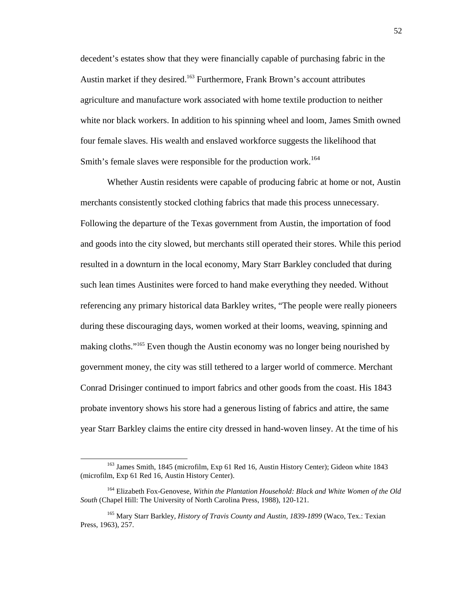decedent's estates show that they were financially capable of purchasing fabric in the Austin market if they desired.<sup>163</sup> Furthermore, Frank Brown's account attributes agriculture and manufacture work associated with home textile production to neither white nor black workers. In addition to his spinning wheel and loom, James Smith owned four female slaves. His wealth and enslaved workforce suggests the likelihood that Smith's female slaves were responsible for the production work.<sup>164</sup>

Whether Austin residents were capable of producing fabric at home or not, Austin merchants consistently stocked clothing fabrics that made this process unnecessary. Following the departure of the Texas government from Austin, the importation of food and goods into the city slowed, but merchants still operated their stores. While this period resulted in a downturn in the local economy, Mary Starr Barkley concluded that during such lean times Austinites were forced to hand make everything they needed. Without referencing any primary historical data Barkley writes, "The people were really pioneers during these discouraging days, women worked at their looms, weaving, spinning and making cloths."<sup>165</sup> Even though the Austin economy was no longer being nourished by government money, the city was still tethered to a larger world of commerce. Merchant Conrad Drisinger continued to import fabrics and other goods from the coast. His 1843 probate inventory shows his store had a generous listing of fabrics and attire, the same year Starr Barkley claims the entire city dressed in hand-woven linsey. At the time of his

<sup>&</sup>lt;sup>163</sup> James Smith, 1845 (microfilm, Exp 61 Red 16, Austin History Center); Gideon white 1843 (microfilm, Exp 61 Red 16, Austin History Center).

<sup>164</sup> Elizabeth Fox-Genovese, *Within the Plantation Household: Black and White Women of the Old South* (Chapel Hill: The University of North Carolina Press, 1988), 120-121.

<sup>165</sup> Mary Starr Barkley, *History of Travis County and Austin, 1839-1899* (Waco, Tex.: Texian Press, 1963), 257.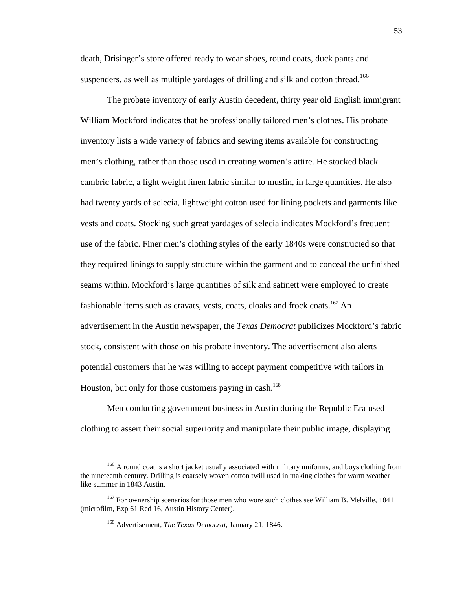death, Drisinger's store offered ready to wear shoes, round coats, duck pants and suspenders, as well as multiple yardages of drilling and silk and cotton thread.<sup>166</sup>

The probate inventory of early Austin decedent, thirty year old English immigrant William Mockford indicates that he professionally tailored men's clothes. His probate inventory lists a wide variety of fabrics and sewing items available for constructing men's clothing, rather than those used in creating women's attire. He stocked black cambric fabric, a light weight linen fabric similar to muslin, in large quantities. He also had twenty yards of selecia, lightweight cotton used for lining pockets and garments like vests and coats. Stocking such great yardages of selecia indicates Mockford's frequent use of the fabric. Finer men's clothing styles of the early 1840s were constructed so that they required linings to supply structure within the garment and to conceal the unfinished seams within. Mockford's large quantities of silk and satinett were employed to create fashionable items such as cravats, vests, coats, cloaks and frock coats.<sup>167</sup> An advertisement in the Austin newspaper, the *Texas Democrat* publicizes Mockford's fabric stock, consistent with those on his probate inventory. The advertisement also alerts potential customers that he was willing to accept payment competitive with tailors in Houston, but only for those customers paying in cash.<sup>168</sup>

Men conducting government business in Austin during the Republic Era used clothing to assert their social superiority and manipulate their public image, displaying

<sup>&</sup>lt;sup>166</sup> A round coat is a short jacket usually associated with military uniforms, and boys clothing from the nineteenth century. Drilling is coarsely woven cotton twill used in making clothes for warm weather like summer in 1843 Austin.

<sup>&</sup>lt;sup>167</sup> For ownership scenarios for those men who wore such clothes see William B. Melville, 1841 (microfilm, Exp 61 Red 16, Austin History Center).

<sup>168</sup> Advertisement, *The Texas Democrat,* January 21, 1846.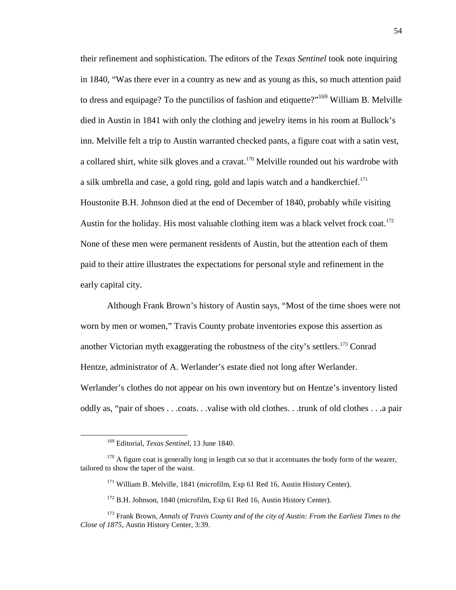their refinement and sophistication. The editors of the *Texas Sentinel* took note inquiring in 1840, "Was there ever in a country as new and as young as this, so much attention paid to dress and equipage? To the punctilios of fashion and etiquette?"<sup>169</sup> William B. Melville died in Austin in 1841 with only the clothing and jewelry items in his room at Bullock's inn. Melville felt a trip to Austin warranted checked pants, a figure coat with a satin vest, a collared shirt, white silk gloves and a cravat.<sup>170</sup> Melville rounded out his wardrobe with a silk umbrella and case, a gold ring, gold and lapis watch and a handkerchief.<sup>171</sup> Houstonite B.H. Johnson died at the end of December of 1840, probably while visiting Austin for the holiday. His most valuable clothing item was a black velvet frock coat.<sup>172</sup> None of these men were permanent residents of Austin, but the attention each of them paid to their attire illustrates the expectations for personal style and refinement in the early capital city.

Although Frank Brown's history of Austin says, "Most of the time shoes were not worn by men or women," Travis County probate inventories expose this assertion as another Victorian myth exaggerating the robustness of the city's settlers.<sup>173</sup> Conrad Hentze, administrator of A. Werlander's estate died not long after Werlander. Werlander's clothes do not appear on his own inventory but on Hentze's inventory listed oddly as, "pair of shoes . . .coats. . .valise with old clothes. . .trunk of old clothes . . .a pair

<sup>169</sup> Editorial, *Texas Sentinel*, 13 June 1840.

 $170$  A figure coat is generally long in length cut so that it accentuates the body form of the wearer, tailored to show the taper of the waist.

<sup>&</sup>lt;sup>171</sup> William B. Melville, 1841 (microfilm, Exp 61 Red 16, Austin History Center).

<sup>&</sup>lt;sup>172</sup> B.H. Johnson, 1840 (microfilm, Exp 61 Red 16, Austin History Center).

<sup>173</sup> Frank Brown, *Annals of Travis County and of the city of Austin: From the Earliest Times to the Close of 1875,* Austin History Center, 3:39.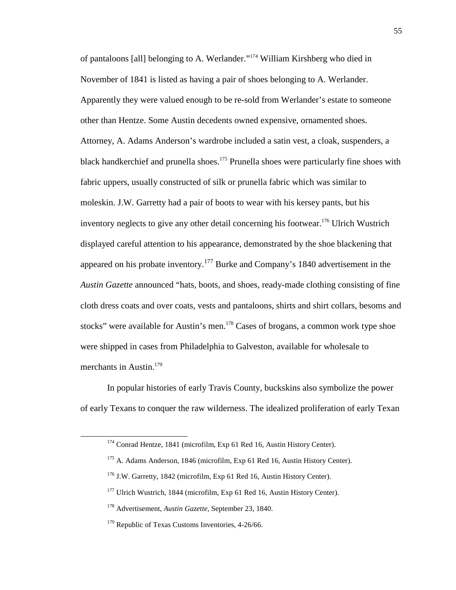of pantaloons [all] belonging to A. Werlander."<sup>174</sup> William Kirshberg who died in November of 1841 is listed as having a pair of shoes belonging to A. Werlander. Apparently they were valued enough to be re-sold from Werlander's estate to someone other than Hentze. Some Austin decedents owned expensive, ornamented shoes. Attorney, A. Adams Anderson's wardrobe included a satin vest, a cloak, suspenders, a black handkerchief and prunella shoes.<sup>175</sup> Prunella shoes were particularly fine shoes with fabric uppers, usually constructed of silk or prunella fabric which was similar to moleskin. J.W. Garretty had a pair of boots to wear with his kersey pants, but his inventory neglects to give any other detail concerning his footwear.<sup>176</sup> Ulrich Wustrich displayed careful attention to his appearance, demonstrated by the shoe blackening that appeared on his probate inventory.<sup>177</sup> Burke and Company's 1840 advertisement in the *Austin Gazette* announced "hats, boots, and shoes, ready-made clothing consisting of fine cloth dress coats and over coats, vests and pantaloons, shirts and shirt collars, besoms and stocks" were available for Austin's men.<sup>178</sup> Cases of brogans, a common work type shoe were shipped in cases from Philadelphia to Galveston, available for wholesale to merchants in Austin.<sup>179</sup>

In popular histories of early Travis County, buckskins also symbolize the power of early Texans to conquer the raw wilderness. The idealized proliferation of early Texan

<sup>&</sup>lt;sup>174</sup> Conrad Hentze, 1841 (microfilm, Exp 61 Red 16, Austin History Center).

<sup>&</sup>lt;sup>175</sup> A. Adams Anderson, 1846 (microfilm, Exp 61 Red 16, Austin History Center).

<sup>176</sup> J.W. Garretty, 1842 (microfilm, Exp 61 Red 16, Austin History Center).

<sup>&</sup>lt;sup>177</sup> Ulrich Wustrich, 1844 (microfilm, Exp 61 Red 16, Austin History Center).

<sup>178</sup> Advertisement, *Austin Gazette*, September 23, 1840.

<sup>&</sup>lt;sup>179</sup> Republic of Texas Customs Inventories, 4-26/66.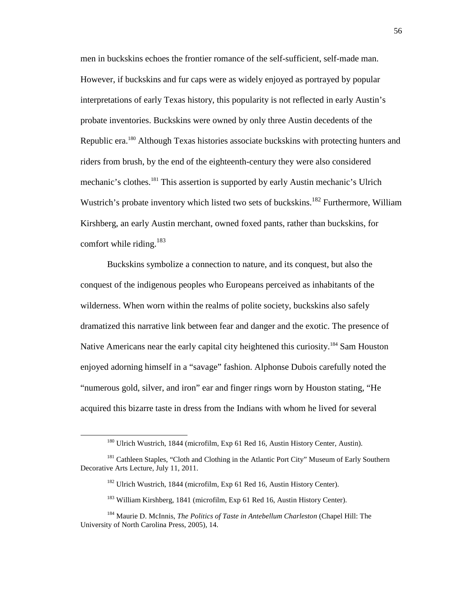men in buckskins echoes the frontier romance of the self-sufficient, self-made man. However, if buckskins and fur caps were as widely enjoyed as portrayed by popular interpretations of early Texas history, this popularity is not reflected in early Austin's probate inventories. Buckskins were owned by only three Austin decedents of the Republic era.<sup>180</sup> Although Texas histories associate buckskins with protecting hunters and riders from brush, by the end of the eighteenth-century they were also considered mechanic's clothes.<sup>181</sup> This assertion is supported by early Austin mechanic's Ulrich Wustrich's probate inventory which listed two sets of buckskins.<sup>182</sup> Furthermore, William Kirshberg, an early Austin merchant, owned foxed pants, rather than buckskins, for comfort while riding. $183$ 

Buckskins symbolize a connection to nature, and its conquest, but also the conquest of the indigenous peoples who Europeans perceived as inhabitants of the wilderness. When worn within the realms of polite society, buckskins also safely dramatized this narrative link between fear and danger and the exotic. The presence of Native Americans near the early capital city heightened this curiosity.<sup>184</sup> Sam Houston enjoyed adorning himself in a "savage" fashion. Alphonse Dubois carefully noted the "numerous gold, silver, and iron" ear and finger rings worn by Houston stating, "He acquired this bizarre taste in dress from the Indians with whom he lived for several

<sup>180</sup> Ulrich Wustrich, 1844 (microfilm, Exp 61 Red 16, Austin History Center, Austin).

<sup>&</sup>lt;sup>181</sup> Cathleen Staples, "Cloth and Clothing in the Atlantic Port City" Museum of Early Southern Decorative Arts Lecture, July 11, 2011.

<sup>&</sup>lt;sup>182</sup> Ulrich Wustrich, 1844 (microfilm, Exp 61 Red 16, Austin History Center).

<sup>&</sup>lt;sup>183</sup> William Kirshberg, 1841 (microfilm, Exp 61 Red 16, Austin History Center).

<sup>184</sup> Maurie D. McInnis, *The Politics of Taste in Antebellum Charleston* (Chapel Hill: The University of North Carolina Press, 2005), 14.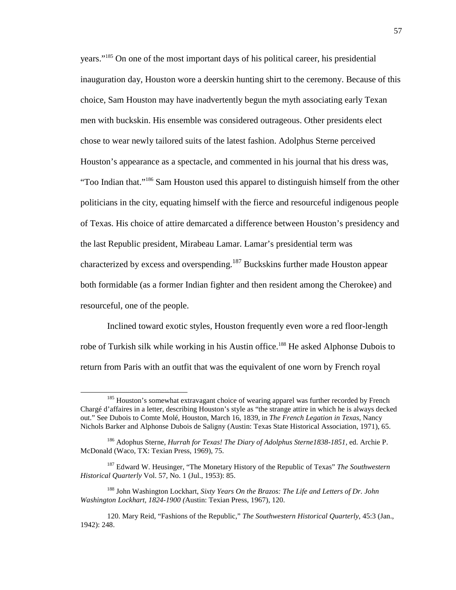years."<sup>185</sup> On one of the most important days of his political career, his presidential inauguration day, Houston wore a deerskin hunting shirt to the ceremony. Because of this choice, Sam Houston may have inadvertently begun the myth associating early Texan men with buckskin. His ensemble was considered outrageous. Other presidents elect chose to wear newly tailored suits of the latest fashion. Adolphus Sterne perceived Houston's appearance as a spectacle, and commented in his journal that his dress was, "Too Indian that."<sup>186</sup> Sam Houston used this apparel to distinguish himself from the other politicians in the city, equating himself with the fierce and resourceful indigenous people of Texas. His choice of attire demarcated a difference between Houston's presidency and the last Republic president, Mirabeau Lamar. Lamar's presidential term was characterized by excess and overspending.<sup>187</sup> Buckskins further made Houston appear both formidable (as a former Indian fighter and then resident among the Cherokee) and resourceful, one of the people.

Inclined toward exotic styles, Houston frequently even wore a red floor-length robe of Turkish silk while working in his Austin office.<sup>188</sup> He asked Alphonse Dubois to return from Paris with an outfit that was the equivalent of one worn by French royal

<sup>&</sup>lt;sup>185</sup> Houston's somewhat extravagant choice of wearing apparel was further recorded by French Chargé d'affaires in a letter, describing Houston's style as "the strange attire in which he is always decked out." See Dubois to Comte Molé, Houston, March 16, 1839, in *The French Legation in Texas,* Nancy Nichols Barker and Alphonse Dubois de Saligny (Austin: Texas State Historical Association, 1971), 65.

<sup>186</sup> Adophus Sterne, *Hurrah for Texas! The Diary of Adolphus Sterne1838-1851,* ed. Archie P. McDonald (Waco, TX: Texian Press, 1969), 75.

<sup>187</sup> Edward W. Heusinger, "The Monetary History of the Republic of Texas" *The Southwestern Historical Quarterly* Vol. 57, No. 1 (Jul., 1953): 85.

<sup>188</sup> John Washington Lockhart, *Sixty Years On the Brazos: The Life and Letters of Dr. John Washington Lockhart, 1824-1900 (*Austin: Texian Press, 1967), 120.

<sup>120.</sup> Mary Reid, "Fashions of the Republic," *The Southwestern Historical Quarterly*, 45:3 (Jan., 1942): 248.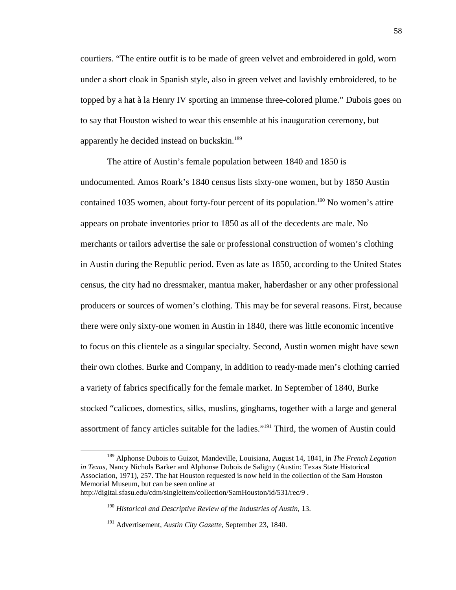courtiers. "The entire outfit is to be made of green velvet and embroidered in gold, worn under a short cloak in Spanish style, also in green velvet and lavishly embroidered, to be topped by a hat à la Henry IV sporting an immense three-colored plume." Dubois goes on to say that Houston wished to wear this ensemble at his inauguration ceremony, but apparently he decided instead on buckskin.<sup>189</sup>

The attire of Austin's female population between 1840 and 1850 is undocumented. Amos Roark's 1840 census lists sixty-one women, but by 1850 Austin contained 1035 women, about forty-four percent of its population.<sup>190</sup> No women's attire appears on probate inventories prior to 1850 as all of the decedents are male. No merchants or tailors advertise the sale or professional construction of women's clothing in Austin during the Republic period. Even as late as 1850, according to the United States census, the city had no dressmaker, mantua maker, haberdasher or any other professional producers or sources of women's clothing. This may be for several reasons. First, because there were only sixty-one women in Austin in 1840, there was little economic incentive to focus on this clientele as a singular specialty. Second, Austin women might have sewn their own clothes. Burke and Company, in addition to ready-made men's clothing carried a variety of fabrics specifically for the female market. In September of 1840, Burke stocked "calicoes, domestics, silks, muslins, ginghams, together with a large and general assortment of fancy articles suitable for the ladies."<sup>191</sup> Third, the women of Austin could

<sup>189</sup> Alphonse Dubois to Guizot, Mandeville, Louisiana, August 14, 1841, in *The French Legation in Texas*, Nancy Nichols Barker and Alphonse Dubois de Saligny (Austin: Texas State Historical Association, 1971), 257. The hat Houston requested is now held in the collection of the Sam Houston Memorial Museum, but can be seen online at

http://digital.sfasu.edu/cdm/singleitem/collection/SamHouston/id/531/rec/9 .

<sup>&</sup>lt;sup>190</sup> Historical and Descriptive Review of the Industries of Austin, 13.

<sup>191</sup> Advertisement, *Austin City Gazette,* September 23, 1840.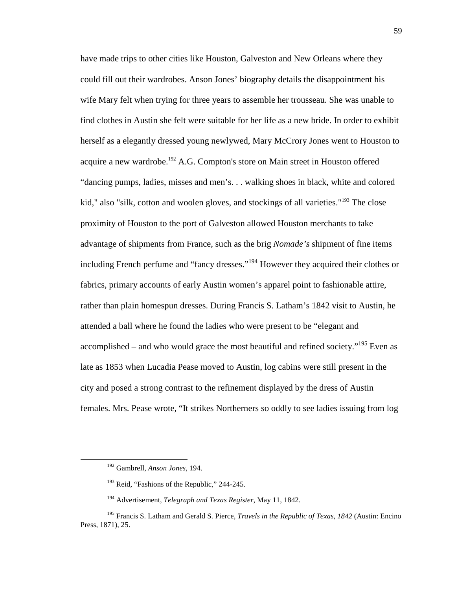have made trips to other cities like Houston, Galveston and New Orleans where they could fill out their wardrobes. Anson Jones' biography details the disappointment his wife Mary felt when trying for three years to assemble her trousseau. She was unable to find clothes in Austin she felt were suitable for her life as a new bride. In order to exhibit herself as a elegantly dressed young newlywed, Mary McCrory Jones went to Houston to acquire a new wardrobe.<sup>192</sup> A.G. Compton's store on Main street in Houston offered "dancing pumps, ladies, misses and men's. . . walking shoes in black, white and colored kid," also "silk, cotton and woolen gloves, and stockings of all varieties."<sup>193</sup> The close proximity of Houston to the port of Galveston allowed Houston merchants to take advantage of shipments from France, such as the brig *Nomade's* shipment of fine items including French perfume and "fancy dresses."<sup>194</sup> However they acquired their clothes or fabrics, primary accounts of early Austin women's apparel point to fashionable attire, rather than plain homespun dresses. During Francis S. Latham's 1842 visit to Austin, he attended a ball where he found the ladies who were present to be "elegant and accomplished – and who would grace the most beautiful and refined society."<sup>195</sup> Even as late as 1853 when Lucadia Pease moved to Austin, log cabins were still present in the city and posed a strong contrast to the refinement displayed by the dress of Austin females. Mrs. Pease wrote, "It strikes Northerners so oddly to see ladies issuing from log

<sup>192</sup> Gambrell, *Anson Jones,* 194.

<sup>&</sup>lt;sup>193</sup> Reid, "Fashions of the Republic," 244-245.

<sup>194</sup> Advertisement, *Telegraph and Texas Register*, May 11, 1842.

<sup>195</sup> Francis S. Latham and Gerald S. Pierce, *Travels in the Republic of Texas, 1842* (Austin: Encino Press, 1871), 25.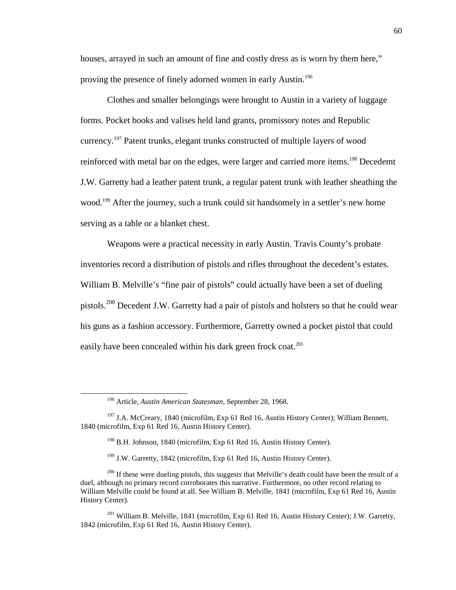houses, arrayed in such an amount of fine and costly dress as is worn by them here," proving the presence of finely adorned women in early Austin.<sup>196</sup>

Clothes and smaller belongings were brought to Austin in a variety of luggage forms. Pocket books and valises held land grants, promissory notes and Republic currency.<sup>197</sup> Patent trunks, elegant trunks constructed of multiple layers of wood reinforced with metal bar on the edges, were larger and carried more items.<sup>198</sup> Decedemt J.W. Garretty had a leather patent trunk, a regular patent trunk with leather sheathing the wood.<sup>199</sup> After the journey, such a trunk could sit handsomely in a settler's new home serving as a table or a blanket chest.

Weapons were a practical necessity in early Austin. Travis County's probate inventories record a distribution of pistols and rifles throughout the decedent's estates. William B. Melville's "fine pair of pistols" could actually have been a set of dueling pistols.<sup>200</sup> Decedent J.W. Garretty had a pair of pistols and holsters so that he could wear his guns as a fashion accessory. Furthermore, Garretty owned a pocket pistol that could easily have been concealed within his dark green frock coat.<sup>201</sup>

<sup>196</sup> Article, *Austin American Statesman*, September 28, 1968.

<sup>&</sup>lt;sup>197</sup> J.A. McCreary, 1840 (microfilm, Exp 61 Red 16, Austin History Center); William Bennett, 1840 (microfilm, Exp 61 Red 16, Austin History Center).

<sup>&</sup>lt;sup>198</sup> B.H. Johnson, 1840 (microfilm, Exp 61 Red 16, Austin History Center).

 $199$  J.W. Garretty, 1842 (microfilm, Exp 61 Red 16, Austin History Center).

<sup>&</sup>lt;sup>200</sup> If these were dueling pistols, this suggests that Melville's death could have been the result of a duel, although no primary record corroborates this narrative. Furthermore, no other record relating to William Melville could be found at all. See William B. Melville, 1841 (microfilm, Exp 61 Red 16, Austin History Center).

<sup>&</sup>lt;sup>201</sup> William B. Melville, 1841 (microfilm, Exp 61 Red 16, Austin History Center); J.W. Garretty, 1842 (microfilm, Exp 61 Red 16, Austin History Center).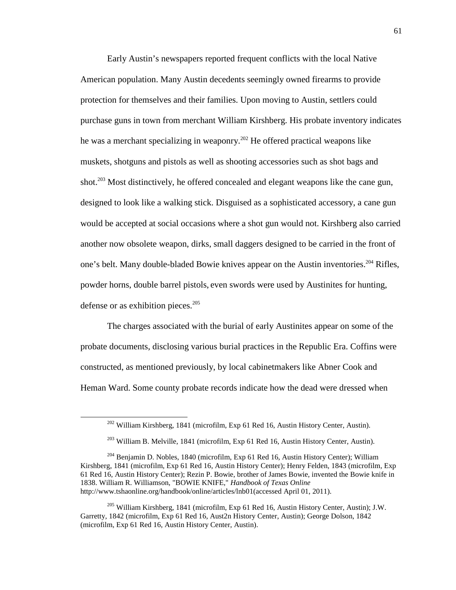Early Austin's newspapers reported frequent conflicts with the local Native American population. Many Austin decedents seemingly owned firearms to provide protection for themselves and their families. Upon moving to Austin, settlers could purchase guns in town from merchant William Kirshberg. His probate inventory indicates he was a merchant specializing in weaponry.<sup>202</sup> He offered practical weapons like muskets, shotguns and pistols as well as shooting accessories such as shot bags and shot.<sup>203</sup> Most distinctively, he offered concealed and elegant weapons like the cane gun, designed to look like a walking stick. Disguised as a sophisticated accessory, a cane gun would be accepted at social occasions where a shot gun would not. Kirshberg also carried another now obsolete weapon, dirks, small daggers designed to be carried in the front of one's belt. Many double-bladed Bowie knives appear on the Austin inventories.<sup>204</sup> Rifles, powder horns, double barrel pistols, even swords were used by Austinites for hunting, defense or as exhibition pieces.<sup>205</sup>

The charges associated with the burial of early Austinites appear on some of the probate documents, disclosing various burial practices in the Republic Era. Coffins were constructed, as mentioned previously, by local cabinetmakers like Abner Cook and Heman Ward. Some county probate records indicate how the dead were dressed when

 $202$  William Kirshberg, 1841 (microfilm, Exp 61 Red 16, Austin History Center, Austin).

<sup>203</sup> William B. Melville, 1841 (microfilm, Exp 61 Red 16, Austin History Center, Austin).

<sup>&</sup>lt;sup>204</sup> Benjamin D. Nobles, 1840 (microfilm, Exp 61 Red 16, Austin History Center); William Kirshberg, 1841 (microfilm, Exp 61 Red 16, Austin History Center); Henry Felden, 1843 (microfilm, Exp 61 Red 16, Austin History Center); Rezin P. Bowie, brother of James Bowie, invented the Bowie knife in 1838. William R. Williamson, "BOWIE KNIFE," *Handbook of Texas Online* http://www.tshaonline.org/handbook/online/articles/lnb01(accessed April 01, 2011).

<sup>205</sup> William Kirshberg, 1841 (microfilm, Exp 61 Red 16, Austin History Center, Austin); J.W. Garretty, 1842 (microfilm, Exp 61 Red 16, Aust2n History Center, Austin); George Dolson, 1842 (microfilm, Exp 61 Red 16, Austin History Center, Austin).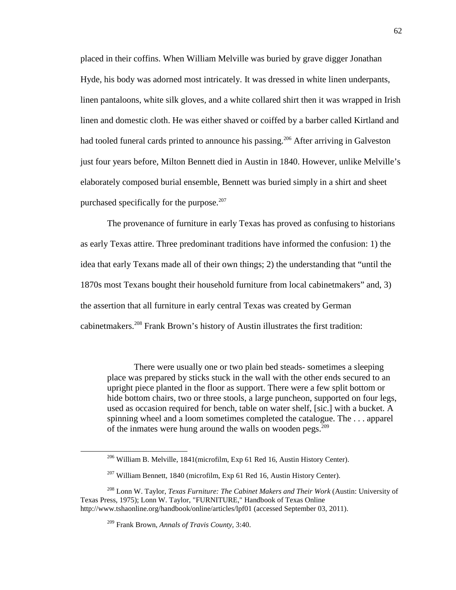placed in their coffins. When William Melville was buried by grave digger Jonathan Hyde, his body was adorned most intricately. It was dressed in white linen underpants, linen pantaloons, white silk gloves, and a white collared shirt then it was wrapped in Irish linen and domestic cloth. He was either shaved or coiffed by a barber called Kirtland and had tooled funeral cards printed to announce his passing.<sup>206</sup> After arriving in Galveston just four years before, Milton Bennett died in Austin in 1840. However, unlike Melville's elaborately composed burial ensemble, Bennett was buried simply in a shirt and sheet purchased specifically for the purpose.<sup>207</sup>

The provenance of furniture in early Texas has proved as confusing to historians as early Texas attire. Three predominant traditions have informed the confusion: 1) the idea that early Texans made all of their own things; 2) the understanding that "until the 1870s most Texans bought their household furniture from local cabinetmakers" and, 3) the assertion that all furniture in early central Texas was created by German cabinetmakers.<sup>208</sup> Frank Brown's history of Austin illustrates the first tradition:

There were usually one or two plain bed steads- sometimes a sleeping place was prepared by sticks stuck in the wall with the other ends secured to an upright piece planted in the floor as support. There were a few split bottom or hide bottom chairs, two or three stools, a large puncheon, supported on four legs, used as occasion required for bench, table on water shelf, [sic.] with a bucket. A spinning wheel and a loom sometimes completed the catalogue. The . . . apparel of the inmates were hung around the walls on wooden pegs. $209$ 

<sup>206</sup> William B. Melville, 1841(microfilm, Exp 61 Red 16, Austin History Center).

<sup>&</sup>lt;sup>207</sup> William Bennett, 1840 (microfilm, Exp 61 Red 16, Austin History Center).

<sup>208</sup> Lonn W. Taylor, *Texas Furniture: The Cabinet Makers and Their Work* (Austin: University of Texas Press, 1975); Lonn W. Taylor, "FURNITURE," Handbook of Texas Online http://www.tshaonline.org/handbook/online/articles/lpf01 (accessed September 03, 2011).

<sup>209</sup> Frank Brown, *Annals of Travis County,* 3:40.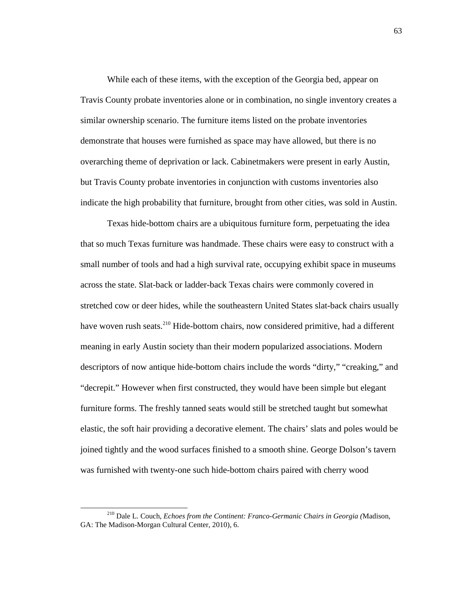While each of these items, with the exception of the Georgia bed, appear on Travis County probate inventories alone or in combination, no single inventory creates a similar ownership scenario. The furniture items listed on the probate inventories demonstrate that houses were furnished as space may have allowed, but there is no overarching theme of deprivation or lack. Cabinetmakers were present in early Austin, but Travis County probate inventories in conjunction with customs inventories also indicate the high probability that furniture, brought from other cities, was sold in Austin.

Texas hide-bottom chairs are a ubiquitous furniture form, perpetuating the idea that so much Texas furniture was handmade. These chairs were easy to construct with a small number of tools and had a high survival rate, occupying exhibit space in museums across the state. Slat-back or ladder-back Texas chairs were commonly covered in stretched cow or deer hides, while the southeastern United States slat-back chairs usually have woven rush seats.<sup>210</sup> Hide-bottom chairs, now considered primitive, had a different meaning in early Austin society than their modern popularized associations. Modern descriptors of now antique hide-bottom chairs include the words "dirty," "creaking," and "decrepit." However when first constructed, they would have been simple but elegant furniture forms. The freshly tanned seats would still be stretched taught but somewhat elastic, the soft hair providing a decorative element. The chairs' slats and poles would be joined tightly and the wood surfaces finished to a smooth shine. George Dolson's tavern was furnished with twenty-one such hide-bottom chairs paired with cherry wood

<sup>210</sup> Dale L. Couch, *Echoes from the Continent: Franco-Germanic Chairs in Georgia (*Madison, GA: The Madison-Morgan Cultural Center, 2010), 6.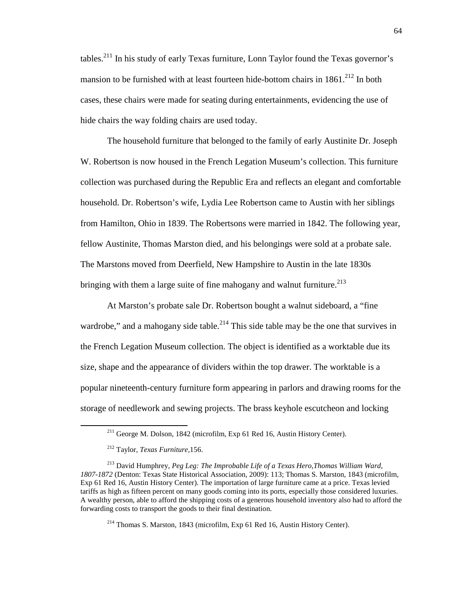tables.<sup>211</sup> In his study of early Texas furniture, Lonn Taylor found the Texas governor's mansion to be furnished with at least fourteen hide-bottom chairs in  $1861$ <sup>212</sup> In both cases, these chairs were made for seating during entertainments, evidencing the use of hide chairs the way folding chairs are used today.

The household furniture that belonged to the family of early Austinite Dr. Joseph W. Robertson is now housed in the French Legation Museum's collection. This furniture collection was purchased during the Republic Era and reflects an elegant and comfortable household. Dr. Robertson's wife, Lydia Lee Robertson came to Austin with her siblings from Hamilton, Ohio in 1839. The Robertsons were married in 1842. The following year, fellow Austinite, Thomas Marston died, and his belongings were sold at a probate sale. The Marstons moved from Deerfield, New Hampshire to Austin in the late 1830s bringing with them a large suite of fine mahogany and walnut furniture.<sup>213</sup>

At Marston's probate sale Dr. Robertson bought a walnut sideboard, a "fine wardrobe," and a mahogany side table.<sup>214</sup> This side table may be the one that survives in the French Legation Museum collection. The object is identified as a worktable due its size, shape and the appearance of dividers within the top drawer. The worktable is a popular nineteenth-century furniture form appearing in parlors and drawing rooms for the storage of needlework and sewing projects. The brass keyhole escutcheon and locking

<u>.</u>

<sup>214</sup> Thomas S. Marston, 1843 (microfilm, Exp 61 Red 16, Austin History Center).

<sup>&</sup>lt;sup>211</sup> George M. Dolson, 1842 (microfilm, Exp 61 Red 16, Austin History Center).

<sup>212</sup> Taylor, *Texas Furniture,*156.

<sup>213</sup> David Humphrey, *Peg Leg: The Improbable Life of a Texas Hero,Thomas William Ward, 1807-1872* (Denton: Texas State Historical Association, 2009): 113; Thomas S. Marston, 1843 (microfilm, Exp 61 Red 16, Austin History Center). The importation of large furniture came at a price. Texas levied tariffs as high as fifteen percent on many goods coming into its ports, especially those considered luxuries. A wealthy person, able to afford the shipping costs of a generous household inventory also had to afford the forwarding costs to transport the goods to their final destination.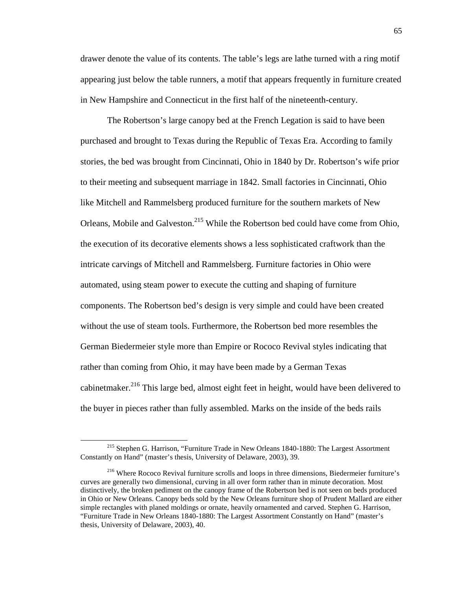drawer denote the value of its contents. The table's legs are lathe turned with a ring motif appearing just below the table runners, a motif that appears frequently in furniture created in New Hampshire and Connecticut in the first half of the nineteenth-century.

The Robertson's large canopy bed at the French Legation is said to have been purchased and brought to Texas during the Republic of Texas Era. According to family stories, the bed was brought from Cincinnati, Ohio in 1840 by Dr. Robertson's wife prior to their meeting and subsequent marriage in 1842. Small factories in Cincinnati, Ohio like Mitchell and Rammelsberg produced furniture for the southern markets of New Orleans, Mobile and Galveston.<sup>215</sup> While the Robertson bed could have come from Ohio, the execution of its decorative elements shows a less sophisticated craftwork than the intricate carvings of Mitchell and Rammelsberg. Furniture factories in Ohio were automated, using steam power to execute the cutting and shaping of furniture components. The Robertson bed's design is very simple and could have been created without the use of steam tools. Furthermore, the Robertson bed more resembles the German Biedermeier style more than Empire or Rococo Revival styles indicating that rather than coming from Ohio, it may have been made by a German Texas cabinet the ratio  $2^{16}$  This large bed, almost eight feet in height, would have been delivered to the buyer in pieces rather than fully assembled. Marks on the inside of the beds rails

<sup>215</sup> Stephen G. Harrison, "Furniture Trade in New Orleans 1840-1880: The Largest Assortment Constantly on Hand" (master's thesis, University of Delaware, 2003), 39.

<sup>216</sup> Where Rococo Revival furniture scrolls and loops in three dimensions, Biedermeier furniture's curves are generally two dimensional, curving in all over form rather than in minute decoration. Most distinctively, the broken pediment on the canopy frame of the Robertson bed is not seen on beds produced in Ohio or New Orleans. Canopy beds sold by the New Orleans furniture shop of Prudent Mallard are either simple rectangles with planed moldings or ornate, heavily ornamented and carved. Stephen G. Harrison, "Furniture Trade in New Orleans 1840-1880: The Largest Assortment Constantly on Hand" (master's thesis, University of Delaware, 2003), 40.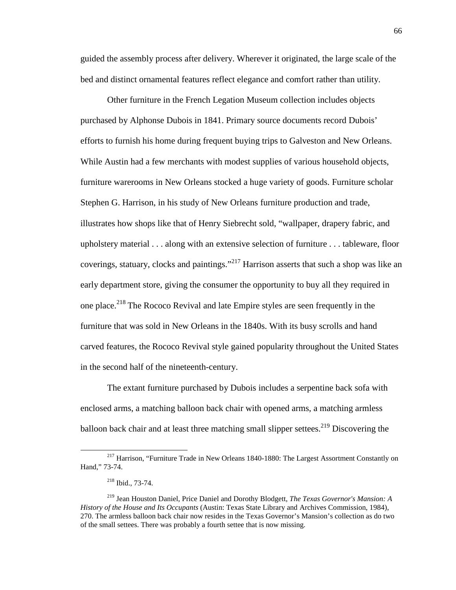guided the assembly process after delivery. Wherever it originated, the large scale of the bed and distinct ornamental features reflect elegance and comfort rather than utility.

Other furniture in the French Legation Museum collection includes objects purchased by Alphonse Dubois in 1841. Primary source documents record Dubois' efforts to furnish his home during frequent buying trips to Galveston and New Orleans. While Austin had a few merchants with modest supplies of various household objects, furniture warerooms in New Orleans stocked a huge variety of goods. Furniture scholar Stephen G. Harrison, in his study of New Orleans furniture production and trade, illustrates how shops like that of Henry Siebrecht sold, "wallpaper, drapery fabric, and upholstery material . . . along with an extensive selection of furniture . . . tableware, floor coverings, statuary, clocks and paintings."<sup>217</sup> Harrison asserts that such a shop was like an early department store, giving the consumer the opportunity to buy all they required in one place.<sup>218</sup> The Rococo Revival and late Empire styles are seen frequently in the furniture that was sold in New Orleans in the 1840s. With its busy scrolls and hand carved features, the Rococo Revival style gained popularity throughout the United States in the second half of the nineteenth-century.

The extant furniture purchased by Dubois includes a serpentine back sofa with enclosed arms, a matching balloon back chair with opened arms, a matching armless balloon back chair and at least three matching small slipper settees.<sup>219</sup> Discovering the

<sup>&</sup>lt;sup>217</sup> Harrison, "Furniture Trade in New Orleans 1840-1880: The Largest Assortment Constantly on Hand," 73-74.

<sup>218</sup> Ibid., 73-74.

<sup>219</sup> Jean Houston Daniel, Price Daniel and Dorothy Blodgett, *The Texas Governor's Mansion: A History of the House and Its Occupants* (Austin: Texas State Library and Archives Commission, 1984), 270. The armless balloon back chair now resides in the Texas Governor's Mansion's collection as do two of the small settees. There was probably a fourth settee that is now missing.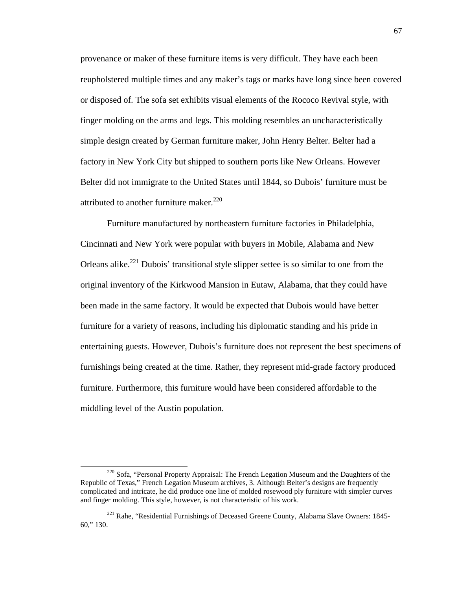provenance or maker of these furniture items is very difficult. They have each been reupholstered multiple times and any maker's tags or marks have long since been covered or disposed of. The sofa set exhibits visual elements of the Rococo Revival style, with finger molding on the arms and legs. This molding resembles an uncharacteristically simple design created by German furniture maker, John Henry Belter. Belter had a factory in New York City but shipped to southern ports like New Orleans. However Belter did not immigrate to the United States until 1844, so Dubois' furniture must be attributed to another furniture maker.<sup>220</sup>

Furniture manufactured by northeastern furniture factories in Philadelphia, Cincinnati and New York were popular with buyers in Mobile, Alabama and New Orleans alike.<sup>221</sup> Dubois' transitional style slipper settee is so similar to one from the original inventory of the Kirkwood Mansion in Eutaw, Alabama, that they could have been made in the same factory. It would be expected that Dubois would have better furniture for a variety of reasons, including his diplomatic standing and his pride in entertaining guests. However, Dubois's furniture does not represent the best specimens of furnishings being created at the time. Rather, they represent mid-grade factory produced furniture. Furthermore, this furniture would have been considered affordable to the middling level of the Austin population.

-

 $220$  Sofa, "Personal Property Appraisal: The French Legation Museum and the Daughters of the Republic of Texas*,*" French Legation Museum archives, 3. Although Belter's designs are frequently complicated and intricate, he did produce one line of molded rosewood ply furniture with simpler curves and finger molding. This style, however, is not characteristic of his work.

<sup>221</sup> Rahe, "Residential Furnishings of Deceased Greene County, Alabama Slave Owners: 1845- 60," 130.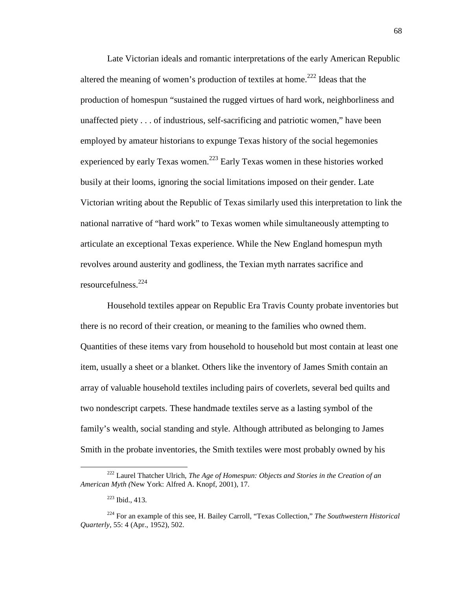Late Victorian ideals and romantic interpretations of the early American Republic altered the meaning of women's production of textiles at home.<sup>222</sup> Ideas that the production of homespun "sustained the rugged virtues of hard work, neighborliness and unaffected piety . . . of industrious, self-sacrificing and patriotic women," have been employed by amateur historians to expunge Texas history of the social hegemonies experienced by early Texas women.<sup>223</sup> Early Texas women in these histories worked busily at their looms, ignoring the social limitations imposed on their gender. Late Victorian writing about the Republic of Texas similarly used this interpretation to link the national narrative of "hard work" to Texas women while simultaneously attempting to articulate an exceptional Texas experience. While the New England homespun myth revolves around austerity and godliness, the Texian myth narrates sacrifice and resourcefulness.<sup>224</sup>

Household textiles appear on Republic Era Travis County probate inventories but there is no record of their creation, or meaning to the families who owned them. Quantities of these items vary from household to household but most contain at least one item, usually a sheet or a blanket. Others like the inventory of James Smith contain an array of valuable household textiles including pairs of coverlets, several bed quilts and two nondescript carpets. These handmade textiles serve as a lasting symbol of the family's wealth, social standing and style. Although attributed as belonging to James Smith in the probate inventories, the Smith textiles were most probably owned by his

<sup>222</sup> Laurel Thatcher Ulrich, *The Age of Homespun: Objects and Stories in the Creation of an American Myth (*New York: Alfred A. Knopf, 2001), 17.

<sup>223</sup> Ibid., 413.

<sup>224</sup> For an example of this see, H. Bailey Carroll, "Texas Collection," *The Southwestern Historical Quarterly*, 55: 4 (Apr., 1952), 502.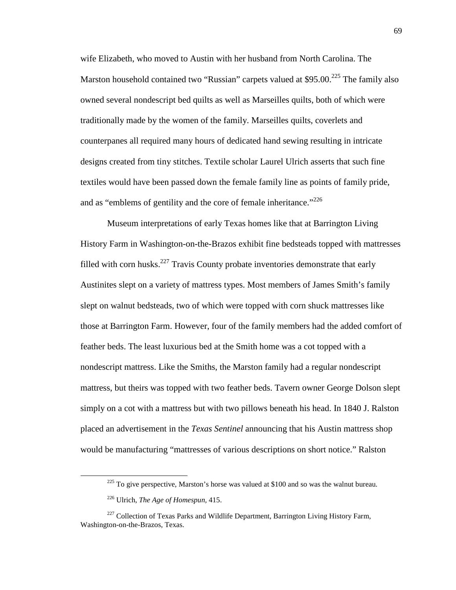wife Elizabeth, who moved to Austin with her husband from North Carolina. The Marston household contained two "Russian" carpets valued at  $$95.00<sup>.225</sup>$  The family also owned several nondescript bed quilts as well as Marseilles quilts, both of which were traditionally made by the women of the family. Marseilles quilts, coverlets and counterpanes all required many hours of dedicated hand sewing resulting in intricate designs created from tiny stitches. Textile scholar Laurel Ulrich asserts that such fine textiles would have been passed down the female family line as points of family pride, and as "emblems of gentility and the core of female inheritance."<sup>226</sup>

Museum interpretations of early Texas homes like that at Barrington Living History Farm in Washington-on-the-Brazos exhibit fine bedsteads topped with mattresses filled with corn husks.<sup>227</sup> Travis County probate inventories demonstrate that early Austinites slept on a variety of mattress types. Most members of James Smith's family slept on walnut bedsteads, two of which were topped with corn shuck mattresses like those at Barrington Farm. However, four of the family members had the added comfort of feather beds. The least luxurious bed at the Smith home was a cot topped with a nondescript mattress. Like the Smiths, the Marston family had a regular nondescript mattress, but theirs was topped with two feather beds. Tavern owner George Dolson slept simply on a cot with a mattress but with two pillows beneath his head. In 1840 J. Ralston placed an advertisement in the *Texas Sentinel* announcing that his Austin mattress shop would be manufacturing "mattresses of various descriptions on short notice." Ralston

 $225$  To give perspective, Marston's horse was valued at \$100 and so was the walnut bureau.

<sup>226</sup> Ulrich, *The Age of Homespun,* 415.

<sup>&</sup>lt;sup>227</sup> Collection of Texas Parks and Wildlife Department, Barrington Living History Farm, Washington-on-the-Brazos, Texas.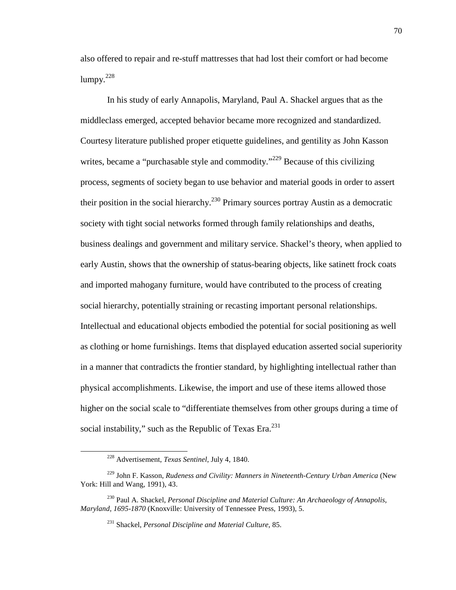also offered to repair and re-stuff mattresses that had lost their comfort or had become  $lumpy.<sup>228</sup>$ 

In his study of early Annapolis, Maryland, Paul A. Shackel argues that as the middleclass emerged, accepted behavior became more recognized and standardized. Courtesy literature published proper etiquette guidelines, and gentility as John Kasson writes, became a "purchasable style and commodity."<sup>229</sup> Because of this civilizing process, segments of society began to use behavior and material goods in order to assert their position in the social hierarchy.<sup>230</sup> Primary sources portray Austin as a democratic society with tight social networks formed through family relationships and deaths, business dealings and government and military service. Shackel's theory, when applied to early Austin, shows that the ownership of status-bearing objects, like satinett frock coats and imported mahogany furniture, would have contributed to the process of creating social hierarchy, potentially straining or recasting important personal relationships. Intellectual and educational objects embodied the potential for social positioning as well as clothing or home furnishings. Items that displayed education asserted social superiority in a manner that contradicts the frontier standard, by highlighting intellectual rather than physical accomplishments. Likewise, the import and use of these items allowed those higher on the social scale to "differentiate themselves from other groups during a time of social instability," such as the Republic of Texas Era.<sup>231</sup>

<sup>228</sup> Advertisement, *Texas Sentinel*, July 4, 1840.

<sup>229</sup> John F. Kasson, *Rudeness and Civility: Manners in Nineteenth-Century Urban America* (New York: Hill and Wang, 1991), 43.

<sup>230</sup> Paul A. Shackel, *Personal Discipline and Material Culture: An Archaeology of Annapolis, Maryland, 1695-1870* (Knoxville: University of Tennessee Press, 1993), 5.

<sup>231</sup> Shackel, *Personal Discipline and Material Culture,* 85.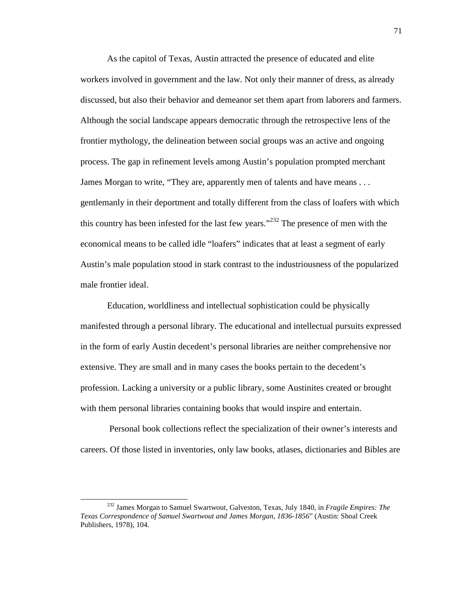As the capitol of Texas, Austin attracted the presence of educated and elite workers involved in government and the law. Not only their manner of dress, as already discussed, but also their behavior and demeanor set them apart from laborers and farmers. Although the social landscape appears democratic through the retrospective lens of the frontier mythology, the delineation between social groups was an active and ongoing process. The gap in refinement levels among Austin's population prompted merchant James Morgan to write, "They are, apparently men of talents and have means . . . gentlemanly in their deportment and totally different from the class of loafers with which this country has been infested for the last few years."<sup>232</sup> The presence of men with the economical means to be called idle "loafers" indicates that at least a segment of early Austin's male population stood in stark contrast to the industriousness of the popularized male frontier ideal.

Education, worldliness and intellectual sophistication could be physically manifested through a personal library. The educational and intellectual pursuits expressed in the form of early Austin decedent's personal libraries are neither comprehensive nor extensive. They are small and in many cases the books pertain to the decedent's profession. Lacking a university or a public library, some Austinites created or brought with them personal libraries containing books that would inspire and entertain.

 Personal book collections reflect the specialization of their owner's interests and careers. Of those listed in inventories, only law books, atlases, dictionaries and Bibles are

<sup>232</sup> James Morgan to Samuel Swartwout, Galveston, Texas, July 1840, in *Fragile Empires: The Texas Correspondence of Samuel Swartwout and James Morgan*, *1836-1856*" (Austin: Shoal Creek Publishers, 1978), 104.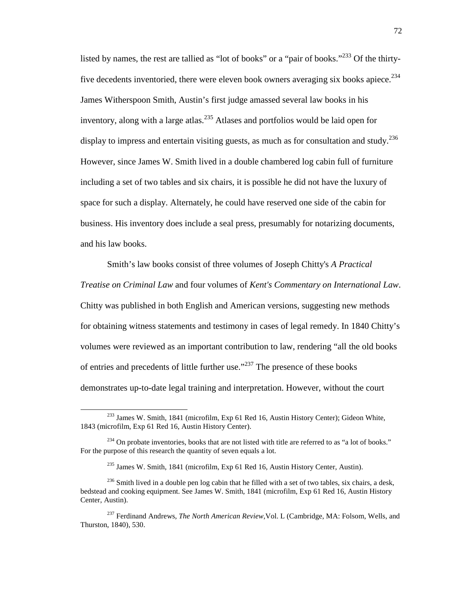listed by names, the rest are tallied as "lot of books" or a "pair of books."<sup>233</sup> Of the thirtyfive decedents inventoried, there were eleven book owners averaging six books apiece.<sup>234</sup> James Witherspoon Smith, Austin's first judge amassed several law books in his inventory, along with a large atlas.<sup>235</sup> Atlases and portfolios would be laid open for display to impress and entertain visiting guests, as much as for consultation and study.<sup>236</sup> However, since James W. Smith lived in a double chambered log cabin full of furniture including a set of two tables and six chairs, it is possible he did not have the luxury of space for such a display. Alternately, he could have reserved one side of the cabin for business. His inventory does include a seal press, presumably for notarizing documents, and his law books.

Smith's law books consist of three volumes of Joseph Chitty's *A Practical Treatise on Criminal Law* and four volumes of *Kent's Commentary on International Law*. Chitty was published in both English and American versions, suggesting new methods for obtaining witness statements and testimony in cases of legal remedy. In 1840 Chitty's volumes were reviewed as an important contribution to law, rendering "all the old books of entries and precedents of little further use."<sup>237</sup> The presence of these books demonstrates up-to-date legal training and interpretation. However, without the court

<sup>233</sup> James W. Smith, 1841 (microfilm, Exp 61 Red 16, Austin History Center); Gideon White, 1843 (microfilm, Exp 61 Red 16, Austin History Center).

 $234$  On probate inventories, books that are not listed with title are referred to as "a lot of books." For the purpose of this research the quantity of seven equals a lot.

<sup>235</sup> James W. Smith, 1841 (microfilm, Exp 61 Red 16, Austin History Center, Austin).

 $^{236}$  Smith lived in a double pen log cabin that he filled with a set of two tables, six chairs, a desk, bedstead and cooking equipment. See James W. Smith, 1841 (microfilm, Exp 61 Red 16, Austin History Center, Austin).

<sup>&</sup>lt;sup>237</sup> Ferdinand Andrews, *The North American Review*, Vol. L (Cambridge, MA: Folsom, Wells, and Thurston, 1840), 530.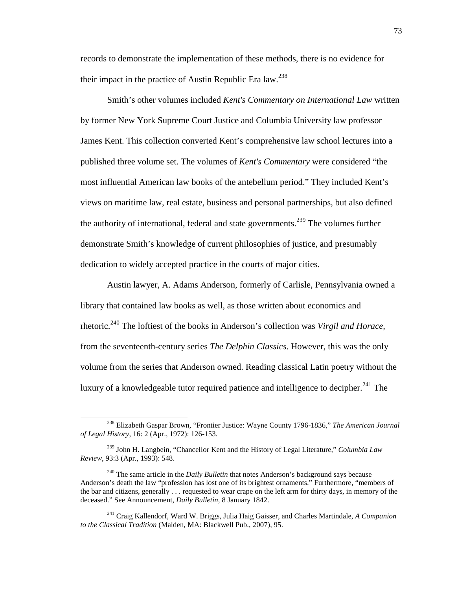records to demonstrate the implementation of these methods, there is no evidence for their impact in the practice of Austin Republic Era law.<sup>238</sup>

Smith's other volumes included *Kent's Commentary on International Law* written by former New York Supreme Court Justice and Columbia University law professor James Kent. This collection converted Kent's comprehensive law school lectures into a published three volume set. The volumes of *Kent's Commentary* were considered "the most influential American law books of the antebellum period." They included Kent's views on maritime law, real estate, business and personal partnerships, but also defined the authority of international, federal and state governments.<sup>239</sup> The volumes further demonstrate Smith's knowledge of current philosophies of justice, and presumably dedication to widely accepted practice in the courts of major cities.

Austin lawyer, A. Adams Anderson, formerly of Carlisle, Pennsylvania owned a library that contained law books as well, as those written about economics and rhetoric.<sup>240</sup> The loftiest of the books in Anderson's collection was *Virgil and Horace,* from the seventeenth-century series *The Delphin Classics*. However, this was the only volume from the series that Anderson owned. Reading classical Latin poetry without the luxury of a knowledgeable tutor required patience and intelligence to decipher.<sup>241</sup> The

-

<sup>238</sup> Elizabeth Gaspar Brown, "Frontier Justice: Wayne County 1796-1836," *The American Journal of Legal History*, 16: 2 (Apr., 1972): 126-153.

<sup>239</sup> John H. Langbein, "Chancellor Kent and the History of Legal Literature," *Columbia Law Review*, 93:3 (Apr., 1993): 548.

<sup>240</sup> The same article in the *Daily Bulletin* that notes Anderson's background says because Anderson's death the law "profession has lost one of its brightest ornaments." Furthermore, "members of the bar and citizens, generally . . . requested to wear crape on the left arm for thirty days, in memory of the deceased." See Announcement, *Daily Bulletin,* 8 January 1842.

<sup>241</sup> Craig Kallendorf, Ward W. Briggs, Julia Haig Gaisser, and Charles Martindale, *A Companion to the Classical Tradition* (Malden, MA: Blackwell Pub., 2007), 95.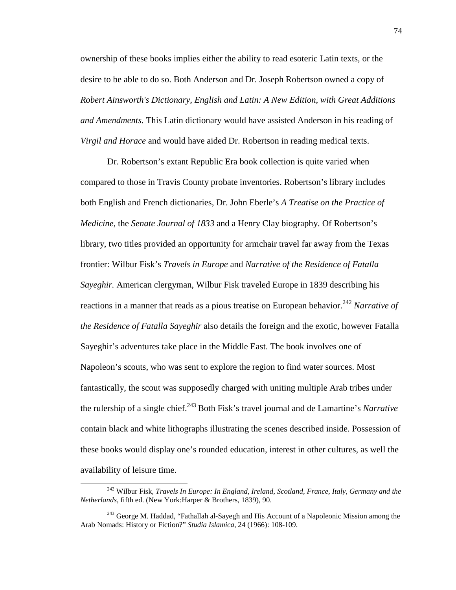ownership of these books implies either the ability to read esoteric Latin texts, or the desire to be able to do so. Both Anderson and Dr. Joseph Robertson owned a copy of *Robert Ainsworth's Dictionary, English and Latin: A New Edition, with Great Additions and Amendments.* This Latin dictionary would have assisted Anderson in his reading of *Virgil and Horace* and would have aided Dr. Robertson in reading medical texts.

Dr. Robertson's extant Republic Era book collection is quite varied when compared to those in Travis County probate inventories. Robertson's library includes both English and French dictionaries, Dr. John Eberle's *A Treatise on the Practice of Medicine,* the *Senate Journal of 1833* and a Henry Clay biography. Of Robertson's library, two titles provided an opportunity for armchair travel far away from the Texas frontier: Wilbur Fisk's *Travels in Europe* and *Narrative of the Residence of Fatalla Sayeghir.* American clergyman, Wilbur Fisk traveled Europe in 1839 describing his reactions in a manner that reads as a pious treatise on European behavior.<sup>242</sup> *Narrative of the Residence of Fatalla Sayeghir* also details the foreign and the exotic, however Fatalla Sayeghir's adventures take place in the Middle East. The book involves one of Napoleon's scouts, who was sent to explore the region to find water sources. Most fantastically, the scout was supposedly charged with uniting multiple Arab tribes under the rulership of a single chief.<sup>243</sup> Both Fisk's travel journal and de Lamartine's *Narrative* contain black and white lithographs illustrating the scenes described inside. Possession of these books would display one's rounded education, interest in other cultures, as well the availability of leisure time.

<sup>242</sup> Wilbur Fisk, *Travels In Europe: In England, Ireland, Scotland, France, Italy, Germany and the Netherlands*, fifth ed. (New York:Harper & Brothers, 1839), 90.

<sup>&</sup>lt;sup>243</sup> George M. Haddad, "Fathallah al-Sayegh and His Account of a Napoleonic Mission among the Arab Nomads: History or Fiction?" *Studia Islamica*, 24 (1966): 108-109.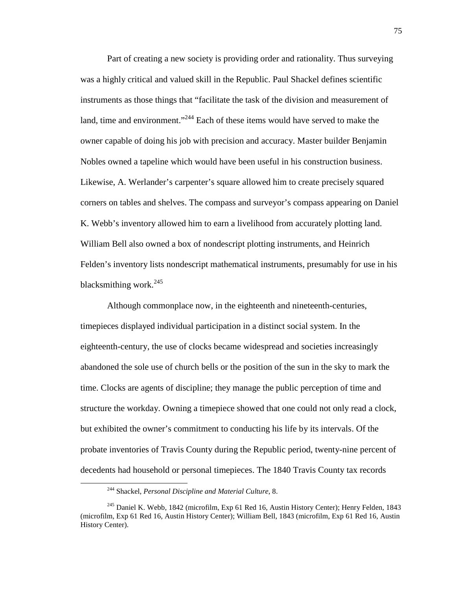Part of creating a new society is providing order and rationality. Thus surveying was a highly critical and valued skill in the Republic. Paul Shackel defines scientific instruments as those things that "facilitate the task of the division and measurement of land, time and environment."<sup>244</sup> Each of these items would have served to make the owner capable of doing his job with precision and accuracy. Master builder Benjamin Nobles owned a tapeline which would have been useful in his construction business. Likewise, A. Werlander's carpenter's square allowed him to create precisely squared corners on tables and shelves. The compass and surveyor's compass appearing on Daniel K. Webb's inventory allowed him to earn a livelihood from accurately plotting land. William Bell also owned a box of nondescript plotting instruments, and Heinrich Felden's inventory lists nondescript mathematical instruments, presumably for use in his blacksmithing work.<sup>245</sup>

Although commonplace now, in the eighteenth and nineteenth-centuries, timepieces displayed individual participation in a distinct social system. In the eighteenth-century, the use of clocks became widespread and societies increasingly abandoned the sole use of church bells or the position of the sun in the sky to mark the time. Clocks are agents of discipline; they manage the public perception of time and structure the workday. Owning a timepiece showed that one could not only read a clock, but exhibited the owner's commitment to conducting his life by its intervals. Of the probate inventories of Travis County during the Republic period, twenty-nine percent of decedents had household or personal timepieces. The 1840 Travis County tax records

<sup>244</sup> Shackel, *Personal Discipline and Material Culture*, 8.

<sup>&</sup>lt;sup>245</sup> Daniel K. Webb, 1842 (microfilm, Exp 61 Red 16, Austin History Center); Henry Felden, 1843 (microfilm, Exp 61 Red 16, Austin History Center); William Bell, 1843 (microfilm, Exp 61 Red 16, Austin History Center).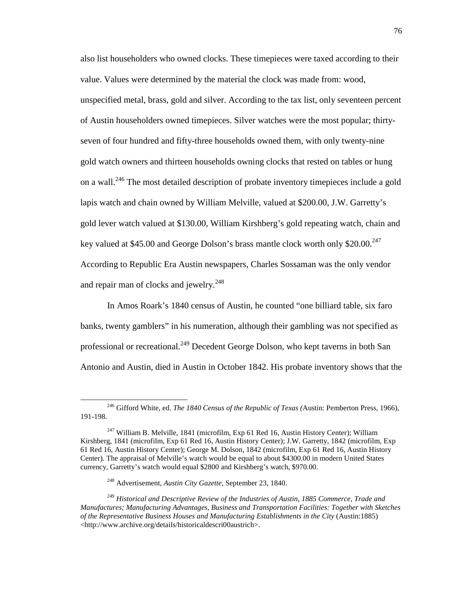also list householders who owned clocks. These timepieces were taxed according to their value. Values were determined by the material the clock was made from: wood, unspecified metal, brass, gold and silver. According to the tax list, only seventeen percent of Austin householders owned timepieces. Silver watches were the most popular; thirtyseven of four hundred and fifty-three households owned them, with only twenty-nine gold watch owners and thirteen households owning clocks that rested on tables or hung on a wall.<sup>246</sup> The most detailed description of probate inventory timepieces include a gold lapis watch and chain owned by William Melville, valued at \$200.00, J.W. Garretty's gold lever watch valued at \$130.00, William Kirshberg's gold repeating watch, chain and key valued at \$45.00 and George Dolson's brass mantle clock worth only \$20.00.<sup>247</sup> According to Republic Era Austin newspapers, Charles Sossaman was the only vendor and repair man of clocks and jewelry.<sup>248</sup>

In Amos Roark's 1840 census of Austin, he counted "one billiard table, six faro banks, twenty gamblers" in his numeration, although their gambling was not specified as professional or recreational.<sup>249</sup> Decedent George Dolson, who kept taverns in both San Antonio and Austin, died in Austin in October 1842. His probate inventory shows that the

<sup>246</sup> Gifford White, ed. *The 1840 Census of the Republic of Texas (*Austin: Pemberton Press, 1966), 191-198.

<sup>&</sup>lt;sup>247</sup> William B. Melville, 1841 (microfilm, Exp 61 Red 16, Austin History Center); William Kirshberg, 1841 (microfilm, Exp 61 Red 16, Austin History Center); J.W. Garretty, 1842 (microfilm, Exp 61 Red 16, Austin History Center); George M. Dolson, 1842 (microfilm, Exp 61 Red 16, Austin History Center). The appraisal of Melville's watch would be equal to about \$4300.00 in modern United States currency, Garretty's watch would equal \$2800 and Kirshberg's watch, \$970.00.

<sup>248</sup> Advertisement, *Austin City Gazette*, September 23, 1840.

<sup>249</sup> *Historical and Descriptive Review of the Industries of Austin, 1885 Commerce, Trade and Manufactures; Manufacturing Advantages, Business and Transportation Facilities: Together with Sketches of the Representative Business Houses and Manufacturing Establishments in the City* (Austin:1885) <http://www.archive.org/details/historicaldescri00austrich>.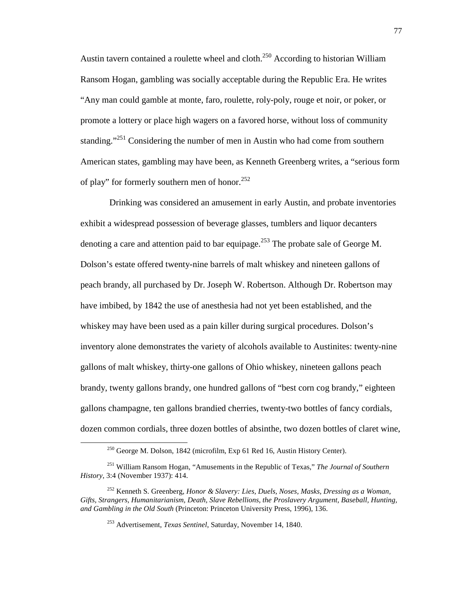Austin tavern contained a roulette wheel and cloth.<sup>250</sup> According to historian William Ransom Hogan, gambling was socially acceptable during the Republic Era. He writes "Any man could gamble at monte, faro, roulette, roly-poly, rouge et noir, or poker, or promote a lottery or place high wagers on a favored horse, without loss of community standing.<sup> $251$ </sup> Considering the number of men in Austin who had come from southern American states, gambling may have been, as Kenneth Greenberg writes, a "serious form of play" for formerly southern men of honor.<sup>252</sup>

 Drinking was considered an amusement in early Austin, and probate inventories exhibit a widespread possession of beverage glasses, tumblers and liquor decanters denoting a care and attention paid to bar equipage.<sup>253</sup> The probate sale of George M. Dolson's estate offered twenty-nine barrels of malt whiskey and nineteen gallons of peach brandy, all purchased by Dr. Joseph W. Robertson. Although Dr. Robertson may have imbibed, by 1842 the use of anesthesia had not yet been established, and the whiskey may have been used as a pain killer during surgical procedures. Dolson's inventory alone demonstrates the variety of alcohols available to Austinites: twenty-nine gallons of malt whiskey, thirty-one gallons of Ohio whiskey, nineteen gallons peach brandy, twenty gallons brandy, one hundred gallons of "best corn cog brandy," eighteen gallons champagne, ten gallons brandied cherries, twenty-two bottles of fancy cordials, dozen common cordials, three dozen bottles of absinthe, two dozen bottles of claret wine,

<sup>250</sup> George M. Dolson, 1842 (microfilm, Exp 61 Red 16, Austin History Center).

<sup>251</sup> William Ransom Hogan, "Amusements in the Republic of Texas," *The Journal of Southern History*, 3:4 (November 1937): 414.

<sup>252</sup> Kenneth S. Greenberg, *Honor & Slavery: Lies, Duels, Noses, Masks, Dressing as a Woman, Gifts, Strangers, Humanitarianism, Death, Slave Rebellions, the Proslavery Argument, Baseball, Hunting, and Gambling in the Old South* (Princeton: Princeton University Press, 1996), 136.

<sup>253</sup> Advertisement, *Texas Sentinel*, Saturday, November 14, 1840.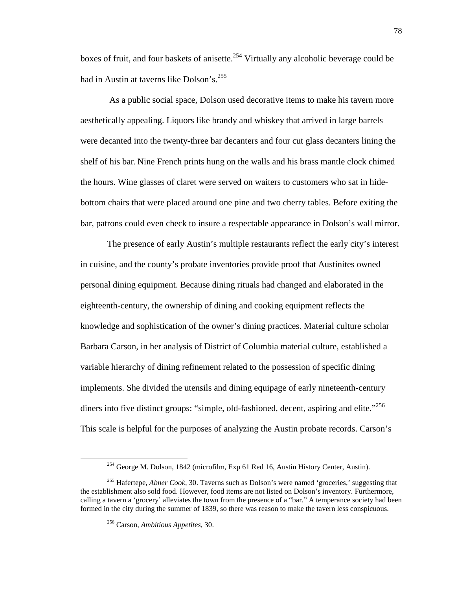boxes of fruit, and four baskets of anisette.<sup>254</sup> Virtually any alcoholic beverage could be had in Austin at taverns like Dolson's.<sup>255</sup>

 As a public social space, Dolson used decorative items to make his tavern more aesthetically appealing. Liquors like brandy and whiskey that arrived in large barrels were decanted into the twenty-three bar decanters and four cut glass decanters lining the shelf of his bar. Nine French prints hung on the walls and his brass mantle clock chimed the hours. Wine glasses of claret were served on waiters to customers who sat in hidebottom chairs that were placed around one pine and two cherry tables. Before exiting the bar, patrons could even check to insure a respectable appearance in Dolson's wall mirror.

The presence of early Austin's multiple restaurants reflect the early city's interest in cuisine, and the county's probate inventories provide proof that Austinites owned personal dining equipment. Because dining rituals had changed and elaborated in the eighteenth-century, the ownership of dining and cooking equipment reflects the knowledge and sophistication of the owner's dining practices. Material culture scholar Barbara Carson, in her analysis of District of Columbia material culture, established a variable hierarchy of dining refinement related to the possession of specific dining implements. She divided the utensils and dining equipage of early nineteenth-century diners into five distinct groups: "simple, old-fashioned, decent, aspiring and elite."<sup>256</sup> This scale is helpful for the purposes of analyzing the Austin probate records. Carson's

<sup>254</sup> George M. Dolson, 1842 (microfilm, Exp 61 Red 16, Austin History Center, Austin).

<sup>255</sup> Hafertepe, *Abner Cook*, 30. Taverns such as Dolson's were named 'groceries,' suggesting that the establishment also sold food. However, food items are not listed on Dolson's inventory. Furthermore, calling a tavern a 'grocery' alleviates the town from the presence of a "bar." A temperance society had been formed in the city during the summer of 1839, so there was reason to make the tavern less conspicuous.

<sup>256</sup> Carson, *Ambitious Appetites,* 30.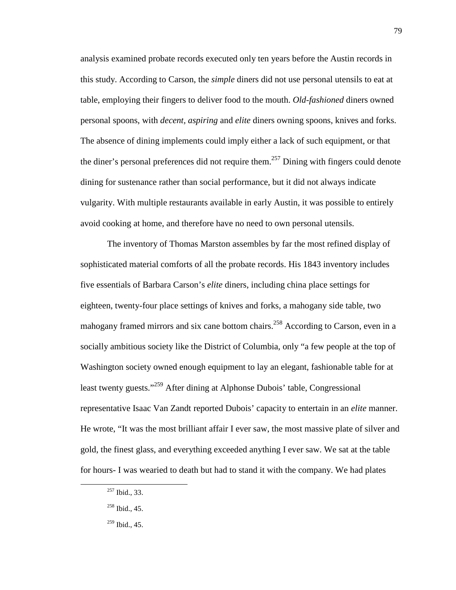analysis examined probate records executed only ten years before the Austin records in this study. According to Carson, the *simple* diners did not use personal utensils to eat at table, employing their fingers to deliver food to the mouth. *Old-fashioned* diners owned personal spoons, with *decent, aspiring* and *elite* diners owning spoons, knives and forks. The absence of dining implements could imply either a lack of such equipment, or that the diner's personal preferences did not require them.<sup>257</sup> Dining with fingers could denote dining for sustenance rather than social performance, but it did not always indicate vulgarity. With multiple restaurants available in early Austin, it was possible to entirely avoid cooking at home, and therefore have no need to own personal utensils.

The inventory of Thomas Marston assembles by far the most refined display of sophisticated material comforts of all the probate records. His 1843 inventory includes five essentials of Barbara Carson's *elite* diners, including china place settings for eighteen, twenty-four place settings of knives and forks, a mahogany side table, two mahogany framed mirrors and six cane bottom chairs.<sup>258</sup> According to Carson, even in a socially ambitious society like the District of Columbia, only "a few people at the top of Washington society owned enough equipment to lay an elegant, fashionable table for at least twenty guests."<sup>259</sup> After dining at Alphonse Dubois' table, Congressional representative Isaac Van Zandt reported Dubois' capacity to entertain in an *elite* manner. He wrote, "It was the most brilliant affair I ever saw, the most massive plate of silver and gold, the finest glass, and everything exceeded anything I ever saw. We sat at the table for hours- I was wearied to death but had to stand it with the company. We had plates

-

<sup>257</sup> Ibid., 33.

<sup>258</sup> Ibid., 45.

<sup>259</sup> Ibid., 45.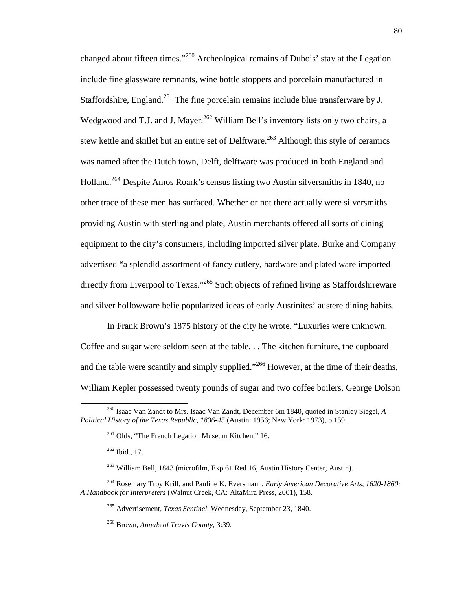changed about fifteen times."<sup>260</sup> Archeological remains of Dubois' stay at the Legation include fine glassware remnants, wine bottle stoppers and porcelain manufactured in Staffordshire, England.<sup>261</sup> The fine porcelain remains include blue transferware by J. Wedgwood and T.J. and J. Mayer.<sup>262</sup> William Bell's inventory lists only two chairs, a stew kettle and skillet but an entire set of Delftware.<sup>263</sup> Although this style of ceramics was named after the Dutch town, Delft, delftware was produced in both England and Holland.<sup>264</sup> Despite Amos Roark's census listing two Austin silversmiths in 1840, no other trace of these men has surfaced. Whether or not there actually were silversmiths providing Austin with sterling and plate, Austin merchants offered all sorts of dining equipment to the city's consumers, including imported silver plate. Burke and Company advertised "a splendid assortment of fancy cutlery, hardware and plated ware imported directly from Liverpool to Texas."<sup>265</sup> Such objects of refined living as Staffordshireware and silver hollowware belie popularized ideas of early Austinites' austere dining habits.

In Frank Brown's 1875 history of the city he wrote, "Luxuries were unknown. Coffee and sugar were seldom seen at the table. . . The kitchen furniture, the cupboard and the table were scantily and simply supplied."<sup>266</sup> However, at the time of their deaths, William Kepler possessed twenty pounds of sugar and two coffee boilers, George Dolson

<sup>262</sup> Ibid., 17.

<u>.</u>

<sup>263</sup> William Bell, 1843 (microfilm, Exp 61 Red 16, Austin History Center, Austin).

<sup>264</sup> Rosemary Troy Krill, and Pauline K. Eversmann, *Early American Decorative Arts, 1620-1860: A Handbook for Interpreters* (Walnut Creek, CA: AltaMira Press, 2001), 158.

<sup>265</sup> Advertisement, *Texas Sentinel*, Wednesday, September 23, 1840.

<sup>266</sup> Brown, *Annals of Travis County,* 3:39.

<sup>260</sup> Isaac Van Zandt to Mrs. Isaac Van Zandt, December 6m 1840, quoted in Stanley Siegel, *A Political History of the Texas Republic, 1836-45* (Austin: 1956; New York: 1973), p 159.

 $^{261}$  Olds, "The French Legation Museum Kitchen," 16.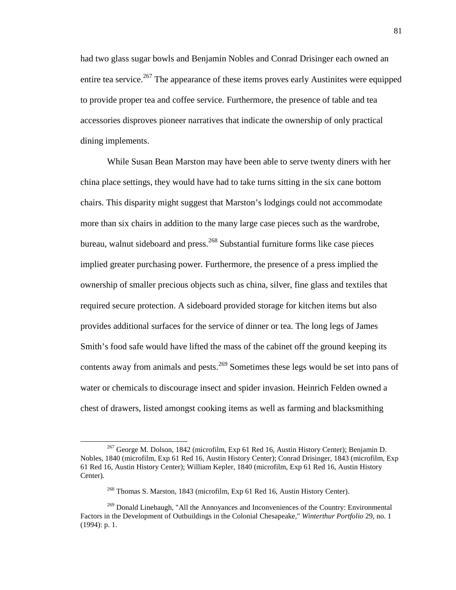had two glass sugar bowls and Benjamin Nobles and Conrad Drisinger each owned an entire tea service.<sup>267</sup> The appearance of these items proves early Austinites were equipped to provide proper tea and coffee service. Furthermore, the presence of table and tea accessories disproves pioneer narratives that indicate the ownership of only practical dining implements.

While Susan Bean Marston may have been able to serve twenty diners with her china place settings, they would have had to take turns sitting in the six cane bottom chairs. This disparity might suggest that Marston's lodgings could not accommodate more than six chairs in addition to the many large case pieces such as the wardrobe, bureau, walnut sideboard and press.<sup>268</sup> Substantial furniture forms like case pieces implied greater purchasing power. Furthermore, the presence of a press implied the ownership of smaller precious objects such as china, silver, fine glass and textiles that required secure protection. A sideboard provided storage for kitchen items but also provides additional surfaces for the service of dinner or tea. The long legs of James Smith's food safe would have lifted the mass of the cabinet off the ground keeping its contents away from animals and pests.<sup>269</sup> Sometimes these legs would be set into pans of water or chemicals to discourage insect and spider invasion. Heinrich Felden owned a chest of drawers, listed amongst cooking items as well as farming and blacksmithing

-

<sup>267</sup> George M. Dolson, 1842 (microfilm, Exp 61 Red 16, Austin History Center); Benjamin D. Nobles, 1840 (microfilm, Exp 61 Red 16, Austin History Center); Conrad Drisinger, 1843 (microfilm, Exp 61 Red 16, Austin History Center); William Kepler, 1840 (microfilm, Exp 61 Red 16, Austin History Center).

<sup>268</sup> Thomas S. Marston, 1843 (microfilm, Exp 61 Red 16, Austin History Center).

<sup>&</sup>lt;sup>269</sup> Donald Linebaugh, "All the Annoyances and Inconveniences of the Country: Environmental Factors in the Development of Outbuildings in the Colonial Chesapeake," *Winterthur Portfolio* 29, no. 1 (1994): p. 1.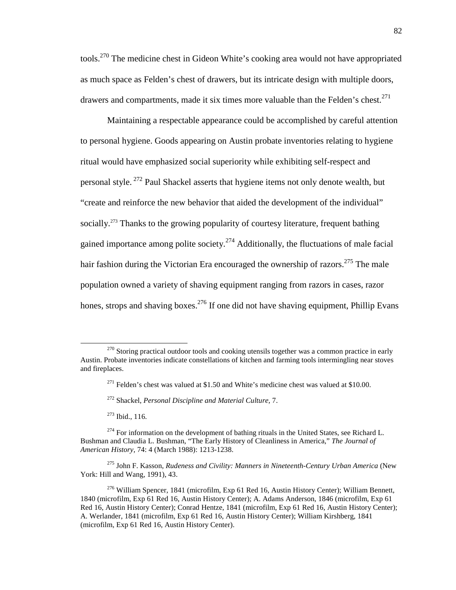tools.<sup>270</sup> The medicine chest in Gideon White's cooking area would not have appropriated as much space as Felden's chest of drawers, but its intricate design with multiple doors, drawers and compartments, made it six times more valuable than the Felden's chest.<sup>271</sup>

Maintaining a respectable appearance could be accomplished by careful attention to personal hygiene. Goods appearing on Austin probate inventories relating to hygiene ritual would have emphasized social superiority while exhibiting self-respect and personal style.<sup>272</sup> Paul Shackel asserts that hygiene items not only denote wealth, but "create and reinforce the new behavior that aided the development of the individual" socially.<sup>273</sup> Thanks to the growing popularity of courtesy literature, frequent bathing gained importance among polite society.<sup>274</sup> Additionally, the fluctuations of male facial hair fashion during the Victorian Era encouraged the ownership of razors.<sup>275</sup> The male population owned a variety of shaving equipment ranging from razors in cases, razor hones, strops and shaving boxes.<sup>276</sup> If one did not have shaving equipment, Phillip Evans

<sup>273</sup> Ibid., 116.

-

<sup>275</sup> John F. Kasson, *Rudeness and Civility: Manners in Nineteenth-Century Urban America* (New York: Hill and Wang, 1991), 43.

 $276$  William Spencer, 1841 (microfilm, Exp 61 Red 16, Austin History Center); William Bennett, 1840 (microfilm, Exp 61 Red 16, Austin History Center); A. Adams Anderson, 1846 (microfilm, Exp 61 Red 16, Austin History Center); Conrad Hentze, 1841 (microfilm, Exp 61 Red 16, Austin History Center); A. Werlander, 1841 (microfilm, Exp 61 Red 16, Austin History Center); William Kirshberg, 1841 (microfilm, Exp 61 Red 16, Austin History Center).

 $270$  Storing practical outdoor tools and cooking utensils together was a common practice in early Austin. Probate inventories indicate constellations of kitchen and farming tools intermingling near stoves and fireplaces.

 $^{271}$  Felden's chest was valued at \$1.50 and White's medicine chest was valued at \$10.00.

<sup>272</sup> Shackel, *Personal Discipline and Material Culture,* 7.

 $274$  For information on the development of bathing rituals in the United States, see Richard L. Bushman and Claudia L. Bushman, "The Early History of Cleanliness in America," *The Journal of American History,* 74: 4 (March 1988): 1213-1238.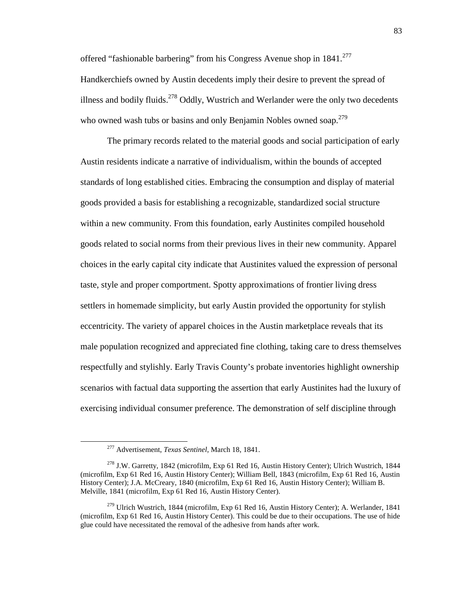offered "fashionable barbering" from his Congress Avenue shop in  $1841$ <sup>277</sup> Handkerchiefs owned by Austin decedents imply their desire to prevent the spread of illness and bodily fluids.<sup>278</sup> Oddly, Wustrich and Werlander were the only two decedents who owned wash tubs or basins and only Benjamin Nobles owned soap.<sup>279</sup>

The primary records related to the material goods and social participation of early Austin residents indicate a narrative of individualism, within the bounds of accepted standards of long established cities. Embracing the consumption and display of material goods provided a basis for establishing a recognizable, standardized social structure within a new community. From this foundation, early Austinites compiled household goods related to social norms from their previous lives in their new community. Apparel choices in the early capital city indicate that Austinites valued the expression of personal taste, style and proper comportment. Spotty approximations of frontier living dress settlers in homemade simplicity, but early Austin provided the opportunity for stylish eccentricity. The variety of apparel choices in the Austin marketplace reveals that its male population recognized and appreciated fine clothing, taking care to dress themselves respectfully and stylishly. Early Travis County's probate inventories highlight ownership scenarios with factual data supporting the assertion that early Austinites had the luxury of exercising individual consumer preference. The demonstration of self discipline through

-

<sup>277</sup> Advertisement, *Texas Sentinel,* March 18, 1841.

<sup>&</sup>lt;sup>278</sup> J.W. Garretty, 1842 (microfilm, Exp 61 Red 16, Austin History Center); Ulrich Wustrich, 1844 (microfilm, Exp 61 Red 16, Austin History Center); William Bell, 1843 (microfilm, Exp 61 Red 16, Austin History Center); J.A. McCreary, 1840 (microfilm, Exp 61 Red 16, Austin History Center); William B. Melville, 1841 (microfilm, Exp 61 Red 16, Austin History Center).

 $2^{79}$  Ulrich Wustrich, 1844 (microfilm, Exp 61 Red 16, Austin History Center); A. Werlander, 1841 (microfilm, Exp 61 Red 16, Austin History Center). This could be due to their occupations. The use of hide glue could have necessitated the removal of the adhesive from hands after work.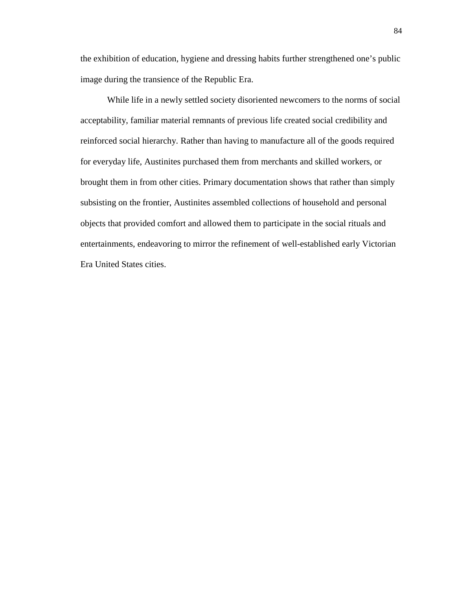the exhibition of education, hygiene and dressing habits further strengthened one's public image during the transience of the Republic Era.

While life in a newly settled society disoriented newcomers to the norms of social acceptability, familiar material remnants of previous life created social credibility and reinforced social hierarchy. Rather than having to manufacture all of the goods required for everyday life, Austinites purchased them from merchants and skilled workers, or brought them in from other cities. Primary documentation shows that rather than simply subsisting on the frontier, Austinites assembled collections of household and personal objects that provided comfort and allowed them to participate in the social rituals and entertainments, endeavoring to mirror the refinement of well-established early Victorian Era United States cities.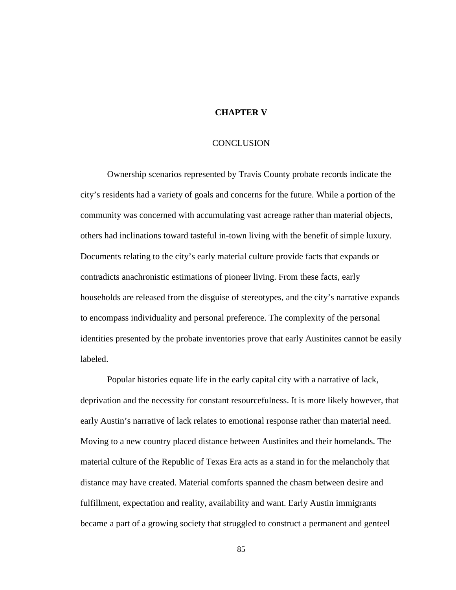# **CHAPTER V**

### **CONCLUSION**

Ownership scenarios represented by Travis County probate records indicate the city's residents had a variety of goals and concerns for the future. While a portion of the community was concerned with accumulating vast acreage rather than material objects, others had inclinations toward tasteful in-town living with the benefit of simple luxury. Documents relating to the city's early material culture provide facts that expands or contradicts anachronistic estimations of pioneer living. From these facts, early households are released from the disguise of stereotypes, and the city's narrative expands to encompass individuality and personal preference. The complexity of the personal identities presented by the probate inventories prove that early Austinites cannot be easily labeled.

Popular histories equate life in the early capital city with a narrative of lack, deprivation and the necessity for constant resourcefulness. It is more likely however, that early Austin's narrative of lack relates to emotional response rather than material need. Moving to a new country placed distance between Austinites and their homelands. The material culture of the Republic of Texas Era acts as a stand in for the melancholy that distance may have created. Material comforts spanned the chasm between desire and fulfillment, expectation and reality, availability and want. Early Austin immigrants became a part of a growing society that struggled to construct a permanent and genteel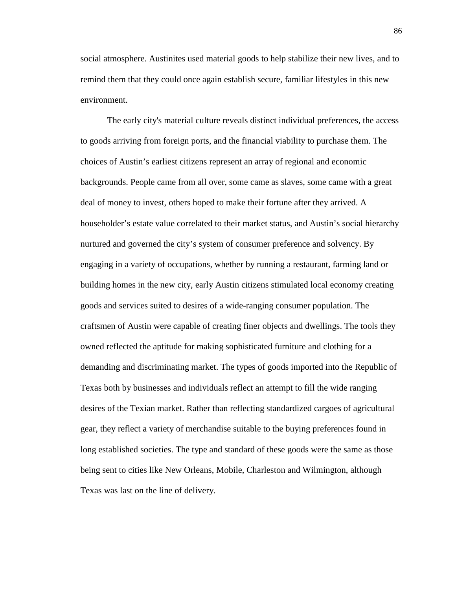social atmosphere. Austinites used material goods to help stabilize their new lives, and to remind them that they could once again establish secure, familiar lifestyles in this new environment.

The early city's material culture reveals distinct individual preferences, the access to goods arriving from foreign ports, and the financial viability to purchase them. The choices of Austin's earliest citizens represent an array of regional and economic backgrounds. People came from all over, some came as slaves, some came with a great deal of money to invest, others hoped to make their fortune after they arrived. A householder's estate value correlated to their market status, and Austin's social hierarchy nurtured and governed the city's system of consumer preference and solvency. By engaging in a variety of occupations, whether by running a restaurant, farming land or building homes in the new city, early Austin citizens stimulated local economy creating goods and services suited to desires of a wide-ranging consumer population. The craftsmen of Austin were capable of creating finer objects and dwellings. The tools they owned reflected the aptitude for making sophisticated furniture and clothing for a demanding and discriminating market. The types of goods imported into the Republic of Texas both by businesses and individuals reflect an attempt to fill the wide ranging desires of the Texian market. Rather than reflecting standardized cargoes of agricultural gear, they reflect a variety of merchandise suitable to the buying preferences found in long established societies. The type and standard of these goods were the same as those being sent to cities like New Orleans, Mobile, Charleston and Wilmington, although Texas was last on the line of delivery.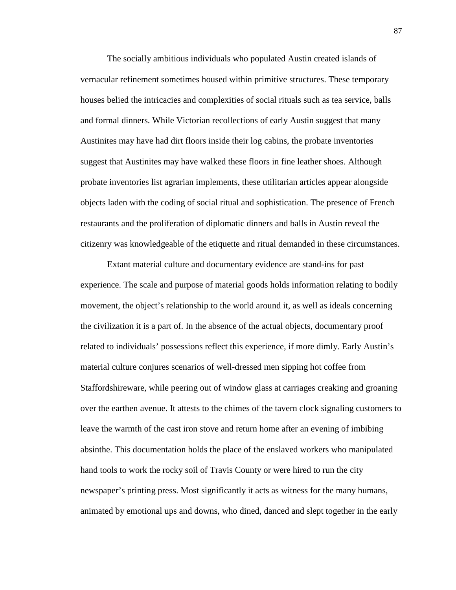The socially ambitious individuals who populated Austin created islands of vernacular refinement sometimes housed within primitive structures. These temporary houses belied the intricacies and complexities of social rituals such as tea service, balls and formal dinners. While Victorian recollections of early Austin suggest that many Austinites may have had dirt floors inside their log cabins, the probate inventories suggest that Austinites may have walked these floors in fine leather shoes. Although probate inventories list agrarian implements, these utilitarian articles appear alongside objects laden with the coding of social ritual and sophistication. The presence of French restaurants and the proliferation of diplomatic dinners and balls in Austin reveal the citizenry was knowledgeable of the etiquette and ritual demanded in these circumstances.

Extant material culture and documentary evidence are stand-ins for past experience. The scale and purpose of material goods holds information relating to bodily movement, the object's relationship to the world around it, as well as ideals concerning the civilization it is a part of. In the absence of the actual objects, documentary proof related to individuals' possessions reflect this experience, if more dimly. Early Austin's material culture conjures scenarios of well-dressed men sipping hot coffee from Staffordshireware, while peering out of window glass at carriages creaking and groaning over the earthen avenue. It attests to the chimes of the tavern clock signaling customers to leave the warmth of the cast iron stove and return home after an evening of imbibing absinthe. This documentation holds the place of the enslaved workers who manipulated hand tools to work the rocky soil of Travis County or were hired to run the city newspaper's printing press. Most significantly it acts as witness for the many humans, animated by emotional ups and downs, who dined, danced and slept together in the early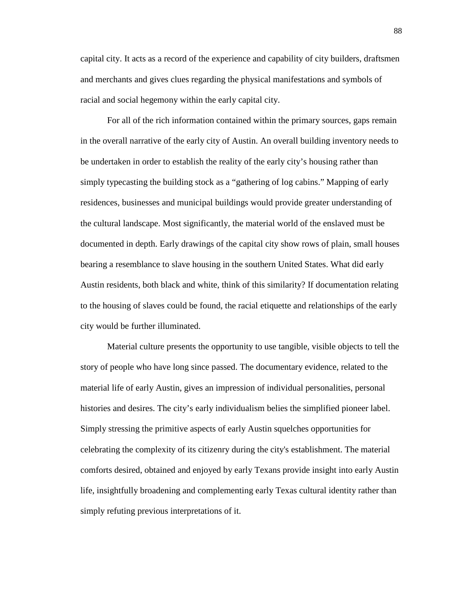capital city. It acts as a record of the experience and capability of city builders, draftsmen and merchants and gives clues regarding the physical manifestations and symbols of racial and social hegemony within the early capital city.

For all of the rich information contained within the primary sources, gaps remain in the overall narrative of the early city of Austin. An overall building inventory needs to be undertaken in order to establish the reality of the early city's housing rather than simply typecasting the building stock as a "gathering of log cabins." Mapping of early residences, businesses and municipal buildings would provide greater understanding of the cultural landscape. Most significantly, the material world of the enslaved must be documented in depth. Early drawings of the capital city show rows of plain, small houses bearing a resemblance to slave housing in the southern United States. What did early Austin residents, both black and white, think of this similarity? If documentation relating to the housing of slaves could be found, the racial etiquette and relationships of the early city would be further illuminated.

Material culture presents the opportunity to use tangible, visible objects to tell the story of people who have long since passed. The documentary evidence, related to the material life of early Austin, gives an impression of individual personalities, personal histories and desires. The city's early individualism belies the simplified pioneer label. Simply stressing the primitive aspects of early Austin squelches opportunities for celebrating the complexity of its citizenry during the city's establishment. The material comforts desired, obtained and enjoyed by early Texans provide insight into early Austin life, insightfully broadening and complementing early Texas cultural identity rather than simply refuting previous interpretations of it.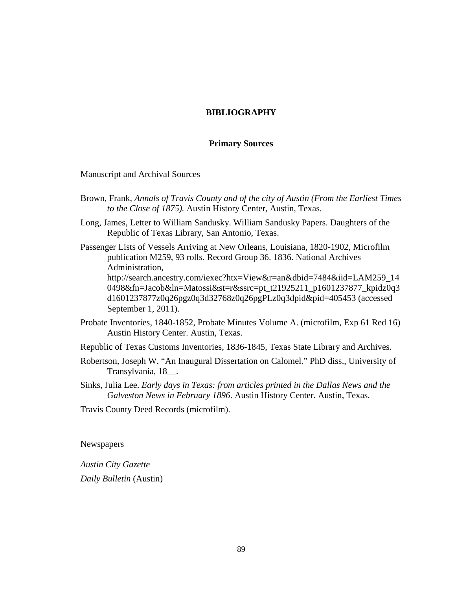# **BIBLIOGRAPHY**

### **Primary Sources**

Manuscript and Archival Sources

- Brown, Frank, *Annals of Travis County and of the city of Austin (From the Earliest Times to the Close of 1875).* Austin History Center, Austin, Texas.
- Long, James, Letter to William Sandusky. William Sandusky Papers. Daughters of the Republic of Texas Library, San Antonio, Texas.
- Passenger Lists of Vessels Arriving at New Orleans, Louisiana, 1820-1902, Microfilm publication M259, 93 rolls. Record Group 36. 1836. National Archives Administration, http://search.ancestry.com/iexec?htx=View&r=an&dbid=7484&iid=LAM259\_14 0498&fn=Jacob&ln=Matossi&st=r&ssrc=pt\_t21925211\_p1601237877\_kpidz0q3 d1601237877z0q26pgz0q3d32768z0q26pgPLz0q3dpid&pid=405453 (accessed September 1, 2011).
- Probate Inventories, 1840-1852, Probate Minutes Volume A. (microfilm, Exp 61 Red 16) Austin History Center. Austin, Texas.

Republic of Texas Customs Inventories, 1836-1845, Texas State Library and Archives.

- Robertson, Joseph W. "An Inaugural Dissertation on Calomel." PhD diss., University of Transylvania, 18\_\_.
- Sinks, Julia Lee. *Early days in Texas: from articles printed in the Dallas News and the Galveston News in February 1896*. Austin History Center. Austin, Texas.

Travis County Deed Records (microfilm).

Newspapers

*Austin City Gazette Daily Bulletin* (Austin)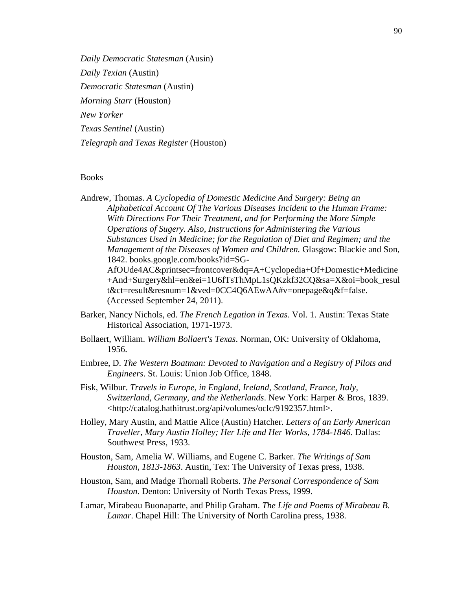*Daily Democratic Statesman* (Ausin) *Daily Texian* (Austin) *Democratic Statesman* (Austin) *Morning Starr* (Houston) *New Yorker Texas Sentinel* (Austin) *Telegraph and Texas Register* (Houston)

### **Books**

Andrew, Thomas. *A Cyclopedia of Domestic Medicine And Surgery: Being an Alphabetical Account Of The Various Diseases Incident to the Human Frame: With Directions For Their Treatment, and for Performing the More Simple Operations of Sugery. Also, Instructions for Administering the Various Substances Used in Medicine; for the Regulation of Diet and Regimen; and the Management of the Diseases of Women and Children.* Glasgow: Blackie and Son, 1842. books.google.com/books?id=SG-AfOUde4AC&printsec=frontcover&dq=A+Cyclopedia+Of+Domestic+Medicine +And+Surgery&hl=en&ei=1U6fTsThMpL1sQKzkf32CQ&sa=X&oi=book\_resul t&ct=result&resnum=1&ved=0CC4Q6AEwAA#v=onepage&q&f=false. (Accessed September 24, 2011).

- Barker, Nancy Nichols, ed. *The French Legation in Texas*. Vol. 1. Austin: Texas State Historical Association, 1971-1973.
- Bollaert, William. *William Bollaert's Texas*. Norman, OK: University of Oklahoma, 1956.
- Embree, D. *The Western Boatman: Devoted to Navigation and a Registry of Pilots and Engineers*. St. Louis: Union Job Office, 1848.
- Fisk, Wilbur. *Travels in Europe, in England, Ireland, Scotland, France, Italy, Switzerland, Germany, and the Netherlands*. New York: Harper & Bros, 1839. <http://catalog.hathitrust.org/api/volumes/oclc/9192357.html>.
- Holley, Mary Austin, and Mattie Alice (Austin) Hatcher. *Letters of an Early American Traveller, Mary Austin Holley; Her Life and Her Works, 1784-1846*. Dallas: Southwest Press, 1933.
- Houston, Sam, Amelia W. Williams, and Eugene C. Barker. *The Writings of Sam Houston, 1813-1863*. Austin, Tex: The University of Texas press, 1938.
- Houston, Sam, and Madge Thornall Roberts. *The Personal Correspondence of Sam Houston*. Denton: University of North Texas Press, 1999.
- Lamar, Mirabeau Buonaparte, and Philip Graham. *The Life and Poems of Mirabeau B. Lamar*. Chapel Hill: The University of North Carolina press, 1938.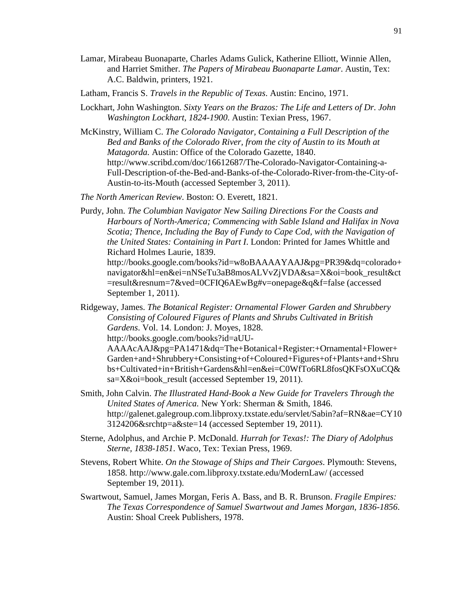Lamar, Mirabeau Buonaparte, Charles Adams Gulick, Katherine Elliott, Winnie Allen, and Harriet Smither. *The Papers of Mirabeau Buonaparte Lamar*. Austin, Tex: A.C. Baldwin, printers, 1921.

Latham, Francis S. *Travels in the Republic of Texas*. Austin: Encino, 1971.

- Lockhart, John Washington. *Sixty Years on the Brazos: The Life and Letters of Dr. John Washington Lockhart, 1824-1900*. Austin: Texian Press, 1967.
- McKinstry, William C. *The Colorado Navigator, Containing a Full Description of the Bed and Banks of the Colorado River, from the city of Austin to its Mouth at Matagorda.* Austin: Office of the Colorado Gazette, 1840. http://www.scribd.com/doc/16612687/The-Colorado-Navigator-Containing-a-Full-Description-of-the-Bed-and-Banks-of-the-Colorado-River-from-the-City-of-Austin-to-its-Mouth (accessed September 3, 2011).

*The North American Review*. Boston: O. Everett, 1821.

Purdy, John. *The Columbian Navigator New Sailing Directions For the Coasts and Harbours of North-America; Commencing with Sable Island and Halifax in Nova Scotia; Thence, Including the Bay of Fundy to Cape Cod, with the Navigation of the United States: Containing in Part I*. London: Printed for James Whittle and Richard Holmes Laurie, 1839.

http://books.google.com/books?id=w8oBAAAAYAAJ&pg=PR39&dq=colorado+ navigator&hl=en&ei=nNSeTu3aB8mosALVvZjVDA&sa=X&oi=book\_result&ct =result&resnum=7&ved=0CFIQ6AEwBg#v=onepage&q&f=false (accessed September 1, 2011).

Ridgeway, James. *The Botanical Register: Ornamental Flower Garden and Shrubbery Consisting of Coloured Figures of Plants and Shrubs Cultivated in British Gardens*. Vol. 14. London: J. Moyes, 1828. http://books.google.com/books?id=aUU-

AAAAcAAJ&pg=PA1471&dq=The+Botanical+Register:+Ornamental+Flower+ Garden+and+Shrubbery+Consisting+of+Coloured+Figures+of+Plants+and+Shru bs+Cultivated+in+British+Gardens&hl=en&ei=C0WfTo6RL8fosQKFsOXuCQ& sa=X&oi=book result (accessed September 19, 2011).

- Smith, John Calvin. *The Illustrated Hand-Book a New Guide for Travelers Through the United States of America.* New York: Sherman & Smith, 1846. http://galenet.galegroup.com.libproxy.txstate.edu/servlet/Sabin?af=RN&ae=CY10 3124206&srchtp=a&ste=14 (accessed September 19, 2011).
- Sterne, Adolphus, and Archie P. McDonald. *Hurrah for Texas!: The Diary of Adolphus Sterne, 1838-1851*. Waco, Tex: Texian Press, 1969.
- Stevens, Robert White. *On the Stowage of Ships and Their Cargoes*. Plymouth: Stevens, 1858. http://www.gale.com.libproxy.txstate.edu/ModernLaw/ (accessed September 19, 2011).
- Swartwout, Samuel, James Morgan, Feris A. Bass, and B. R. Brunson. *Fragile Empires: The Texas Correspondence of Samuel Swartwout and James Morgan, 1836-1856*. Austin: Shoal Creek Publishers, 1978.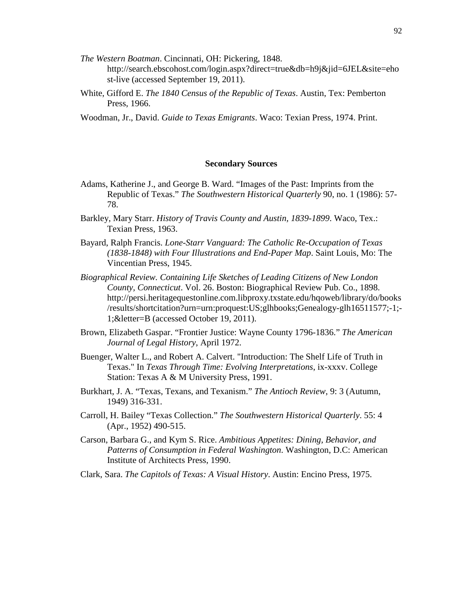- *The Western Boatman*. Cincinnati, OH: Pickering, 1848. http://search.ebscohost.com/login.aspx?direct=true&db=h9j&jid=6JEL&site=eho st-live (accessed September 19, 2011).
- White, Gifford E. *The 1840 Census of the Republic of Texas*. Austin, Tex: Pemberton Press, 1966.
- Woodman, Jr., David. *Guide to Texas Emigrants*. Waco: Texian Press, 1974. Print.

#### **Secondary Sources**

- Adams, Katherine J., and George B. Ward. "Images of the Past: Imprints from the Republic of Texas." *The Southwestern Historical Quarterly* 90, no. 1 (1986): 57- 78.
- Barkley, Mary Starr. *History of Travis County and Austin, 1839-1899*. Waco, Tex.: Texian Press, 1963.
- Bayard, Ralph Francis. *Lone-Starr Vanguard: The Catholic Re-Occupation of Texas (1838-1848) with Four Illustrations and End-Paper Map*. Saint Louis, Mo: The Vincentian Press, 1945.
- *Biographical Review. Containing Life Sketches of Leading Citizens of New London County, Connecticut*. Vol. 26. Boston: Biographical Review Pub. Co., 1898. http://persi.heritagequestonline.com.libproxy.txstate.edu/hqoweb/library/do/books /results/shortcitation?urn=urn:proquest:US;glhbooks;Genealogy-glh16511577;-1;- 1;&letter=B (accessed October 19, 2011).
- Brown, Elizabeth Gaspar. "Frontier Justice: Wayne County 1796-1836." *The American Journal of Legal History*, April 1972.
- Buenger, Walter L., and Robert A. Calvert. "Introduction: The Shelf Life of Truth in Texas." In *Texas Through Time: Evolving Interpretations*, ix-xxxv. College Station: Texas A & M University Press, 1991.
- Burkhart, J. A. "Texas, Texans, and Texanism." *The Antioch Review*, 9: 3 (Autumn, 1949) 316-331.
- Carroll, H. Bailey "Texas Collection." *The Southwestern Historical Quarterly*. 55: 4 (Apr., 1952) 490-515.
- Carson, Barbara G., and Kym S. Rice. *Ambitious Appetites: Dining, Behavior, and Patterns of Consumption in Federal Washington*. Washington, D.C: American Institute of Architects Press, 1990.
- Clark, Sara. *The Capitols of Texas: A Visual History*. Austin: Encino Press, 1975.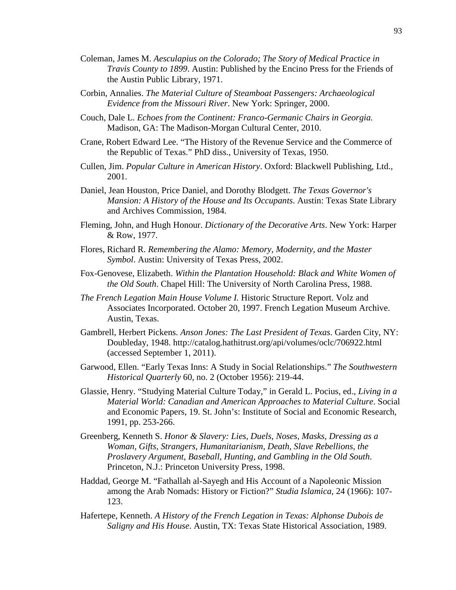- Coleman, James M. *Aesculapius on the Colorado; The Story of Medical Practice in Travis County to 1899*. Austin: Published by the Encino Press for the Friends of the Austin Public Library, 1971.
- Corbin, Annalies. *The Material Culture of Steamboat Passengers: Archaeological Evidence from the Missouri River*. New York: Springer, 2000.
- Couch, Dale L. *Echoes from the Continent: Franco-Germanic Chairs in Georgia.* Madison, GA: The Madison-Morgan Cultural Center, 2010.
- Crane, Robert Edward Lee. "The History of the Revenue Service and the Commerce of the Republic of Texas." PhD diss., University of Texas, 1950.
- Cullen, Jim. *Popular Culture in American History*. Oxford: Blackwell Publishing, Ltd., 2001.
- Daniel, Jean Houston, Price Daniel, and Dorothy Blodgett. *The Texas Governor's Mansion: A History of the House and Its Occupants*. Austin: Texas State Library and Archives Commission, 1984.
- Fleming, John, and Hugh Honour. *Dictionary of the Decorative Arts*. New York: Harper & Row, 1977.
- Flores, Richard R. *Remembering the Alamo: Memory, Modernity, and the Master Symbol*. Austin: University of Texas Press, 2002.
- Fox-Genovese, Elizabeth. *Within the Plantation Household: Black and White Women of the Old South*. Chapel Hill: The University of North Carolina Press, 1988.
- *The French Legation Main House Volume I.* Historic Structure Report. Volz and Associates Incorporated. October 20, 1997. French Legation Museum Archive. Austin, Texas.
- Gambrell, Herbert Pickens. *Anson Jones: The Last President of Texas*. Garden City, NY: Doubleday, 1948. http://catalog.hathitrust.org/api/volumes/oclc/706922.html (accessed September 1, 2011).
- Garwood, Ellen. "Early Texas Inns: A Study in Social Relationships." *The Southwestern Historical Quarterly* 60, no. 2 (October 1956): 219-44.
- Glassie, Henry. "Studying Material Culture Today," in Gerald L. Pocius, ed., *Living in a Material World: Canadian and American Approaches to Material Culture*. Social and Economic Papers, 19. St. John's: Institute of Social and Economic Research, 1991, pp. 253-266.
- Greenberg, Kenneth S. *Honor & Slavery: Lies, Duels, Noses, Masks, Dressing as a Woman, Gifts, Strangers, Humanitarianism, Death, Slave Rebellions, the Proslavery Argument, Baseball, Hunting, and Gambling in the Old South*. Princeton, N.J.: Princeton University Press, 1998.
- Haddad, George M. "Fathallah al-Sayegh and His Account of a Napoleonic Mission among the Arab Nomads: History or Fiction?" *Studia Islamica*, 24 (1966): 107- 123.
- Hafertepe, Kenneth. *A History of the French Legation in Texas: Alphonse Dubois de Saligny and His House*. Austin, TX: Texas State Historical Association, 1989.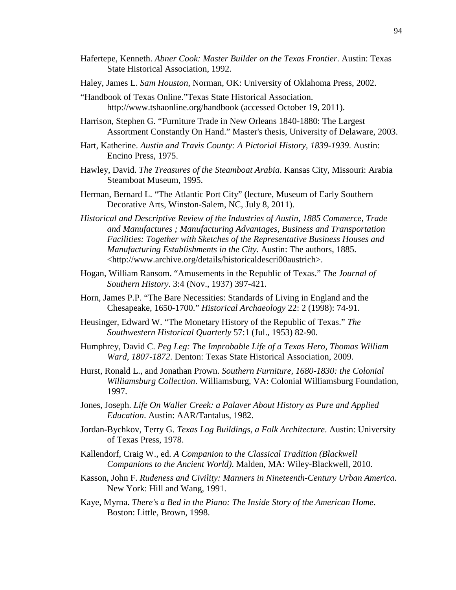- Hafertepe, Kenneth. *Abner Cook: Master Builder on the Texas Frontier*. Austin: Texas State Historical Association, 1992.
- Haley, James L. *Sam Houston*, Norman, OK: University of Oklahoma Press, 2002.
- "Handbook of Texas Online."Texas State Historical Association. http://www.tshaonline.org/handbook (accessed October 19, 2011).
- Harrison, Stephen G. "Furniture Trade in New Orleans 1840-1880: The Largest Assortment Constantly On Hand." Master's thesis, University of Delaware, 2003.
- Hart, Katherine. *Austin and Travis County: A Pictorial History, 1839-1939*. Austin: Encino Press, 1975.
- Hawley, David. *The Treasures of the Steamboat Arabia*. Kansas City, Missouri: Arabia Steamboat Museum, 1995.
- Herman, Bernard L. "The Atlantic Port City" (lecture, Museum of Early Southern Decorative Arts, Winston-Salem, NC, July 8, 2011).
- *Historical and Descriptive Review of the Industries of Austin, 1885 Commerce, Trade and Manufactures ; Manufacturing Advantages, Business and Transportation Facilities: Together with Sketches of the Representative Business Houses and Manufacturing Establishments in the City*. Austin: The authors, 1885. <http://www.archive.org/details/historicaldescri00austrich>.
- Hogan, William Ransom. "Amusements in the Republic of Texas." *The Journal of Southern History*. 3:4 (Nov., 1937) 397-421.
- Horn, James P.P. "The Bare Necessities: Standards of Living in England and the Chesapeake, 1650-1700." *Historical Archaeology* 22: 2 (1998): 74-91.
- Heusinger, Edward W. "The Monetary History of the Republic of Texas." *The Southwestern Historical Quarterly* 57:1 (Jul., 1953) 82-90.
- Humphrey, David C. *Peg Leg: The Improbable Life of a Texas Hero, Thomas William Ward, 1807-1872*. Denton: Texas State Historical Association, 2009.
- Hurst, Ronald L., and Jonathan Prown. *Southern Furniture, 1680-1830: the Colonial Williamsburg Collection*. Williamsburg, VA: Colonial Williamsburg Foundation, 1997.
- Jones, Joseph. *Life On Waller Creek: a Palaver About History as Pure and Applied Education*. Austin: AAR/Tantalus, 1982.
- Jordan-Bychkov, Terry G. *Texas Log Buildings, a Folk Architecture*. Austin: University of Texas Press, 1978.
- Kallendorf, Craig W., ed. *A Companion to the Classical Tradition (Blackwell Companions to the Ancient World)*. Malden, MA: Wiley-Blackwell, 2010.
- Kasson, John F. *Rudeness and Civility: Manners in Nineteenth-Century Urban America*. New York: Hill and Wang, 1991.
- Kaye, Myrna. *There's a Bed in the Piano: The Inside Story of the American Home*. Boston: Little, Brown, 1998.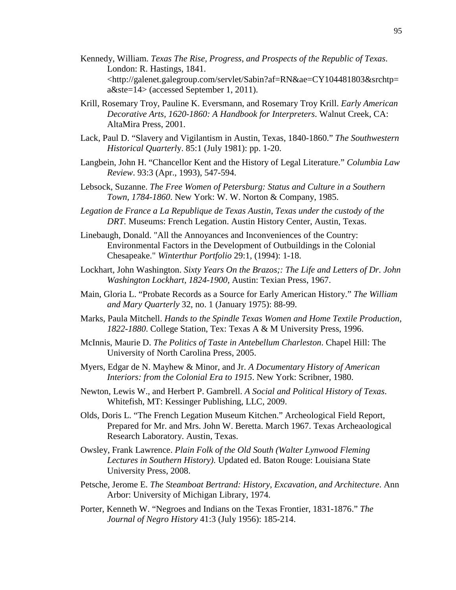- Kennedy, William. *Texas The Rise, Progress, and Prospects of the Republic of Texas*. London: R. Hastings, 1841. <http://galenet.galegroup.com/servlet/Sabin?af=RN&ae=CY104481803&srchtp= a&ste=14> (accessed September 1, 2011).
- Krill, Rosemary Troy, Pauline K. Eversmann, and Rosemary Troy Krill. *Early American Decorative Arts, 1620-1860: A Handbook for Interpreters*. Walnut Creek, CA: AltaMira Press, 2001.
- Lack, Paul D. "Slavery and Vigilantism in Austin, Texas, 1840-1860." *The Southwestern Historical Quarterl*y. 85:1 (July 1981): pp. 1-20.
- Langbein, John H. "Chancellor Kent and the History of Legal Literature." *Columbia Law Review*. 93:3 (Apr., 1993), 547-594.
- Lebsock, Suzanne. *The Free Women of Petersburg: Status and Culture in a Southern Town, 1784-1860*. New York: W. W. Norton & Company, 1985.
- *Legation de France a La Republique de Texas Austin*, *Texas under the custody of the DRT.* Museums: French Legation. Austin History Center, Austin, Texas.
- Linebaugh, Donald. "All the Annoyances and Inconveniences of the Country: Environmental Factors in the Development of Outbuildings in the Colonial Chesapeake." *Winterthur Portfolio* 29:1, (1994): 1-18.
- Lockhart, John Washington. *Sixty Years On the Brazos;: The Life and Letters of Dr. John Washington Lockhart, 1824-1900,* Austin: Texian Press, 1967.
- Main, Gloria L. "Probate Records as a Source for Early American History." *The William and Mary Quarterly* 32, no. 1 (January 1975): 88-99.
- Marks, Paula Mitchell. *Hands to the Spindle Texas Women and Home Textile Production, 1822-1880*. College Station, Tex: Texas A & M University Press, 1996.
- McInnis, Maurie D. *The Politics of Taste in Antebellum Charleston*. Chapel Hill: The University of North Carolina Press, 2005.
- Myers, Edgar de N. Mayhew & Minor, and Jr. *A Documentary History of American Interiors: from the Colonial Era to 1915*. New York: Scribner, 1980.
- Newton, Lewis W., and Herbert P. Gambrell. *A Social and Political History of Texas*. Whitefish, MT: Kessinger Publishing, LLC, 2009.
- Olds, Doris L. "The French Legation Museum Kitchen." Archeological Field Report, Prepared for Mr. and Mrs. John W. Beretta. March 1967. Texas Archeaological Research Laboratory. Austin, Texas.
- Owsley, Frank Lawrence. *Plain Folk of the Old South (Walter Lynwood Fleming Lectures in Southern History)*. Updated ed. Baton Rouge: Louisiana State University Press, 2008.
- Petsche, Jerome E. *The Steamboat Bertrand: History, Excavation, and Architecture*. Ann Arbor: University of Michigan Library, 1974.
- Porter, Kenneth W. "Negroes and Indians on the Texas Frontier, 1831-1876." *The Journal of Negro History* 41:3 (July 1956): 185-214.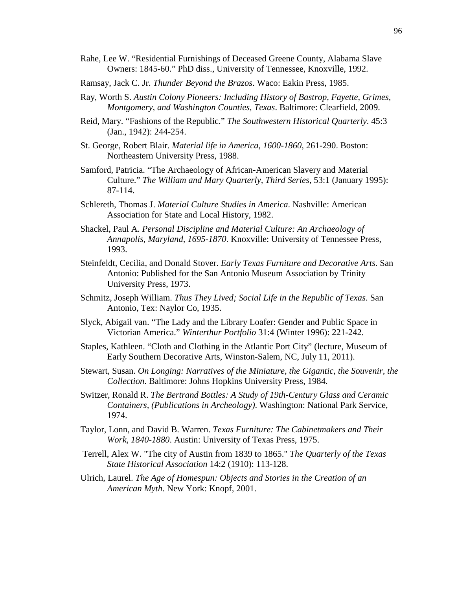- Rahe, Lee W. "Residential Furnishings of Deceased Greene County, Alabama Slave Owners: 1845-60." PhD diss., University of Tennessee, Knoxville, 1992.
- Ramsay, Jack C. Jr. *Thunder Beyond the Brazos*. Waco: Eakin Press, 1985.
- Ray, Worth S. *Austin Colony Pioneers: Including History of Bastrop, Fayette, Grimes, Montgomery, and Washington Counties, Texas*. Baltimore: Clearfield, 2009.
- Reid, Mary. "Fashions of the Republic." *The Southwestern Historical Quarterly*. 45:3 (Jan., 1942): 244-254.
- St. George, Robert Blair. *Material life in America, 1600-1860*, 261-290. Boston: Northeastern University Press, 1988.
- Samford, Patricia. "The Archaeology of African-American Slavery and Material Culture." *The William and Mary Quarterly, Third Series*, 53:1 (January 1995): 87-114.
- Schlereth, Thomas J. *Material Culture Studies in America*. Nashville: American Association for State and Local History, 1982.
- Shackel, Paul A. *Personal Discipline and Material Culture: An Archaeology of Annapolis, Maryland, 1695-1870*. Knoxville: University of Tennessee Press, 1993.
- Steinfeldt, Cecilia, and Donald Stover. *Early Texas Furniture and Decorative Arts*. San Antonio: Published for the San Antonio Museum Association by Trinity University Press, 1973.
- Schmitz, Joseph William. *Thus They Lived; Social Life in the Republic of Texas*. San Antonio, Tex: Naylor Co, 1935.
- Slyck, Abigail van. "The Lady and the Library Loafer: Gender and Public Space in Victorian America." *Winterthur Portfolio* 31:4 (Winter 1996): 221-242.
- Staples, Kathleen. "Cloth and Clothing in the Atlantic Port City" (lecture, Museum of Early Southern Decorative Arts, Winston-Salem, NC, July 11, 2011).
- Stewart, Susan. *On Longing: Narratives of the Miniature, the Gigantic, the Souvenir, the Collection*. Baltimore: Johns Hopkins University Press, 1984.
- Switzer, Ronald R. *The Bertrand Bottles: A Study of 19th-Century Glass and Ceramic Containers, (Publications in Archeology)*. Washington: National Park Service, 1974.
- Taylor, Lonn, and David B. Warren. *Texas Furniture: The Cabinetmakers and Their Work, 1840-1880*. Austin: University of Texas Press, 1975.
- Terrell, Alex W. "The city of Austin from 1839 to 1865." *The Quarterly of the Texas State Historical Association* 14:2 (1910): 113-128.
- Ulrich, Laurel. *The Age of Homespun: Objects and Stories in the Creation of an American Myth*. New York: Knopf, 2001.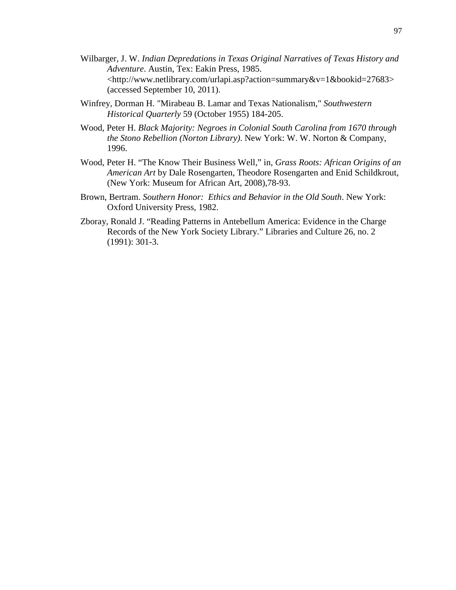- Wilbarger, J. W. *Indian Depredations in Texas Original Narratives of Texas History and Adventure*. Austin, Tex: Eakin Press, 1985. <http://www.netlibrary.com/urlapi.asp?action=summary&v=1&bookid=27683> (accessed September 10, 2011).
- Winfrey, Dorman H. "Mirabeau B. Lamar and Texas Nationalism," *Southwestern Historical Quarterly* 59 (October 1955) 184-205.
- Wood, Peter H. *Black Majority: Negroes in Colonial South Carolina from 1670 through the Stono Rebellion (Norton Library)*. New York: W. W. Norton & Company, 1996.
- Wood, Peter H. "The Know Their Business Well," in*, Grass Roots: African Origins of an American Art* by Dale Rosengarten, Theodore Rosengarten and Enid Schildkrout, (New York: Museum for African Art, 2008),78-93.
- Brown, Bertram. *Southern Honor: Ethics and Behavior in the Old South*. New York: Oxford University Press, 1982.
- Zboray, Ronald J. "Reading Patterns in Antebellum America: Evidence in the Charge Records of the New York Society Library." Libraries and Culture 26, no. 2 (1991): 301-3.